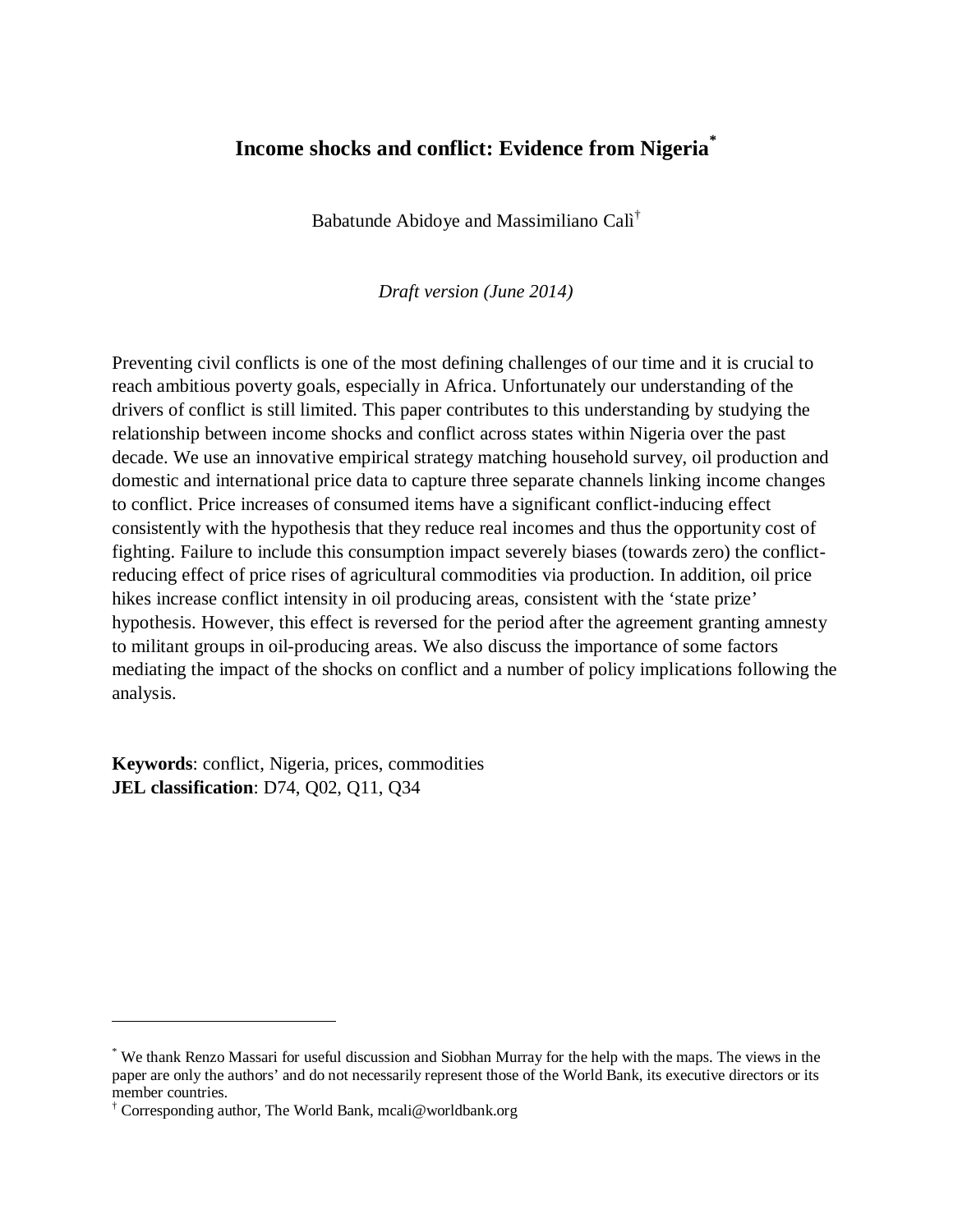# **Income shocks and conflict: Evidence from Nigeria\***

Babatunde Abidoye and Massimiliano Calì†

*Draft version (June 2014)*

Preventing civil conflicts is one of the most defining challenges of our time and it is crucial to reach ambitious poverty goals, especially in Africa. Unfortunately our understanding of the drivers of conflict is still limited. This paper contributes to this understanding by studying the relationship between income shocks and conflict across states within Nigeria over the past decade. We use an innovative empirical strategy matching household survey, oil production and domestic and international price data to capture three separate channels linking income changes to conflict. Price increases of consumed items have a significant conflict-inducing effect consistently with the hypothesis that they reduce real incomes and thus the opportunity cost of fighting. Failure to include this consumption impact severely biases (towards zero) the conflictreducing effect of price rises of agricultural commodities via production. In addition, oil price hikes increase conflict intensity in oil producing areas, consistent with the 'state prize' hypothesis. However, this effect is reversed for the period after the agreement granting amnesty to militant groups in oil-producing areas. We also discuss the importance of some factors mediating the impact of the shocks on conflict and a number of policy implications following the analysis.

**Keywords**: conflict, Nigeria, prices, commodities **JEL classification**: D74, Q02, Q11, Q34

 $\overline{a}$ 

<sup>\*</sup> We thank Renzo Massari for useful discussion and Siobhan Murray for the help with the maps. The views in the paper are only the authors' and do not necessarily represent those of the World Bank, its executive directors or its member countries.

<sup>†</sup> Corresponding author, The World Bank, mcali@worldbank.org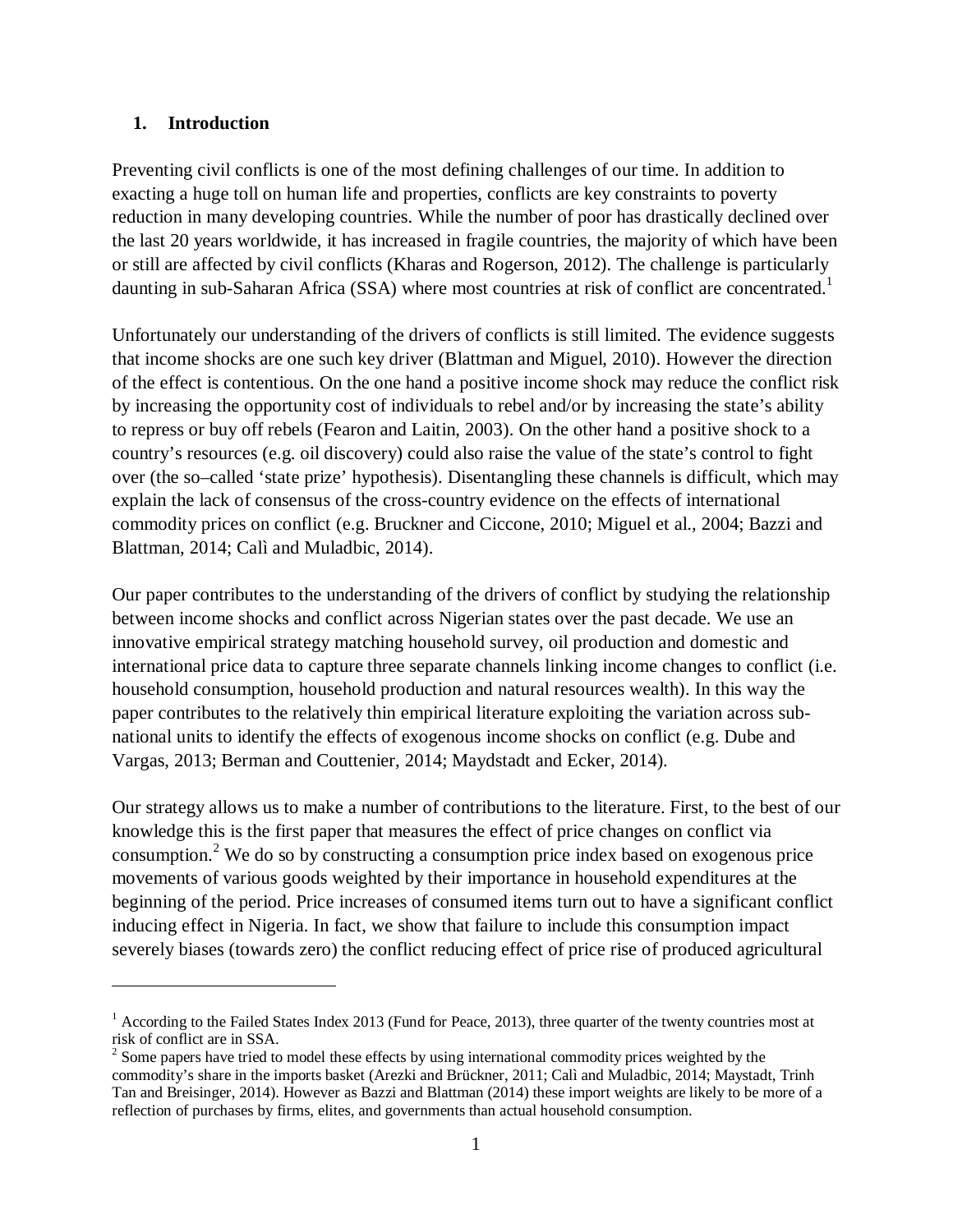#### **1. Introduction**

 $\overline{a}$ 

Preventing civil conflicts is one of the most defining challenges of our time. In addition to exacting a huge toll on human life and properties, conflicts are key constraints to poverty reduction in many developing countries. While the number of poor has drastically declined over the last 20 years worldwide, it has increased in fragile countries, the majority of which have been or still are affected by civil conflicts (Kharas and Rogerson, 2012). The challenge is particularly daunting in sub-Saharan Africa (SSA) where most countries at risk of conflict are concentrated.<sup>1</sup>

Unfortunately our understanding of the drivers of conflicts is still limited. The evidence suggests that income shocks are one such key driver (Blattman and Miguel, 2010). However the direction of the effect is contentious. On the one hand a positive income shock may reduce the conflict risk by increasing the opportunity cost of individuals to rebel and/or by increasing the state's ability to repress or buy off rebels (Fearon and Laitin, 2003). On the other hand a positive shock to a country's resources (e.g. oil discovery) could also raise the value of the state's control to fight over (the so–called 'state prize' hypothesis). Disentangling these channels is difficult, which may explain the lack of consensus of the cross-country evidence on the effects of international commodity prices on conflict (e.g. Bruckner and Ciccone, 2010; Miguel et al., 2004; Bazzi and Blattman, 2014; Calì and Muladbic, 2014).

Our paper contributes to the understanding of the drivers of conflict by studying the relationship between income shocks and conflict across Nigerian states over the past decade. We use an innovative empirical strategy matching household survey, oil production and domestic and international price data to capture three separate channels linking income changes to conflict (i.e. household consumption, household production and natural resources wealth). In this way the paper contributes to the relatively thin empirical literature exploiting the variation across subnational units to identify the effects of exogenous income shocks on conflict (e.g. Dube and Vargas, 2013; Berman and Couttenier, 2014; Maydstadt and Ecker, 2014).

Our strategy allows us to make a number of contributions to the literature. First, to the best of our knowledge this is the first paper that measures the effect of price changes on conflict via consumption.<sup>2</sup> We do so by constructing a consumption price index based on exogenous price movements of various goods weighted by their importance in household expenditures at the beginning of the period. Price increases of consumed items turn out to have a significant conflict inducing effect in Nigeria. In fact, we show that failure to include this consumption impact severely biases (towards zero) the conflict reducing effect of price rise of produced agricultural

 $<sup>1</sup>$  According to the Failed States Index 2013 (Fund for Peace, 2013), three quarter of the twenty countries most at</sup> risk of conflict are in SSA.

 $2^{2}$  Some papers have tried to model these effects by using international commodity prices weighted by the commodity's share in the imports basket (Arezki and Brückner, 2011; Calì and Muladbic, 2014; Maystadt, Trinh Tan and Breisinger, 2014). However as Bazzi and Blattman (2014) these import weights are likely to be more of a reflection of purchases by firms, elites, and governments than actual household consumption.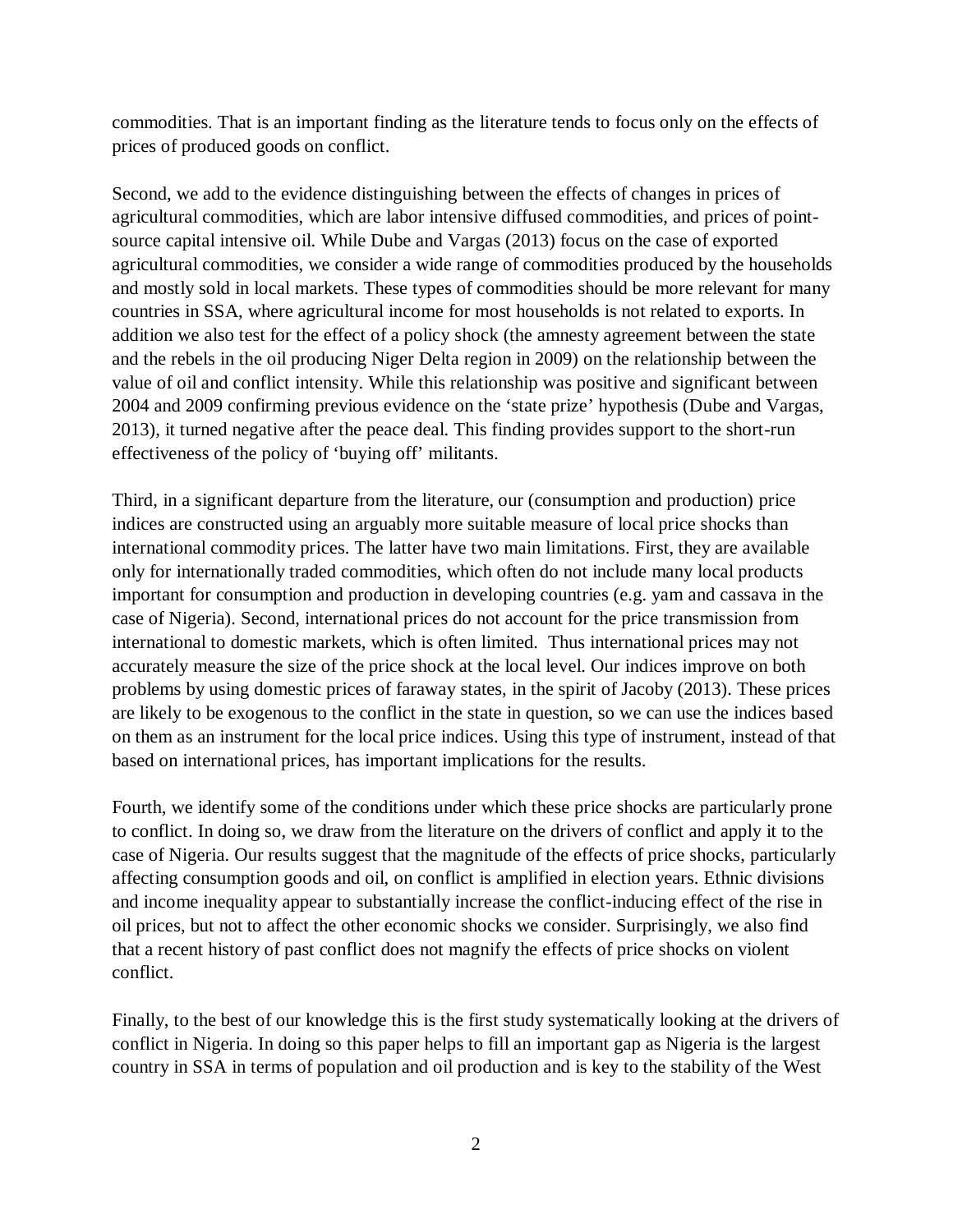commodities. That is an important finding as the literature tends to focus only on the effects of prices of produced goods on conflict.

Second, we add to the evidence distinguishing between the effects of changes in prices of agricultural commodities, which are labor intensive diffused commodities, and prices of pointsource capital intensive oil. While Dube and Vargas (2013) focus on the case of exported agricultural commodities, we consider a wide range of commodities produced by the households and mostly sold in local markets. These types of commodities should be more relevant for many countries in SSA, where agricultural income for most households is not related to exports. In addition we also test for the effect of a policy shock (the amnesty agreement between the state and the rebels in the oil producing Niger Delta region in 2009) on the relationship between the value of oil and conflict intensity. While this relationship was positive and significant between 2004 and 2009 confirming previous evidence on the 'state prize' hypothesis (Dube and Vargas, 2013), it turned negative after the peace deal. This finding provides support to the short-run effectiveness of the policy of 'buying off' militants.

Third, in a significant departure from the literature, our (consumption and production) price indices are constructed using an arguably more suitable measure of local price shocks than international commodity prices. The latter have two main limitations. First, they are available only for internationally traded commodities, which often do not include many local products important for consumption and production in developing countries (e.g. yam and cassava in the case of Nigeria). Second, international prices do not account for the price transmission from international to domestic markets, which is often limited. Thus international prices may not accurately measure the size of the price shock at the local level. Our indices improve on both problems by using domestic prices of faraway states, in the spirit of Jacoby (2013). These prices are likely to be exogenous to the conflict in the state in question, so we can use the indices based on them as an instrument for the local price indices. Using this type of instrument, instead of that based on international prices, has important implications for the results.

Fourth, we identify some of the conditions under which these price shocks are particularly prone to conflict. In doing so, we draw from the literature on the drivers of conflict and apply it to the case of Nigeria. Our results suggest that the magnitude of the effects of price shocks, particularly affecting consumption goods and oil, on conflict is amplified in election years. Ethnic divisions and income inequality appear to substantially increase the conflict-inducing effect of the rise in oil prices, but not to affect the other economic shocks we consider. Surprisingly, we also find that a recent history of past conflict does not magnify the effects of price shocks on violent conflict.

Finally, to the best of our knowledge this is the first study systematically looking at the drivers of conflict in Nigeria. In doing so this paper helps to fill an important gap as Nigeria is the largest country in SSA in terms of population and oil production and is key to the stability of the West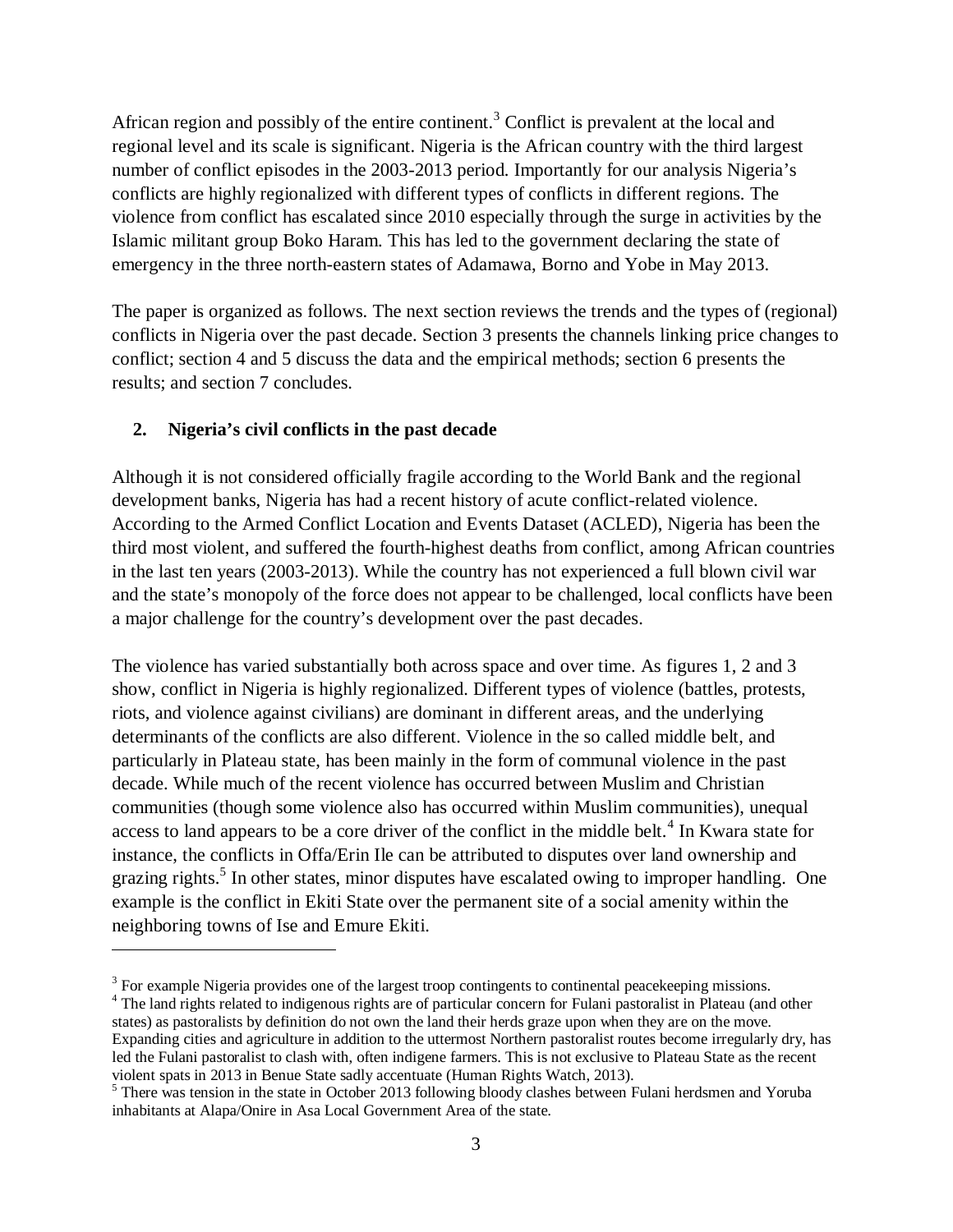African region and possibly of the entire continent.<sup>3</sup> Conflict is prevalent at the local and regional level and its scale is significant. Nigeria is the African country with the third largest number of conflict episodes in the 2003-2013 period. Importantly for our analysis Nigeria's conflicts are highly regionalized with different types of conflicts in different regions. The violence from conflict has escalated since 2010 especially through the surge in activities by the Islamic militant group Boko Haram. This has led to the government declaring the state of emergency in the three north-eastern states of Adamawa, Borno and Yobe in May 2013.

The paper is organized as follows. The next section reviews the trends and the types of (regional) conflicts in Nigeria over the past decade. Section 3 presents the channels linking price changes to conflict; section 4 and 5 discuss the data and the empirical methods; section 6 presents the results; and section 7 concludes.

### **2. Nigeria's civil conflicts in the past decade**

 $\overline{a}$ 

Although it is not considered officially fragile according to the World Bank and the regional development banks, Nigeria has had a recent history of acute conflict-related violence. According to the Armed Conflict Location and Events Dataset (ACLED), Nigeria has been the third most violent, and suffered the fourth-highest deaths from conflict, among African countries in the last ten years (2003-2013). While the country has not experienced a full blown civil war and the state's monopoly of the force does not appear to be challenged, local conflicts have been a major challenge for the country's development over the past decades.

The violence has varied substantially both across space and over time. As figures 1, 2 and 3 show, conflict in Nigeria is highly regionalized. Different types of violence (battles, protests, riots, and violence against civilians) are dominant in different areas, and the underlying determinants of the conflicts are also different. Violence in the so called middle belt, and particularly in Plateau state, has been mainly in the form of communal violence in the past decade. While much of the recent violence has occurred between Muslim and Christian communities (though some violence also has occurred within Muslim communities), unequal access to land appears to be a core driver of the conflict in the middle belt.<sup>4</sup> In Kwara state for instance, the conflicts in Offa/Erin Ile can be attributed to disputes over land ownership and grazing rights.<sup>5</sup> In other states, minor disputes have escalated owing to improper handling. One example is the conflict in Ekiti State over the permanent site of a social amenity within the neighboring towns of Ise and Emure Ekiti.

 $3$  For example Nigeria provides one of the largest troop contingents to continental peacekeeping missions.

<sup>&</sup>lt;sup>4</sup> The land rights related to indigenous rights are of particular concern for Fulani pastoralist in Plateau (and other states) as pastoralists by definition do not own the land their herds graze upon when they are on the move. Expanding cities and agriculture in addition to the uttermost Northern pastoralist routes become irregularly dry, has led the Fulani pastoralist to clash with, often indigene farmers. This is not exclusive to Plateau State as the recent violent spats in 2013 in Benue State sadly accentuate (Human Rights Watch, 2013).

<sup>&</sup>lt;sup>5</sup> There was tension in the state in October 2013 following bloody clashes between Fulani herdsmen and Yoruba inhabitants at Alapa/Onire in Asa Local Government Area of the state.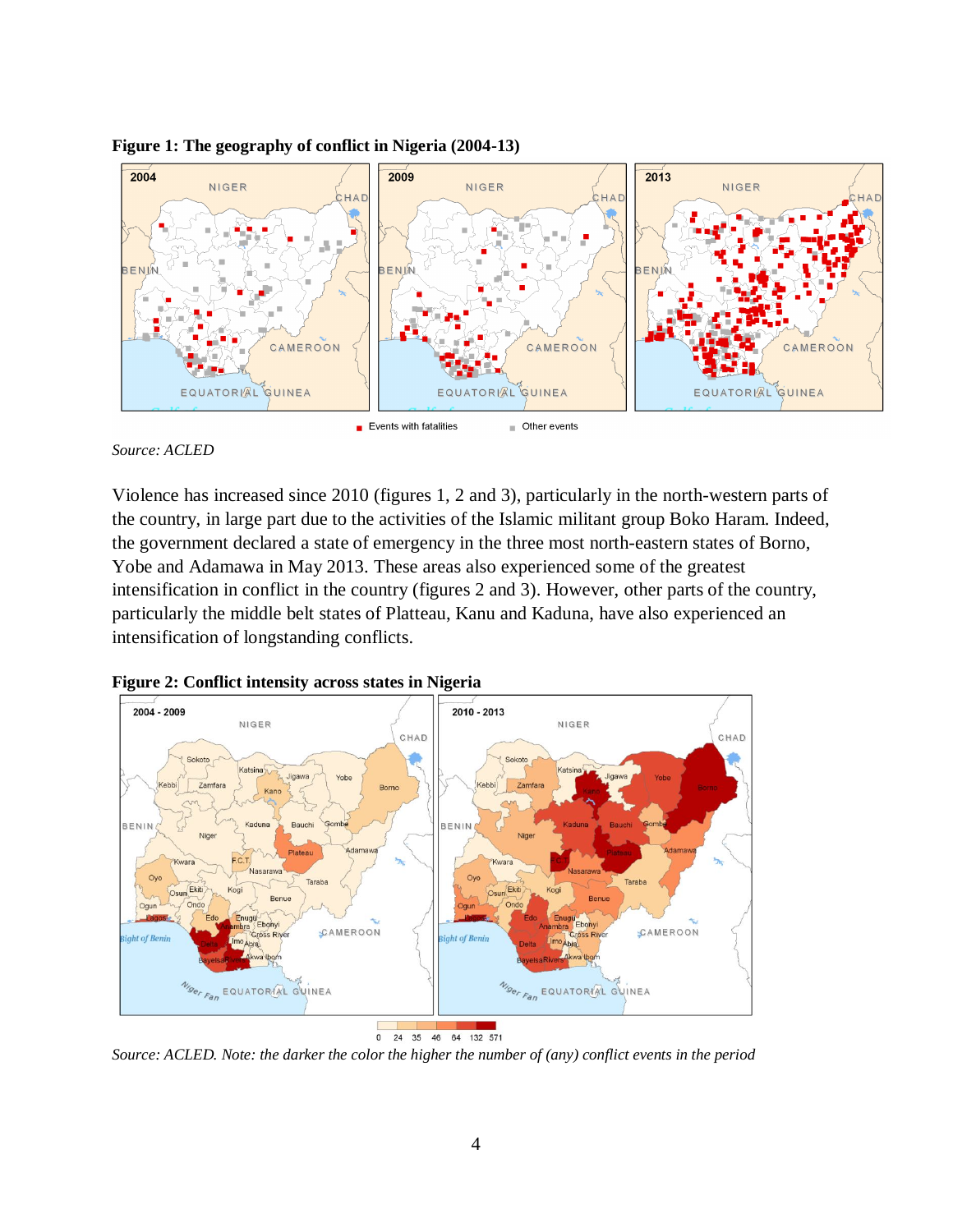

#### **Figure 1: The geography of conflict in Nigeria (2004-13)**

*Source: ACLED*

Violence has increased since 2010 (figures 1, 2 and 3), particularly in the north-western parts of the country, in large part due to the activities of the Islamic militant group Boko Haram. Indeed, the government declared a state of emergency in the three most north-eastern states of Borno, Yobe and Adamawa in May 2013. These areas also experienced some of the greatest intensification in conflict in the country (figures 2 and 3). However, other parts of the country, particularly the middle belt states of Platteau, Kanu and Kaduna, have also experienced an intensification of longstanding conflicts.



**Figure 2: Conflict intensity across states in Nigeria**

0 24 35 46 64 132 571

*Source: ACLED. Note: the darker the color the higher the number of (any) conflict events in the period*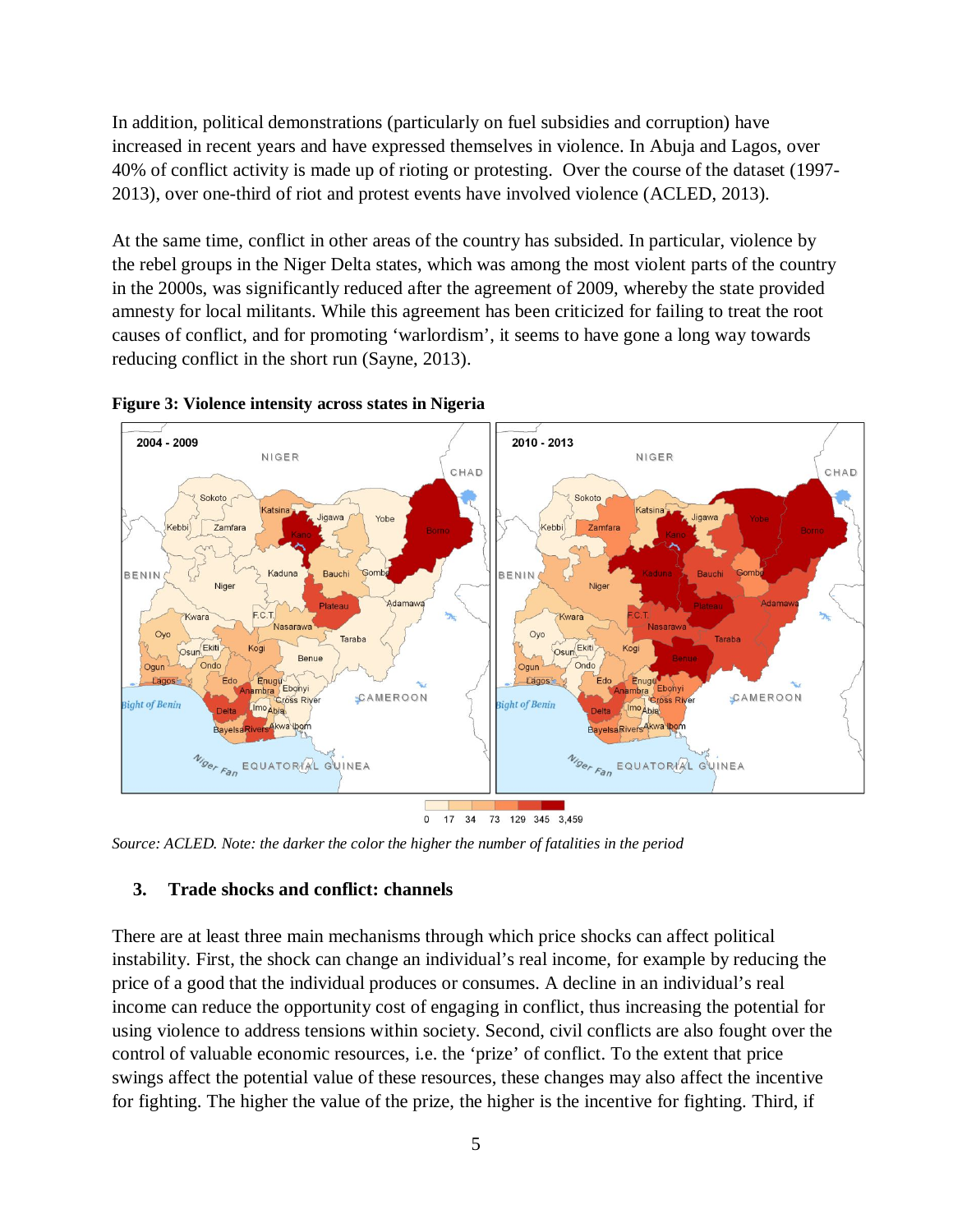In addition, political demonstrations (particularly on fuel subsidies and corruption) have increased in recent years and have expressed themselves in violence. In Abuja and Lagos, over 40% of conflict activity is made up of rioting or protesting. Over the course of the dataset (1997- 2013), over one-third of riot and protest events have involved violence (ACLED, 2013).

At the same time, conflict in other areas of the country has subsided. In particular, violence by the rebel groups in the Niger Delta states, which was among the most violent parts of the country in the 2000s, was significantly reduced after the agreement of 2009, whereby the state provided amnesty for local militants. While this agreement has been criticized for failing to treat the root causes of conflict, and for promoting 'warlordism', it seems to have gone a long way towards reducing conflict in the short run (Sayne, 2013).





*Source: ACLED. Note: the darker the color the higher the number of fatalities in the period*

#### **3. Trade shocks and conflict: channels**

There are at least three main mechanisms through which price shocks can affect political instability. First, the shock can change an individual's real income, for example by reducing the price of a good that the individual produces or consumes. A decline in an individual's real income can reduce the opportunity cost of engaging in conflict, thus increasing the potential for using violence to address tensions within society. Second, civil conflicts are also fought over the control of valuable economic resources, i.e. the 'prize' of conflict. To the extent that price swings affect the potential value of these resources, these changes may also affect the incentive for fighting. The higher the value of the prize, the higher is the incentive for fighting. Third, if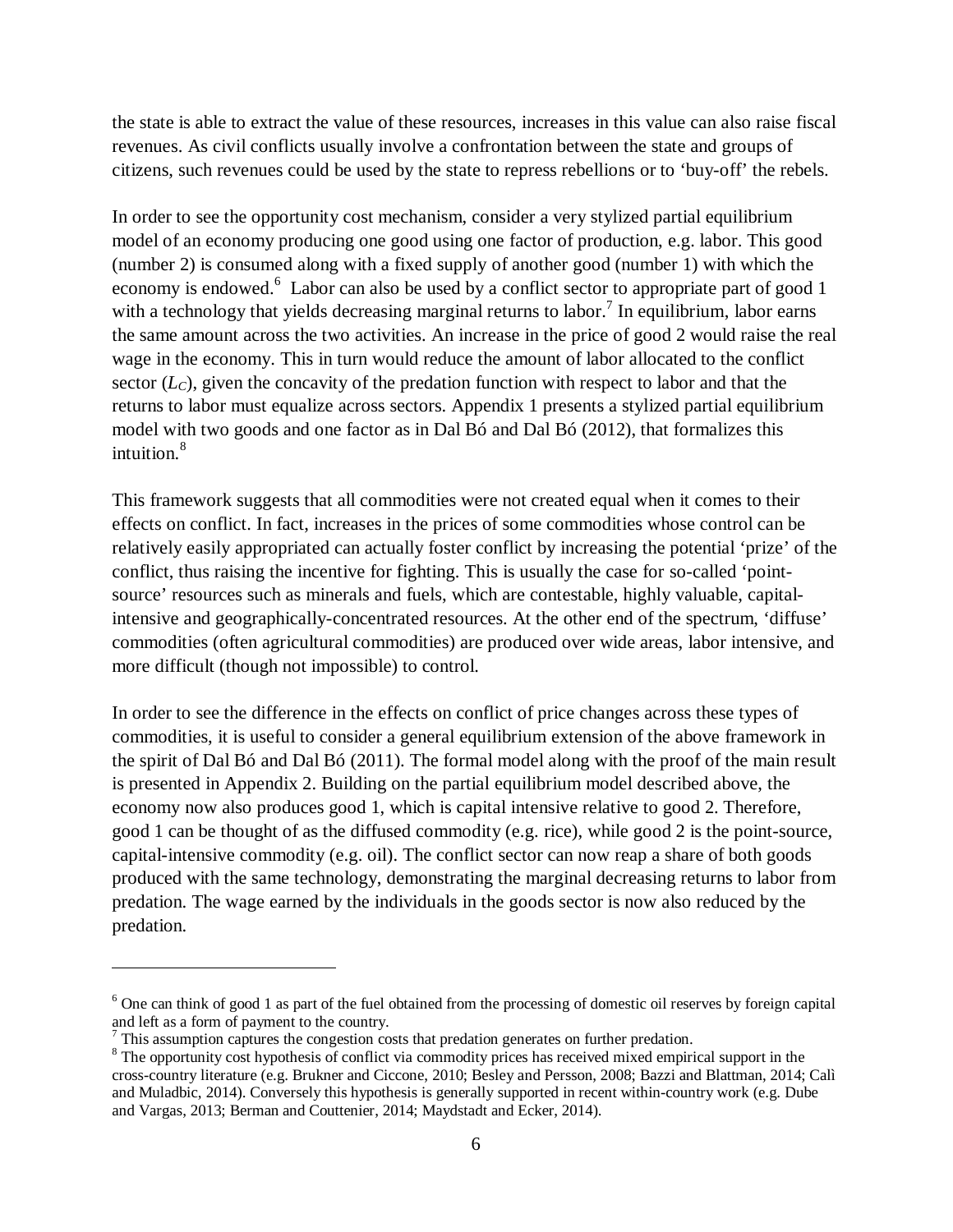the state is able to extract the value of these resources, increases in this value can also raise fiscal revenues. As civil conflicts usually involve a confrontation between the state and groups of citizens, such revenues could be used by the state to repress rebellions or to 'buy-off' the rebels.

In order to see the opportunity cost mechanism, consider a very stylized partial equilibrium model of an economy producing one good using one factor of production, e.g. labor. This good (number 2) is consumed along with a fixed supply of another good (number 1) with which the economy is endowed.<sup>6</sup> Labor can also be used by a conflict sector to appropriate part of good 1 with a technology that yields decreasing marginal returns to labor.<sup>7</sup> In equilibrium, labor earns the same amount across the two activities. An increase in the price of good 2 would raise the real wage in the economy. This in turn would reduce the amount of labor allocated to the conflict sector  $(L<sub>c</sub>)$ , given the concavity of the predation function with respect to labor and that the returns to labor must equalize across sectors. Appendix 1 presents a stylized partial equilibrium model with two goods and one factor as in Dal Bó and Dal Bó (2012), that formalizes this intuition. 8

This framework suggests that all commodities were not created equal when it comes to their effects on conflict. In fact, increases in the prices of some commodities whose control can be relatively easily appropriated can actually foster conflict by increasing the potential 'prize' of the conflict, thus raising the incentive for fighting. This is usually the case for so-called 'pointsource' resources such as minerals and fuels, which are contestable, highly valuable, capitalintensive and geographically-concentrated resources. At the other end of the spectrum, 'diffuse' commodities (often agricultural commodities) are produced over wide areas, labor intensive, and more difficult (though not impossible) to control.

In order to see the difference in the effects on conflict of price changes across these types of commodities, it is useful to consider a general equilibrium extension of the above framework in the spirit of Dal Bó and Dal Bó (2011). The formal model along with the proof of the main result is presented in Appendix 2. Building on the partial equilibrium model described above, the economy now also produces good 1, which is capital intensive relative to good 2. Therefore, good 1 can be thought of as the diffused commodity (e.g. rice), while good 2 is the point-source, capital-intensive commodity (e.g. oil). The conflict sector can now reap a share of both goods produced with the same technology, demonstrating the marginal decreasing returns to labor from predation. The wage earned by the individuals in the goods sector is now also reduced by the predation.

 $\overline{a}$ 

<sup>6</sup> One can think of good 1 as part of the fuel obtained from the processing of domestic oil reserves by foreign capital and left as a form of payment to the country.

 $<sup>7</sup>$  This assumption captures the congestion costs that predation generates on further predation.</sup>

<sup>&</sup>lt;sup>8</sup> The opportunity cost hypothesis of conflict via commodity prices has received mixed empirical support in the cross-country literature (e.g. Brukner and Ciccone, 2010; Besley and Persson, 2008; Bazzi and Blattman, 2014; Calì and Muladbic, 2014). Conversely this hypothesis is generally supported in recent within-country work (e.g. Dube and Vargas, 2013; Berman and Couttenier, 2014; Maydstadt and Ecker, 2014).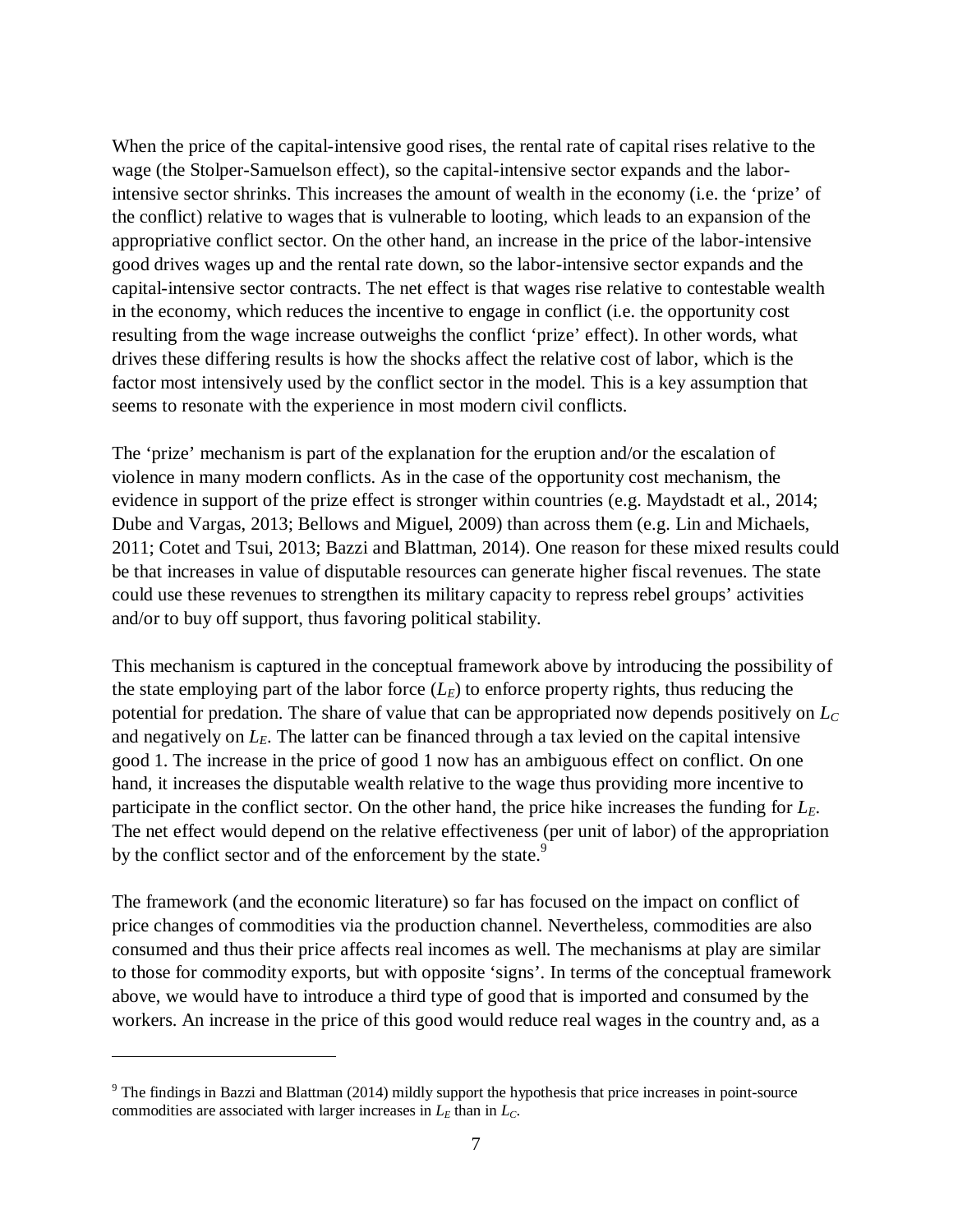When the price of the capital-intensive good rises, the rental rate of capital rises relative to the wage (the Stolper-Samuelson effect), so the capital-intensive sector expands and the laborintensive sector shrinks. This increases the amount of wealth in the economy (i.e. the 'prize' of the conflict) relative to wages that is vulnerable to looting, which leads to an expansion of the appropriative conflict sector. On the other hand, an increase in the price of the labor-intensive good drives wages up and the rental rate down, so the labor-intensive sector expands and the capital-intensive sector contracts. The net effect is that wages rise relative to contestable wealth in the economy, which reduces the incentive to engage in conflict (i.e. the opportunity cost resulting from the wage increase outweighs the conflict 'prize' effect). In other words, what drives these differing results is how the shocks affect the relative cost of labor, which is the factor most intensively used by the conflict sector in the model. This is a key assumption that seems to resonate with the experience in most modern civil conflicts.

The 'prize' mechanism is part of the explanation for the eruption and/or the escalation of violence in many modern conflicts. As in the case of the opportunity cost mechanism, the evidence in support of the prize effect is stronger within countries (e.g. Maydstadt et al., 2014; Dube and Vargas, 2013; Bellows and Miguel, 2009) than across them (e.g. Lin and Michaels, 2011; Cotet and Tsui, 2013; Bazzi and Blattman, 2014). One reason for these mixed results could be that increases in value of disputable resources can generate higher fiscal revenues. The state could use these revenues to strengthen its military capacity to repress rebel groups' activities and/or to buy off support, thus favoring political stability.

This mechanism is captured in the conceptual framework above by introducing the possibility of the state employing part of the labor force  $(L_E)$  to enforce property rights, thus reducing the potential for predation. The share of value that can be appropriated now depends positively on *L<sup>C</sup>* and negatively on  $L_E$ . The latter can be financed through a tax levied on the capital intensive good 1. The increase in the price of good 1 now has an ambiguous effect on conflict. On one hand, it increases the disputable wealth relative to the wage thus providing more incentive to participate in the conflict sector. On the other hand, the price hike increases the funding for *LE*. The net effect would depend on the relative effectiveness (per unit of labor) of the appropriation by the conflict sector and of the enforcement by the state.<sup>9</sup>

The framework (and the economic literature) so far has focused on the impact on conflict of price changes of commodities via the production channel. Nevertheless, commodities are also consumed and thus their price affects real incomes as well. The mechanisms at play are similar to those for commodity exports, but with opposite 'signs'. In terms of the conceptual framework above, we would have to introduce a third type of good that is imported and consumed by the workers. An increase in the price of this good would reduce real wages in the country and, as a

 $\overline{a}$ 

<sup>&</sup>lt;sup>9</sup> The findings in Bazzi and Blattman (2014) mildly support the hypothesis that price increases in point-source commodities are associated with larger increases in  $L<sub>E</sub>$  than in  $L<sub>C</sub>$ .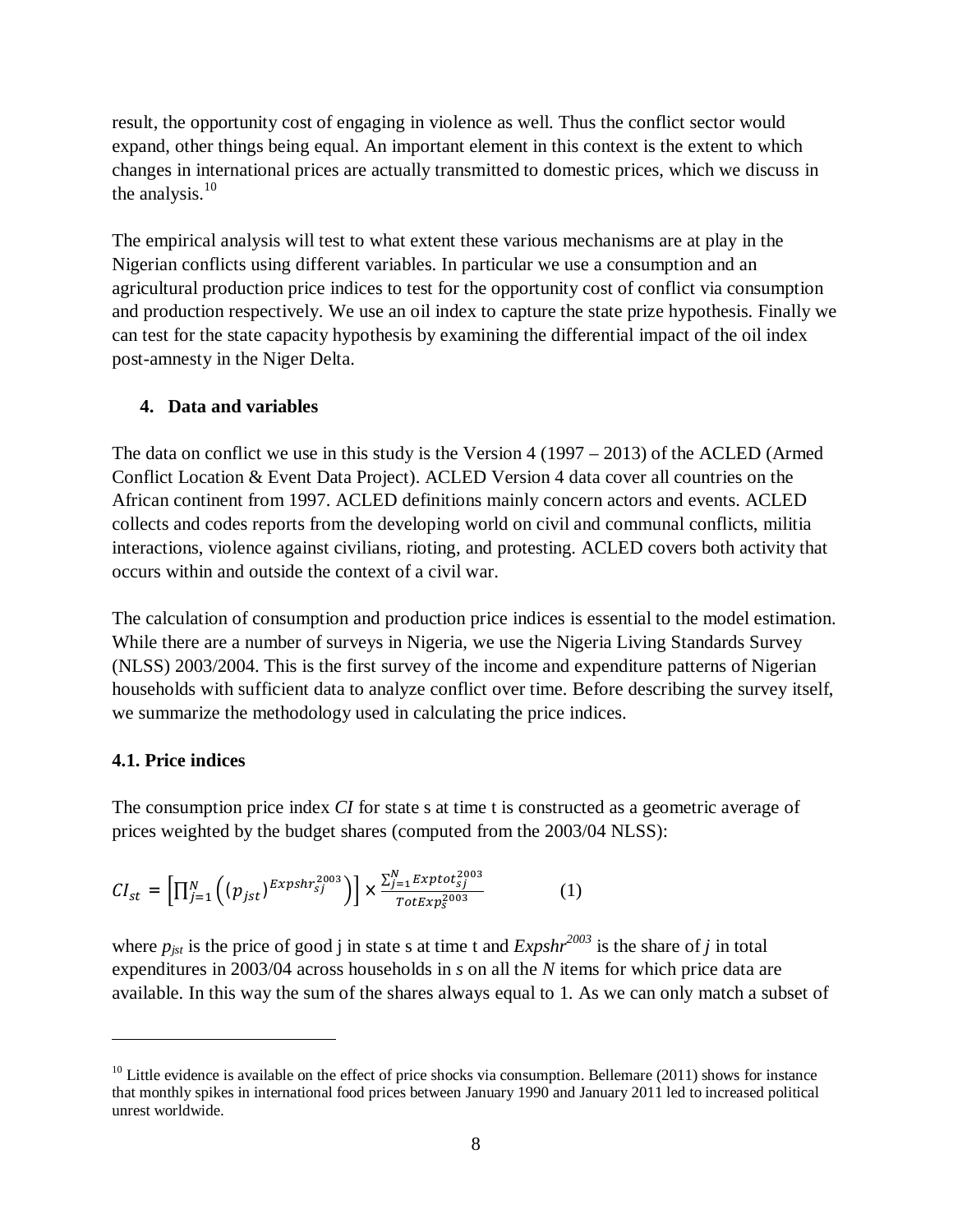result, the opportunity cost of engaging in violence as well. Thus the conflict sector would expand, other things being equal. An important element in this context is the extent to which changes in international prices are actually transmitted to domestic prices, which we discuss in the analysis.<sup>10</sup>

The empirical analysis will test to what extent these various mechanisms are at play in the Nigerian conflicts using different variables. In particular we use a consumption and an agricultural production price indices to test for the opportunity cost of conflict via consumption and production respectively. We use an oil index to capture the state prize hypothesis. Finally we can test for the state capacity hypothesis by examining the differential impact of the oil index post-amnesty in the Niger Delta.

# **4. Data and variables**

The data on conflict we use in this study is the Version 4 (1997 – 2013) of the ACLED (Armed Conflict Location & Event Data Project). ACLED Version 4 data cover all countries on the African continent from 1997. ACLED definitions mainly concern actors and events. ACLED collects and codes reports from the developing world on civil and communal conflicts, militia interactions, violence against civilians, rioting, and protesting. ACLED covers both activity that occurs within and outside the context of a civil war.

The calculation of consumption and production price indices is essential to the model estimation. While there are a number of surveys in Nigeria, we use the Nigeria Living Standards Survey (NLSS) 2003/2004. This is the first survey of the income and expenditure patterns of Nigerian households with sufficient data to analyze conflict over time. Before describing the survey itself, we summarize the methodology used in calculating the price indices.

# **4.1. Price indices**

 $\overline{a}$ 

The consumption price index *CI* for state s at time t is constructed as a geometric average of prices weighted by the budget shares (computed from the 2003/04 NLSS):

$$
CI_{st} = \left[\prod_{j=1}^{N} \left( (p_{jst})^{Expshr_{sj}^{2003}} \right) \right] \times \frac{\sum_{j=1}^{N} Exptot_{sj}^{2003}}{TotExp_{s}^{2003}}
$$
 (1)

where  $p_{jst}$  is the price of good j in state s at time t and  $Expshr^{2003}$  is the share of *j* in total expenditures in 2003/04 across households in *s* on all the *N* items for which price data are available. In this way the sum of the shares always equal to 1. As we can only match a subset of

 $10$  Little evidence is available on the effect of price shocks via consumption. Bellemare (2011) shows for instance that monthly spikes in international food prices between January 1990 and January 2011 led to increased political unrest worldwide.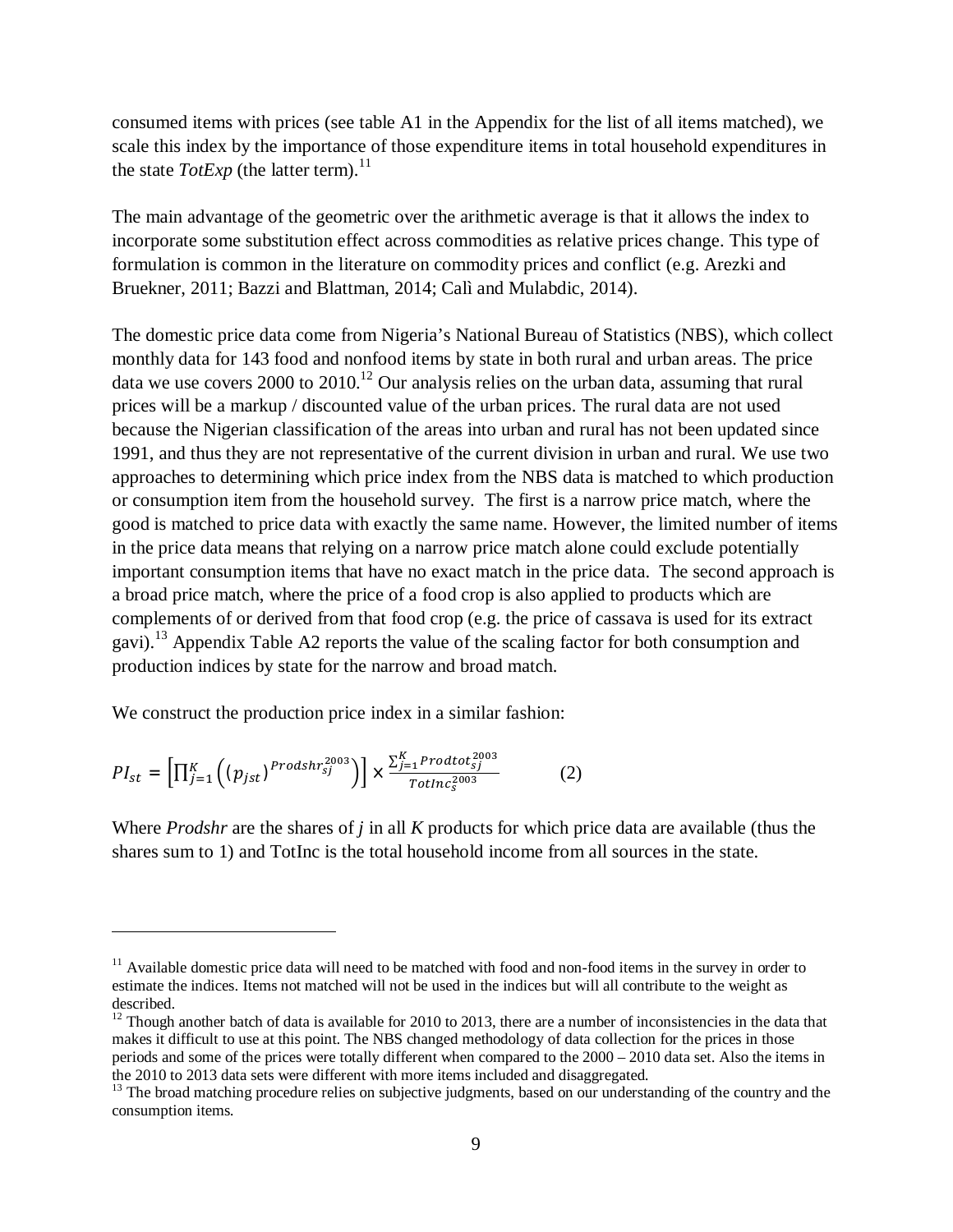consumed items with prices (see table A1 in the Appendix for the list of all items matched), we scale this index by the importance of those expenditure items in total household expenditures in the state *TotExp* (the latter term).<sup>11</sup>

The main advantage of the geometric over the arithmetic average is that it allows the index to incorporate some substitution effect across commodities as relative prices change. This type of formulation is common in the literature on commodity prices and conflict (e.g. Arezki and Bruekner, 2011; Bazzi and Blattman, 2014; Calì and Mulabdic, 2014).

The domestic price data come from Nigeria's National Bureau of Statistics (NBS), which collect monthly data for 143 food and nonfood items by state in both rural and urban areas. The price data we use covers 2000 to 2010.<sup>12</sup> Our analysis relies on the urban data, assuming that rural prices will be a markup / discounted value of the urban prices. The rural data are not used because the Nigerian classification of the areas into urban and rural has not been updated since 1991, and thus they are not representative of the current division in urban and rural. We use two approaches to determining which price index from the NBS data is matched to which production or consumption item from the household survey. The first is a narrow price match, where the good is matched to price data with exactly the same name. However, the limited number of items in the price data means that relying on a narrow price match alone could exclude potentially important consumption items that have no exact match in the price data. The second approach is a broad price match, where the price of a food crop is also applied to products which are complements of or derived from that food crop (e.g. the price of cassava is used for its extract gavi).<sup>13</sup> Appendix Table A2 reports the value of the scaling factor for both consumption and production indices by state for the narrow and broad match.

We construct the production price index in a similar fashion:

$$
PI_{st} = \left[\prod_{j=1}^{K} \left( (p_{jst})^{Prodshr_{sj}^{2003}} \right) \right] \times \frac{\sum_{j=1}^{K} Prodtot_{sj}^{2003}}{Totlnc_{s}^{2003}} \tag{2}
$$

 $\overline{a}$ 

Where *Prodshr* are the shares of *j* in all *K* products for which price data are available (thus the shares sum to 1) and TotInc is the total household income from all sources in the state.

 $11$  Available domestic price data will need to be matched with food and non-food items in the survey in order to estimate the indices. Items not matched will not be used in the indices but will all contribute to the weight as described.

<sup>&</sup>lt;sup>12</sup> Though another batch of data is available for 2010 to 2013, there are a number of inconsistencies in the data that makes it difficult to use at this point. The NBS changed methodology of data collection for the prices in those periods and some of the prices were totally different when compared to the 2000 – 2010 data set. Also the items in the 2010 to 2013 data sets were different with more items included and disaggregated.

<sup>&</sup>lt;sup>13</sup> The broad matching procedure relies on subjective judgments, based on our understanding of the country and the consumption items.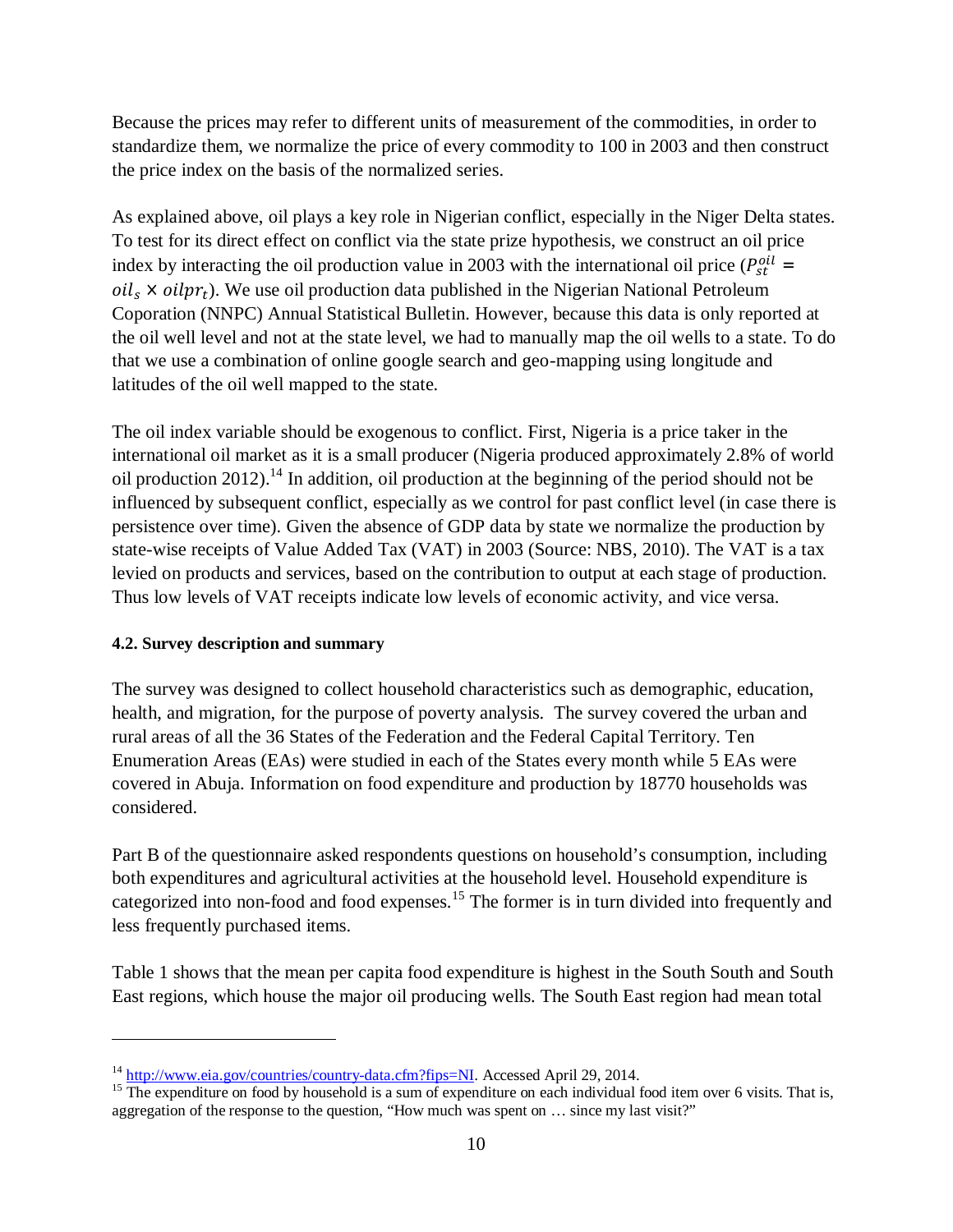Because the prices may refer to different units of measurement of the commodities, in order to standardize them, we normalize the price of every commodity to 100 in 2003 and then construct the price index on the basis of the normalized series.

As explained above, oil plays a key role in Nigerian conflict, especially in the Niger Delta states. To test for its direct effect on conflict via the state prize hypothesis, we construct an oil price index by interacting the oil production value in 2003 with the international oil price ( $P_{st}^{oil}$  =  $\delta$ *oil<sub>s</sub>*  $\times$  *oilpr<sub>t</sub>*). We use oil production data published in the Nigerian National Petroleum Coporation (NNPC) Annual Statistical Bulletin. However, because this data is only reported at the oil well level and not at the state level, we had to manually map the oil wells to a state. To do that we use a combination of online google search and geo-mapping using longitude and latitudes of the oil well mapped to the state.

The oil index variable should be exogenous to conflict. First, Nigeria is a price taker in the international oil market as it is a small producer (Nigeria produced approximately 2.8% of world oil production 2012).<sup>14</sup> In addition, oil production at the beginning of the period should not be influenced by subsequent conflict, especially as we control for past conflict level (in case there is persistence over time). Given the absence of GDP data by state we normalize the production by state-wise receipts of Value Added Tax (VAT) in 2003 (Source: NBS, 2010). The VAT is a tax levied on products and services, based on the contribution to output at each stage of production. Thus low levels of VAT receipts indicate low levels of economic activity, and vice versa.

# **4.2. Survey description and summary**

 $\overline{a}$ 

The survey was designed to collect household characteristics such as demographic, education, health, and migration, for the purpose of poverty analysis. The survey covered the urban and rural areas of all the 36 States of the Federation and the Federal Capital Territory. Ten Enumeration Areas (EAs) were studied in each of the States every month while 5 EAs were covered in Abuja. Information on food expenditure and production by 18770 households was considered.

Part B of the questionnaire asked respondents questions on household's consumption, including both expenditures and agricultural activities at the household level. Household expenditure is categorized into non-food and food expenses.<sup>15</sup> The former is in turn divided into frequently and less frequently purchased items.

Table 1 shows that the mean per capita food expenditure is highest in the South South and South East regions, which house the major oil producing wells. The South East region had mean total

<sup>&</sup>lt;sup>14</sup> http://www.eia.gov/countries/country-data.cfm?fips=NI. Accessed April 29, 2014.

<sup>&</sup>lt;sup>15</sup> The expenditure on food by household is a sum of expenditure on each individual food item over 6 visits. That is, aggregation of the response to the question, "How much was spent on … since my last visit?"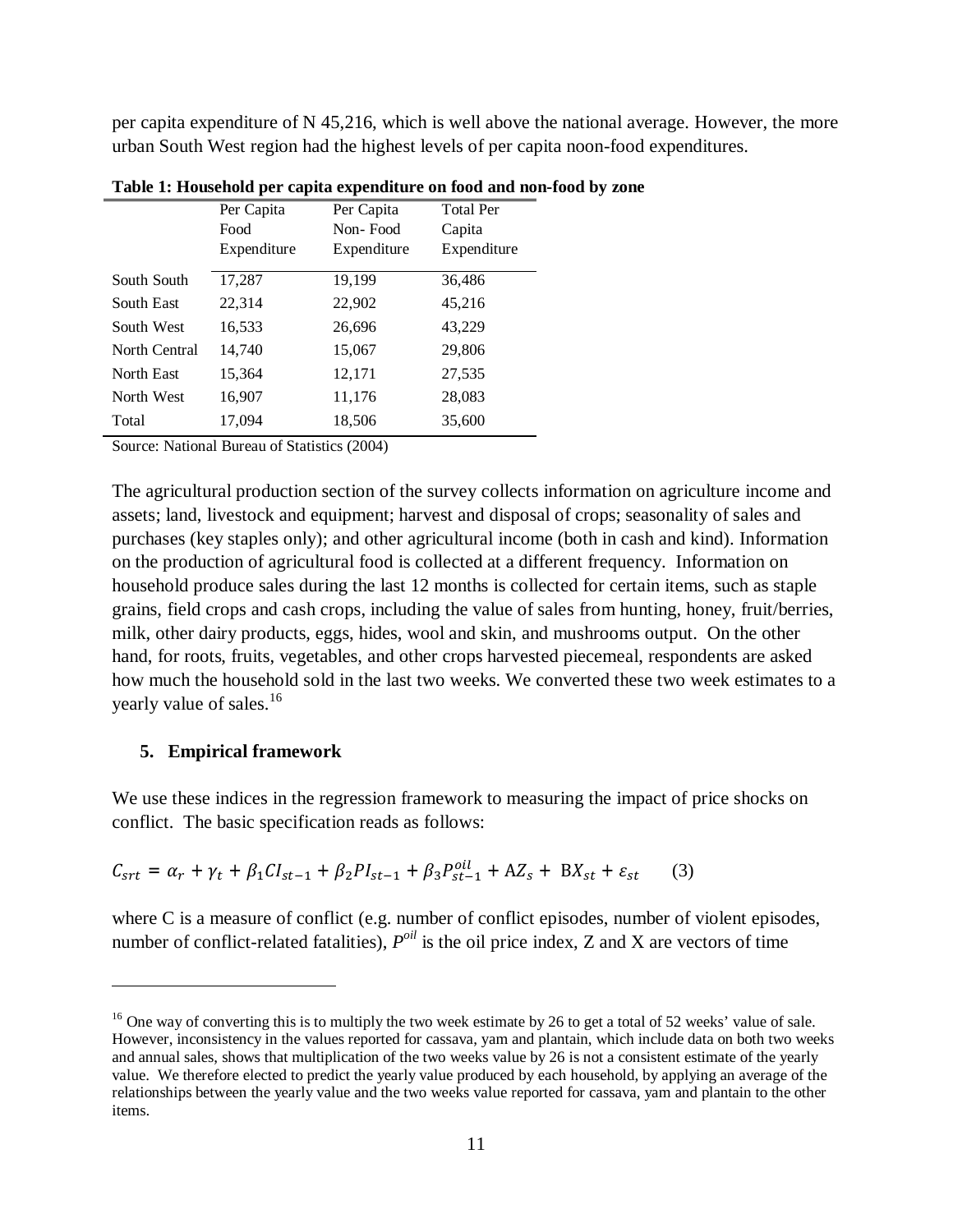per capita expenditure of N 45,216, which is well above the national average. However, the more urban South West region had the highest levels of per capita noon-food expenditures.

|               | Per Capita  | Per Capita  | <b>Total Per</b> |
|---------------|-------------|-------------|------------------|
|               | Food        | Non-Food    | Capita           |
|               | Expenditure | Expenditure | Expenditure      |
| South South   | 17,287      | 19,199      | 36,486           |
|               |             |             |                  |
| South East    | 22,314      | 22,902      | 45,216           |
| South West    | 16,533      | 26,696      | 43,229           |
| North Central | 14,740      | 15,067      | 29,806           |
| North East    | 15,364      | 12,171      | 27,535           |
| North West    | 16,907      | 11,176      | 28,083           |
| Total         | 17,094      | 18,506      | 35,600           |

**Table 1: Household per capita expenditure on food and non-food by zone**

Source: National Bureau of Statistics (2004)

The agricultural production section of the survey collects information on agriculture income and assets; land, livestock and equipment; harvest and disposal of crops; seasonality of sales and purchases (key staples only); and other agricultural income (both in cash and kind). Information on the production of agricultural food is collected at a different frequency. Information on household produce sales during the last 12 months is collected for certain items, such as staple grains, field crops and cash crops, including the value of sales from hunting, honey, fruit/berries, milk, other dairy products, eggs, hides, wool and skin, and mushrooms output. On the other hand, for roots, fruits, vegetables, and other crops harvested piecemeal, respondents are asked how much the household sold in the last two weeks. We converted these two week estimates to a yearly value of sales. 16

#### **5. Empirical framework**

 $\overline{a}$ 

We use these indices in the regression framework to measuring the impact of price shocks on conflict. The basic specification reads as follows:

$$
C_{srt} = \alpha_r + \gamma_t + \beta_1 C I_{st-1} + \beta_2 P I_{st-1} + \beta_3 P_{st-1}^{oil} + AZ_s + BX_{st} + \varepsilon_{st}
$$
 (3)

where C is a measure of conflict (e.g. number of conflict episodes, number of violent episodes, number of conflict-related fatalities),  $P^{oil}$  is the oil price index, Z and X are vectors of time

<sup>&</sup>lt;sup>16</sup> One way of converting this is to multiply the two week estimate by 26 to get a total of 52 weeks' value of sale. However, inconsistency in the values reported for cassava, yam and plantain, which include data on both two weeks and annual sales, shows that multiplication of the two weeks value by 26 is not a consistent estimate of the yearly value. We therefore elected to predict the yearly value produced by each household, by applying an average of the relationships between the yearly value and the two weeks value reported for cassava, yam and plantain to the other items.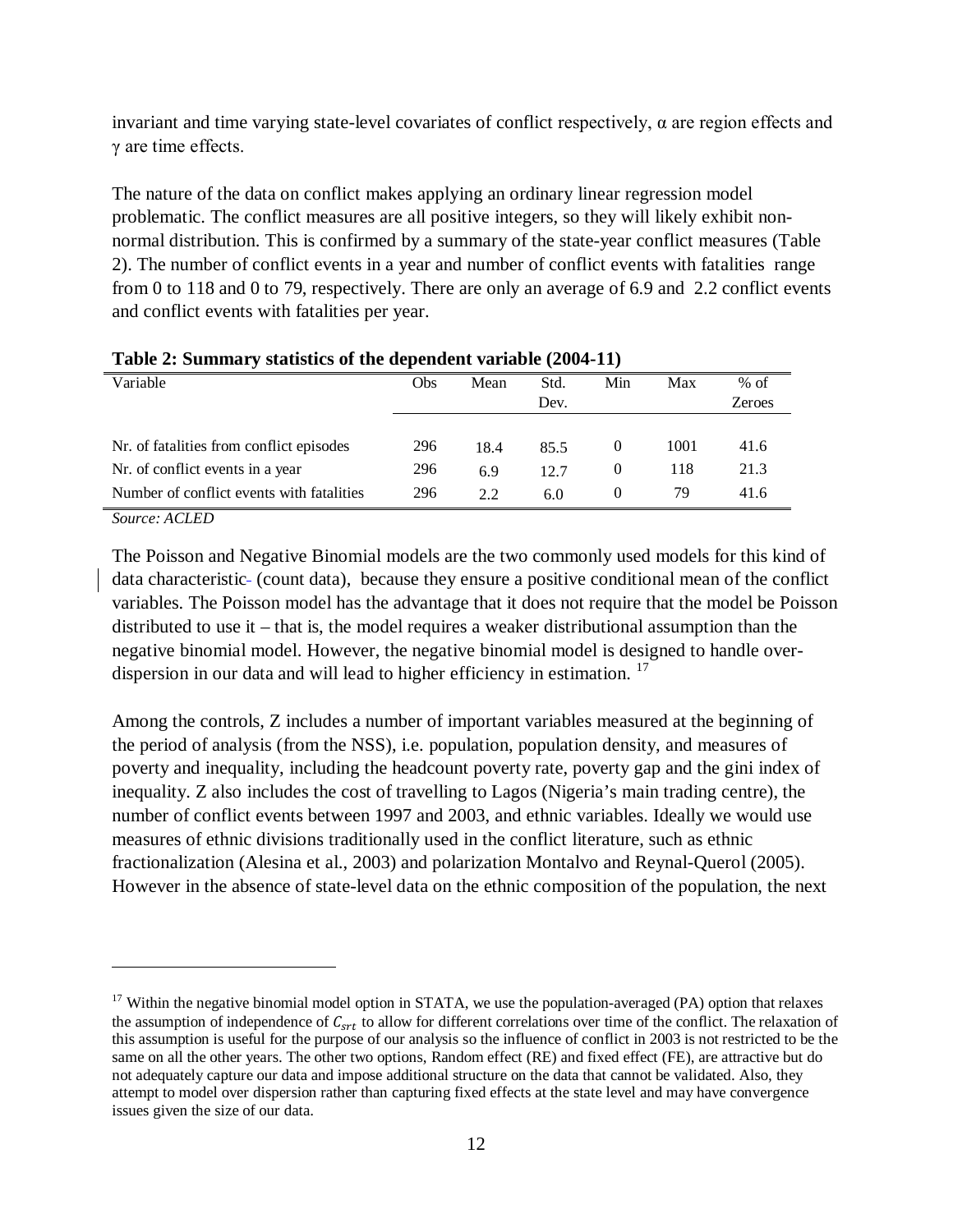invariant and time varying state-level covariates of conflict respectively,  $\alpha$  are region effects and γ are time effects.

The nature of the data on conflict makes applying an ordinary linear regression model problematic. The conflict measures are all positive integers, so they will likely exhibit nonnormal distribution. This is confirmed by a summary of the state-year conflict measures (Table 2). The number of conflict events in a year and number of conflict events with fatalities range from 0 to 118 and 0 to 79, respectively. There are only an average of 6.9 and 2.2 conflict events and conflict events with fatalities per year.

| Variable                                  | Obs | Mean | Std. | Min | Max  | $%$ of        |
|-------------------------------------------|-----|------|------|-----|------|---------------|
|                                           |     |      | Dev. |     |      | <b>Zeroes</b> |
|                                           |     |      |      |     |      |               |
| Nr. of fatalities from conflict episodes  | 296 | 18.4 | 85.5 |     | 1001 | 41.6          |
| Nr. of conflict events in a year          | 296 | 6.9  | 12.7 |     | 118  | 21.3          |
| Number of conflict events with fatalities | 296 | 2.2  | 6.0  |     | 79   | 41.6          |

| Table 2: Summary statistics of the dependent variable (2004-11) |  |  |  |  |
|-----------------------------------------------------------------|--|--|--|--|
|-----------------------------------------------------------------|--|--|--|--|

*Source: ACLED*

 $\overline{a}$ 

The Poisson and Negative Binomial models are the two commonly used models for this kind of data characteristic- (count data), because they ensure a positive conditional mean of the conflict variables. The Poisson model has the advantage that it does not require that the model be Poisson distributed to use it – that is, the model requires a weaker distributional assumption than the negative binomial model. However, the negative binomial model is designed to handle overdispersion in our data and will lead to higher efficiency in estimation.<sup>17</sup>

Among the controls, Z includes a number of important variables measured at the beginning of the period of analysis (from the NSS), i.e. population, population density, and measures of poverty and inequality, including the headcount poverty rate, poverty gap and the gini index of inequality. Z also includes the cost of travelling to Lagos (Nigeria's main trading centre), the number of conflict events between 1997 and 2003, and ethnic variables. Ideally we would use measures of ethnic divisions traditionally used in the conflict literature, such as ethnic fractionalization (Alesina et al., 2003) and polarization Montalvo and Reynal-Querol (2005). However in the absence of state-level data on the ethnic composition of the population, the next

<sup>&</sup>lt;sup>17</sup> Within the negative binomial model option in STATA, we use the population-averaged (PA) option that relaxes the assumption of independence of  $C_{\text{crt}}$  to allow for different correlations over time of the conflict. The relaxation of this assumption is useful for the purpose of our analysis so the influence of conflict in 2003 is not restricted to be the same on all the other years. The other two options, Random effect (RE) and fixed effect (FE), are attractive but do not adequately capture our data and impose additional structure on the data that cannot be validated. Also, they attempt to model over dispersion rather than capturing fixed effects at the state level and may have convergence issues given the size of our data.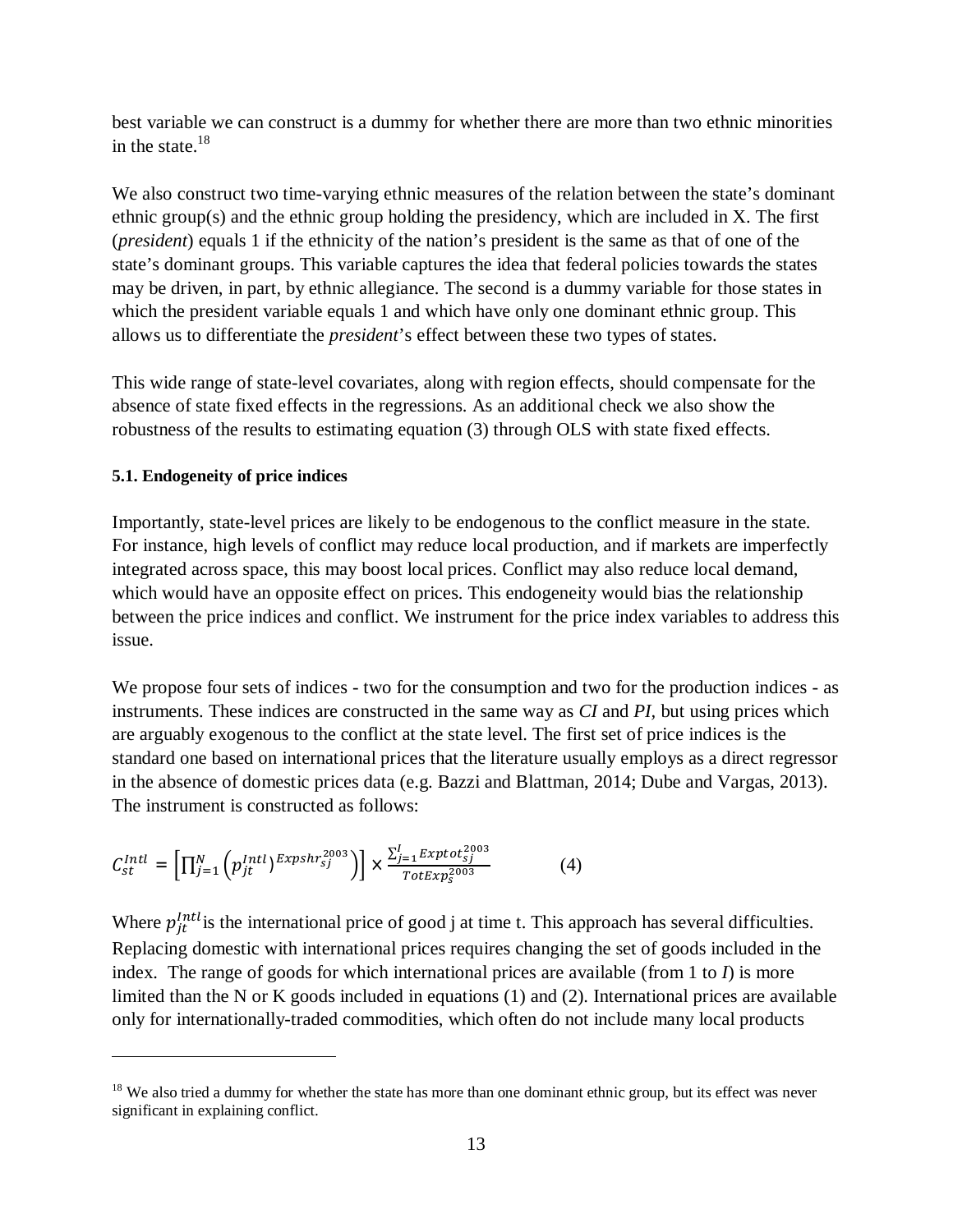best variable we can construct is a dummy for whether there are more than two ethnic minorities in the state. $18$ 

We also construct two time-varying ethnic measures of the relation between the state's dominant ethnic group(s) and the ethnic group holding the presidency, which are included in X. The first (*president*) equals 1 if the ethnicity of the nation's president is the same as that of one of the state's dominant groups. This variable captures the idea that federal policies towards the states may be driven, in part, by ethnic allegiance. The second is a dummy variable for those states in which the president variable equals 1 and which have only one dominant ethnic group. This allows us to differentiate the *president*'s effect between these two types of states.

This wide range of state-level covariates, along with region effects, should compensate for the absence of state fixed effects in the regressions. As an additional check we also show the robustness of the results to estimating equation (3) through OLS with state fixed effects.

# **5.1. Endogeneity of price indices**

 $\overline{a}$ 

Importantly, state-level prices are likely to be endogenous to the conflict measure in the state. For instance, high levels of conflict may reduce local production, and if markets are imperfectly integrated across space, this may boost local prices. Conflict may also reduce local demand, which would have an opposite effect on prices. This endogeneity would bias the relationship between the price indices and conflict. We instrument for the price index variables to address this issue.

We propose four sets of indices - two for the consumption and two for the production indices - as instruments. These indices are constructed in the same way as *CI* and *PI,* but using prices which are arguably exogenous to the conflict at the state level. The first set of price indices is the standard one based on international prices that the literature usually employs as a direct regressor in the absence of domestic prices data (e.g. Bazzi and Blattman, 2014; Dube and Vargas, 2013). The instrument is constructed as follows:

$$
C_{st}^{Intl} = \left[\prod_{j=1}^{N} \left(p_{jt}^{Intl}\right)^{Expshr_{sj}^{2003}}\right)\right] \times \frac{\sum_{j=1}^{I} Exptot_{sj}^{2003}}{TotExp_{s}^{2003}}
$$
(4)

Where  $p_{jt}^{Intl}$  is the international price of good j at time t. This approach has several difficulties. Replacing domestic with international prices requires changing the set of goods included in the index. The range of goods for which international prices are available (from 1 to  $I$ ) is more limited than the N or K goods included in equations (1) and (2). International prices are available only for internationally-traded commodities, which often do not include many local products

 $18$  We also tried a dummy for whether the state has more than one dominant ethnic group, but its effect was never significant in explaining conflict.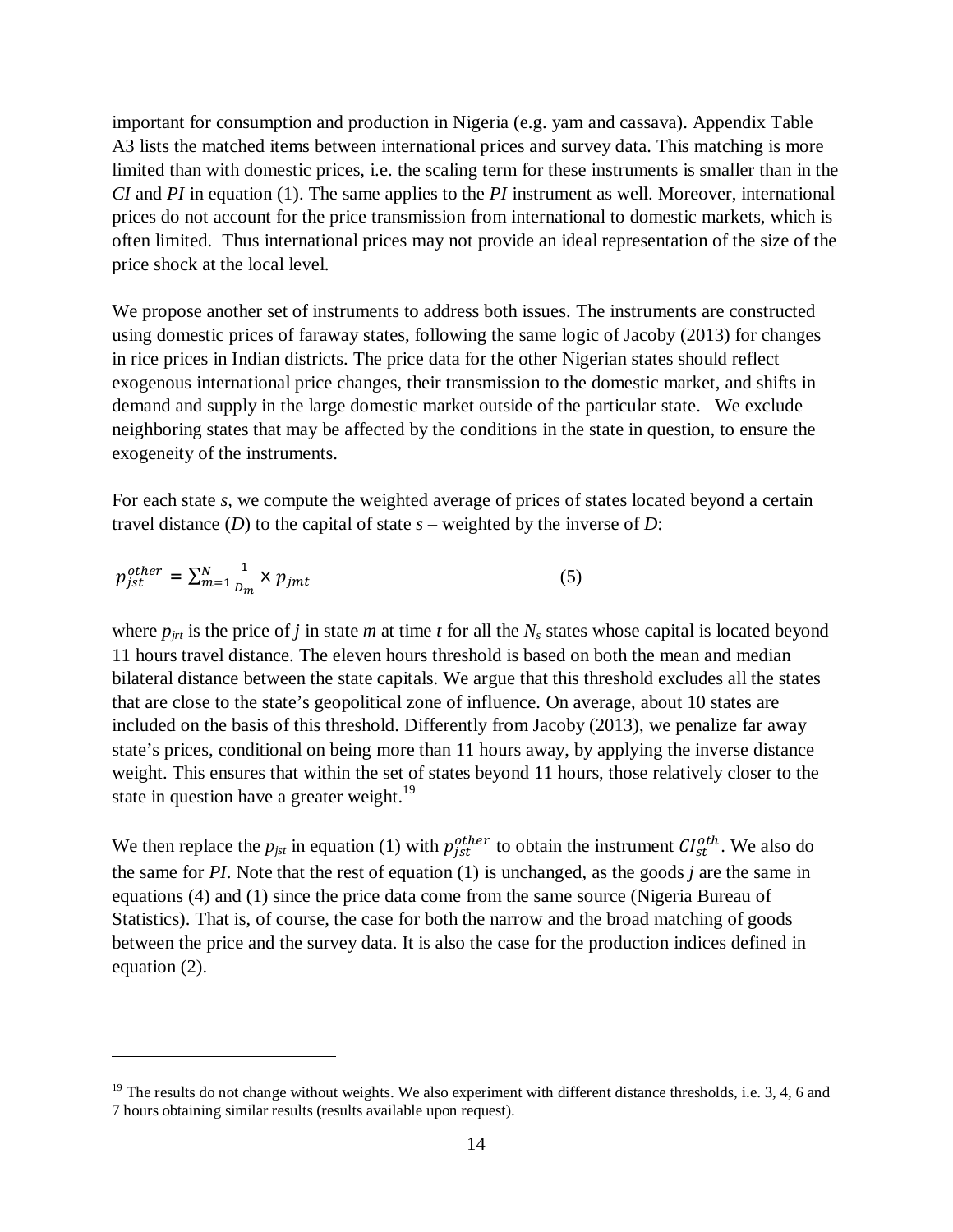important for consumption and production in Nigeria (e.g. yam and cassava). Appendix Table A3 lists the matched items between international prices and survey data. This matching is more limited than with domestic prices, i.e. the scaling term for these instruments is smaller than in the *CI* and *PI* in equation (1). The same applies to the *PI* instrument as well. Moreover, international prices do not account for the price transmission from international to domestic markets, which is often limited. Thus international prices may not provide an ideal representation of the size of the price shock at the local level.

We propose another set of instruments to address both issues. The instruments are constructed using domestic prices of faraway states, following the same logic of Jacoby (2013) for changes in rice prices in Indian districts. The price data for the other Nigerian states should reflect exogenous international price changes, their transmission to the domestic market, and shifts in demand and supply in the large domestic market outside of the particular state. We exclude neighboring states that may be affected by the conditions in the state in question, to ensure the exogeneity of the instruments.

For each state *s,* we compute the weighted average of prices of states located beyond a certain travel distance  $(D)$  to the capital of state  $s$  – weighted by the inverse of  $D$ :

$$
p_{jst}^{other} = \sum_{m=1}^{N} \frac{1}{D_m} \times p_{jmt} \tag{5}
$$

 $\overline{a}$ 

where  $p_{jrt}$  is the price of *j* in state *m* at time *t* for all the  $N_s$  states whose capital is located beyond 11 hours travel distance. The eleven hours threshold is based on both the mean and median bilateral distance between the state capitals. We argue that this threshold excludes all the states that are close to the state's geopolitical zone of influence. On average, about 10 states are included on the basis of this threshold. Differently from Jacoby (2013), we penalize far away state's prices, conditional on being more than 11 hours away, by applying the inverse distance weight. This ensures that within the set of states beyond 11 hours, those relatively closer to the state in question have a greater weight.<sup>19</sup>

We then replace the  $p_{jst}$  in equation (1) with  $p_{jst}^{other}$  to obtain the instrument  $CI_{st}^{oth}$ . We also do the same for *PI*. Note that the rest of equation (1) is unchanged, as the goods *j* are the same in equations (4) and (1) since the price data come from the same source (Nigeria Bureau of Statistics). That is, of course, the case for both the narrow and the broad matching of goods between the price and the survey data. It is also the case for the production indices defined in equation (2).

 $19$  The results do not change without weights. We also experiment with different distance thresholds, i.e. 3, 4, 6 and 7 hours obtaining similar results (results available upon request).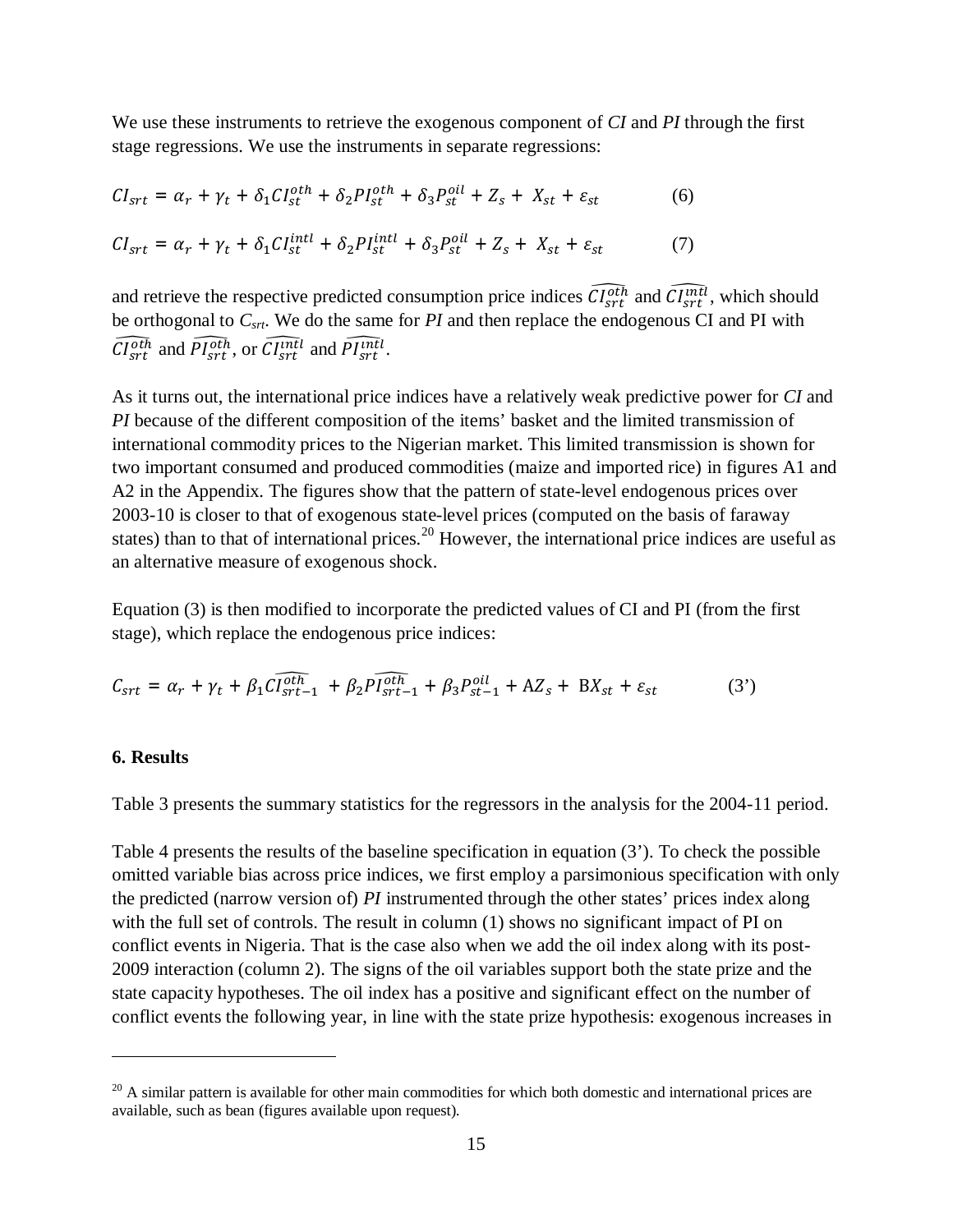We use these instruments to retrieve the exogenous component of *CI* and *PI* through the first stage regressions. We use the instruments in separate regressions:

$$
CI_{srt} = \alpha_r + \gamma_t + \delta_1 CI_{st}^{oth} + \delta_2 PI_{st}^{oth} + \delta_3 P_{st}^{oil} + Z_s + X_{st} + \varepsilon_{st}
$$
(6)  

$$
CI_{srt} = \alpha_r + \gamma_t + \delta_1 CI_{st}^{intl} + \delta_2 PI_{st}^{intl} + \delta_3 P_{st}^{oil} + Z_s + X_{st} + \varepsilon_{st}
$$
(7)

and retrieve the respective predicted consumption price indices  $\widehat{Cl_{srt}^{Oth}}$  and  $\widehat{Cl_{srt}^{Oth}}$ , which should be orthogonal to  $C_{\text{str}}$ . We do the same for *PI* and then replace the endogenous CI and PI with  $\widehat{CI_{srt}}$  and  $\widehat{PI_{srt}}$ , or  $\widehat{CI_{srt}}$  and  $\widehat{PI_{srt}}$ .

As it turns out, the international price indices have a relatively weak predictive power for *CI* and *PI* because of the different composition of the items' basket and the limited transmission of international commodity prices to the Nigerian market. This limited transmission is shown for two important consumed and produced commodities (maize and imported rice) in figures A1 and A2 in the Appendix. The figures show that the pattern of state-level endogenous prices over 2003-10 is closer to that of exogenous state-level prices (computed on the basis of faraway states) than to that of international prices.<sup>20</sup> However, the international price indices are useful as an alternative measure of exogenous shock.

Equation (3) is then modified to incorporate the predicted values of CI and PI (from the first stage), which replace the endogenous price indices:

$$
C_{srt} = \alpha_r + \gamma_t + \beta_1 \widehat{CI_{srt-1}^{oth}} + \beta_2 \widehat{PI_{srt-1}^{oth}} + \beta_3 P_{st-1}^{oil} + AZ_s + BX_{st} + \varepsilon_{st}
$$
(3')

#### **6. Results**

 $\overline{a}$ 

Table 3 presents the summary statistics for the regressors in the analysis for the 2004-11 period.

Table 4 presents the results of the baseline specification in equation (3'). To check the possible omitted variable bias across price indices, we first employ a parsimonious specification with only the predicted (narrow version of) *PI* instrumented through the other states' prices index along with the full set of controls. The result in column (1) shows no significant impact of PI on conflict events in Nigeria. That is the case also when we add the oil index along with its post-2009 interaction (column 2). The signs of the oil variables support both the state prize and the state capacity hypotheses. The oil index has a positive and significant effect on the number of conflict events the following year, in line with the state prize hypothesis: exogenous increases in

 $^{20}$  A similar pattern is available for other main commodities for which both domestic and international prices are available, such as bean (figures available upon request).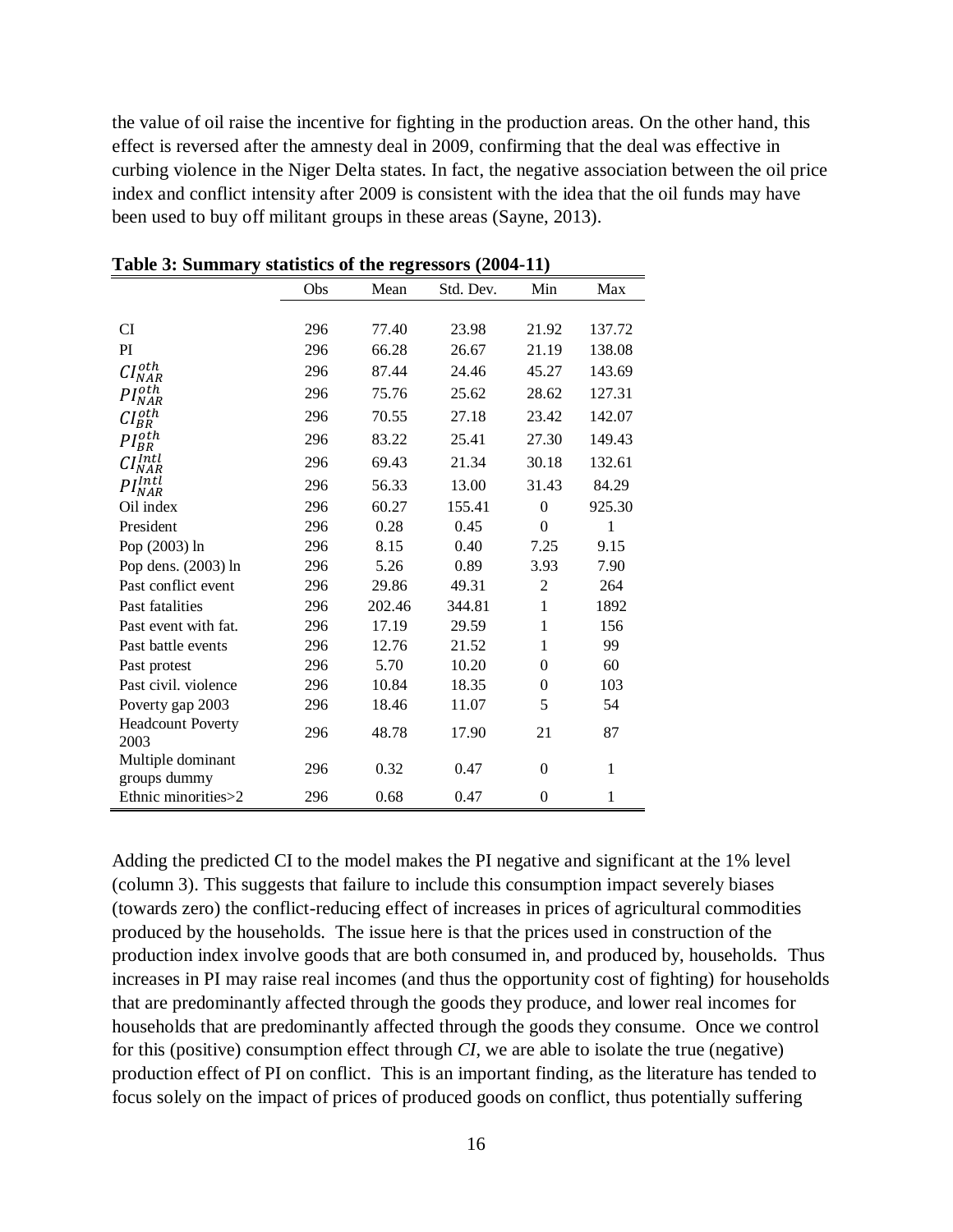the value of oil raise the incentive for fighting in the production areas. On the other hand, this effect is reversed after the amnesty deal in 2009, confirming that the deal was effective in curbing violence in the Niger Delta states. In fact, the negative association between the oil price index and conflict intensity after 2009 is consistent with the idea that the oil funds may have been used to buy off militant groups in these areas (Sayne, 2013).

|                                   | Obs | Mean   | Std. Dev. | Min              | Max    |
|-----------------------------------|-----|--------|-----------|------------------|--------|
|                                   |     |        |           |                  |        |
| <b>CI</b>                         | 296 | 77.40  | 23.98     | 21.92            | 137.72 |
| PI                                | 296 | 66.28  | 26.67     | 21.19            | 138.08 |
| $CI^{oth}$<br><b>NAR</b>          | 296 | 87.44  | 24.46     | 45.27            | 143.69 |
| PI <sub>o</sub> th<br>NAR         | 296 | 75.76  | 25.62     | 28.62            | 127.31 |
| $I_{BR}^{oth}$                    | 296 | 70.55  | 27.18     | 23.42            | 142.07 |
| $PI_{P}^{oth}$<br>BR              | 296 | 83.22  | 25.41     | 27.30            | 149.43 |
| rlntl                             | 296 | 69.43  | 21.34     | 30.18            | 132.61 |
| PI <sup>Intl</sup><br>PI NAR      | 296 | 56.33  | 13.00     | 31.43            | 84.29  |
| Oil index                         | 296 | 60.27  | 155.41    | $\boldsymbol{0}$ | 925.30 |
| President                         | 296 | 0.28   | 0.45      | $\theta$         | 1      |
| Pop (2003) ln                     | 296 | 8.15   | 0.40      | 7.25             | 9.15   |
| Pop dens. (2003) ln               | 296 | 5.26   | 0.89      | 3.93             | 7.90   |
| Past conflict event               | 296 | 29.86  | 49.31     | $\overline{2}$   | 264    |
| Past fatalities                   | 296 | 202.46 | 344.81    | $\mathbf{1}$     | 1892   |
| Past event with fat.              | 296 | 17.19  | 29.59     | 1                | 156    |
| Past battle events                | 296 | 12.76  | 21.52     | 1                | 99     |
| Past protest                      | 296 | 5.70   | 10.20     | $\theta$         | 60     |
| Past civil. violence              | 296 | 10.84  | 18.35     | $\Omega$         | 103    |
| Poverty gap 2003                  | 296 | 18.46  | 11.07     | 5                | 54     |
| <b>Headcount Poverty</b><br>2003  | 296 | 48.78  | 17.90     | 21               | 87     |
| Multiple dominant<br>groups dummy | 296 | 0.32   | 0.47      | $\theta$         | 1      |
| Ethnic minorities>2               | 296 | 0.68   | 0.47      | $\theta$         | 1      |

**Table 3: Summary statistics of the regressors (2004-11)**

Adding the predicted CI to the model makes the PI negative and significant at the 1% level (column 3). This suggests that failure to include this consumption impact severely biases (towards zero) the conflict-reducing effect of increases in prices of agricultural commodities produced by the households. The issue here is that the prices used in construction of the production index involve goods that are both consumed in, and produced by, households. Thus increases in PI may raise real incomes (and thus the opportunity cost of fighting) for households that are predominantly affected through the goods they produce, and lower real incomes for households that are predominantly affected through the goods they consume. Once we control for this (positive) consumption effect through *CI*, we are able to isolate the true (negative) production effect of PI on conflict. This is an important finding, as the literature has tended to focus solely on the impact of prices of produced goods on conflict, thus potentially suffering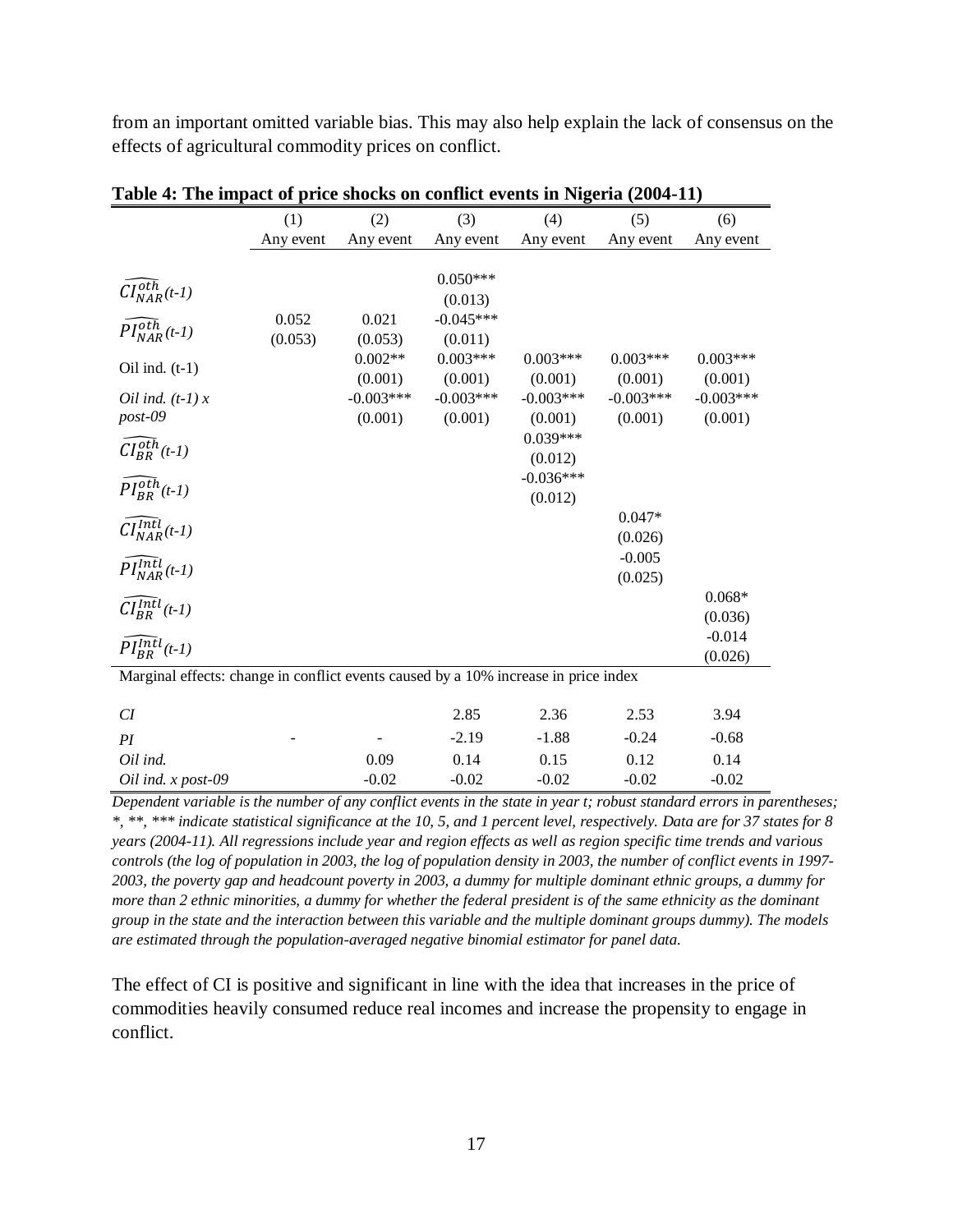from an important omitted variable bias. This may also help explain the lack of consensus on the effects of agricultural commodity prices on conflict.

| Table $\pi$ . The impact of price shocks on commet events in Fugeria (2004-11)      |           |                        |                        |                        |                        |                        |  |  |
|-------------------------------------------------------------------------------------|-----------|------------------------|------------------------|------------------------|------------------------|------------------------|--|--|
|                                                                                     | (1)       | (2)                    | (3)                    | (4)                    | (5)                    | (6)                    |  |  |
|                                                                                     | Any event | Any event              | Any event              | Any event              | Any event              | Any event              |  |  |
|                                                                                     |           |                        |                        |                        |                        |                        |  |  |
| $CI_{NAR}^{oth}(t-1)$                                                               |           |                        | $0.050***$             |                        |                        |                        |  |  |
|                                                                                     |           |                        | (0.013)                |                        |                        |                        |  |  |
| $\widehat{PI^{oth}_{NAR}}(t-1)$                                                     | 0.052     | 0.021                  | $-0.045***$            |                        |                        |                        |  |  |
|                                                                                     | (0.053)   | (0.053)                | (0.011)                |                        |                        |                        |  |  |
| Oil ind. $(t-1)$                                                                    |           | $0.002**$              | $0.003***$             | $0.003***$             | $0.003***$             | $0.003***$             |  |  |
|                                                                                     |           | (0.001)<br>$-0.003***$ | (0.001)<br>$-0.003***$ | (0.001)<br>$-0.003***$ | (0.001)<br>$-0.003***$ | (0.001)<br>$-0.003***$ |  |  |
| Oil ind. $(t-1)x$<br>post-09                                                        |           | (0.001)                | (0.001)                | (0.001)                | (0.001)                | (0.001)                |  |  |
|                                                                                     |           |                        |                        | $0.039***$             |                        |                        |  |  |
| $CI_{BR}^{oth}(t-1)$                                                                |           |                        |                        | (0.012)                |                        |                        |  |  |
|                                                                                     |           |                        |                        | $-0.036***$            |                        |                        |  |  |
| $PI_{BR}^{oth}(t-1)$                                                                |           |                        |                        | (0.012)                |                        |                        |  |  |
|                                                                                     |           |                        |                        |                        | $0.047*$               |                        |  |  |
| $\widehat{CI^{Intl}_{NAR}}(t-1)$                                                    |           |                        |                        |                        | (0.026)                |                        |  |  |
|                                                                                     |           |                        |                        |                        | $-0.005$               |                        |  |  |
| $PI_{NAR}^{Intl}(t-1)$                                                              |           |                        |                        |                        | (0.025)                |                        |  |  |
| $\widehat{CI_{BR}^{Intl}}(t\text{-}1)$                                              |           |                        |                        |                        |                        | $0.068*$               |  |  |
|                                                                                     |           |                        |                        |                        |                        | (0.036)                |  |  |
| $PI_{BB}^{Intl}(t-1)$                                                               |           |                        |                        |                        |                        | $-0.014$               |  |  |
|                                                                                     |           |                        |                        |                        |                        | (0.026)                |  |  |
| Marginal effects: change in conflict events caused by a 10% increase in price index |           |                        |                        |                        |                        |                        |  |  |
| CI                                                                                  |           |                        | 2.85                   | 2.36                   | 2.53                   | 3.94                   |  |  |
|                                                                                     |           |                        |                        |                        |                        |                        |  |  |
| PI                                                                                  |           |                        | $-2.19$                | $-1.88$                | $-0.24$                | $-0.68$                |  |  |
| Oil ind.                                                                            |           | 0.09                   | 0.14                   | 0.15                   | 0.12                   | 0.14                   |  |  |
| Oil ind. x post-09                                                                  |           | $-0.02$                | $-0.02$                | $-0.02$                | $-0.02$                | $-0.02$                |  |  |

**Table 4: The impact of price shocks on conflict events in Nigeria (2004-11)**

*Dependent variable is the number of any conflict events in the state in year t; robust standard errors in parentheses; \*, \*\*, \*\*\* indicate statistical significance at the 10, 5, and 1 percent level, respectively. Data are for 37 states for 8 years (2004-11). All regressions include year and region effects as well as region specific time trends and various controls (the log of population in 2003, the log of population density in 2003, the number of conflict events in 1997- 2003, the poverty gap and headcount poverty in 2003, a dummy for multiple dominant ethnic groups, a dummy for more than 2 ethnic minorities, a dummy for whether the federal president is of the same ethnicity as the dominant group in the state and the interaction between this variable and the multiple dominant groups dummy). The models are estimated through the population-averaged negative binomial estimator for panel data.*

The effect of CI is positive and significant in line with the idea that increases in the price of commodities heavily consumed reduce real incomes and increase the propensity to engage in conflict.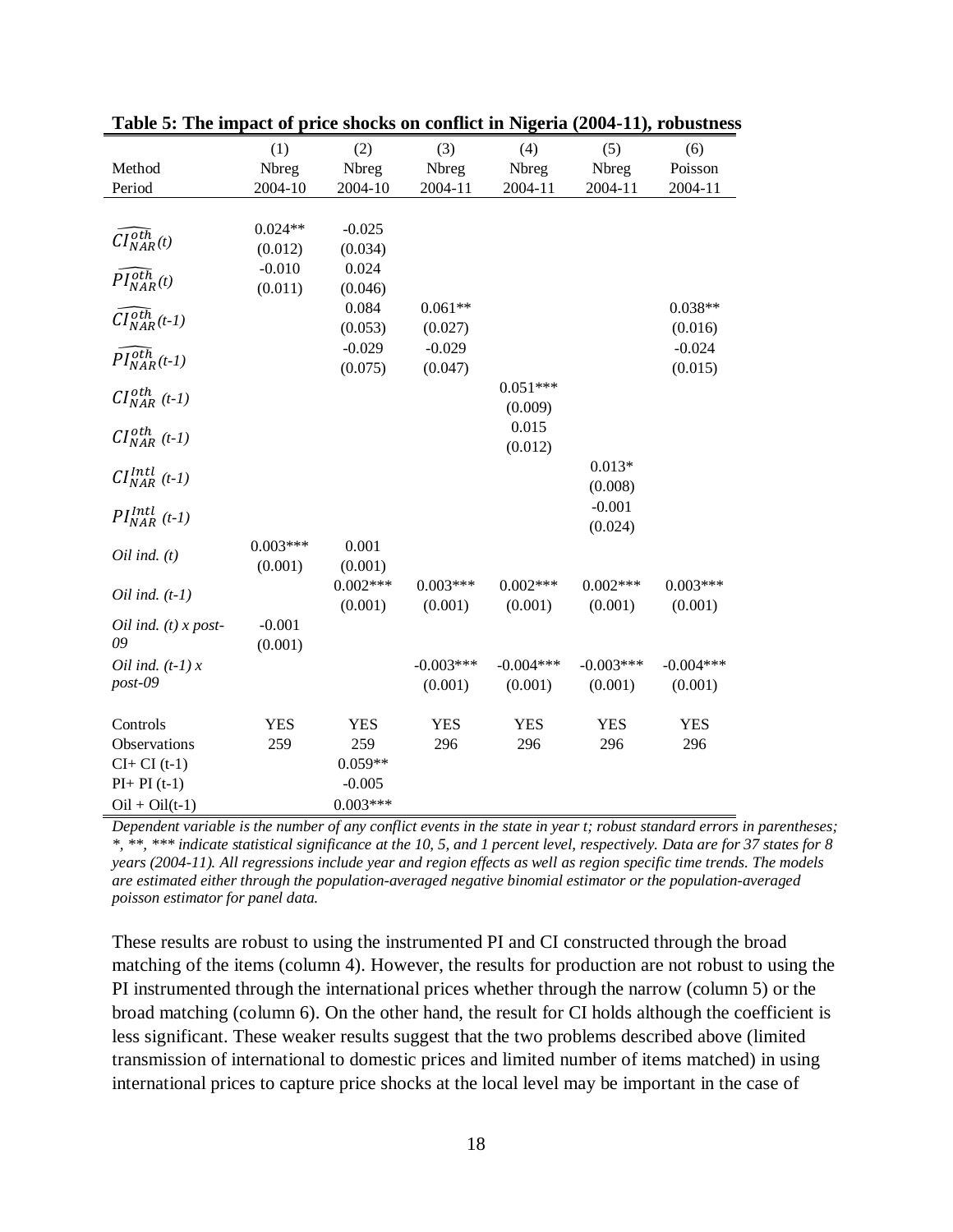|                                          | (1)        | (2)               | (3)               | (4)               | (5)               | (6)               |
|------------------------------------------|------------|-------------------|-------------------|-------------------|-------------------|-------------------|
| Method                                   | Nbreg      | Nbreg             | Nbreg             | Nbreg             | Nbreg             | Poisson           |
| Period                                   | 2004-10    | 2004-10           | 2004-11           | 2004-11           | 2004-11           | 2004-11           |
|                                          |            |                   |                   |                   |                   |                   |
|                                          | $0.024**$  | $-0.025$          |                   |                   |                   |                   |
| $CI^{oth}_{NAR}(t)$                      | (0.012)    | (0.034)           |                   |                   |                   |                   |
|                                          | $-0.010$   | 0.024             |                   |                   |                   |                   |
| $\widehat{PI^{oth}_{NAR}}(t)$            | (0.011)    | (0.046)           |                   |                   |                   |                   |
|                                          |            | 0.084             | $0.061**$         |                   |                   | $0.038**$         |
| $\tilde{CI}_{NAR}^{ot\overline{h}}(t-1)$ |            | (0.053)           | (0.027)           |                   |                   | (0.016)           |
|                                          |            | $-0.029$          | $-0.029$          |                   |                   | $-0.024$          |
| $PI_{NAR}^{of\overline{h}}(t-1)$         |            | (0.075)           | (0.047)           |                   |                   | (0.015)           |
|                                          |            |                   |                   | $0.051***$        |                   |                   |
| $CI_{NAR}^{oth}$ (t-1)                   |            |                   |                   | (0.009)           |                   |                   |
| $CI_{NAR}^{oth}$ (t-1)                   |            |                   |                   | 0.015             |                   |                   |
|                                          |            |                   |                   | (0.012)           |                   |                   |
| $CI_{NAR}^{Intl}$ (t-1)                  |            |                   |                   |                   | $0.013*$          |                   |
|                                          |            |                   |                   |                   | (0.008)           |                   |
| $PI_{NAR}^{Intl}$ (t-1)                  |            |                   |                   |                   | $-0.001$          |                   |
|                                          |            |                   |                   |                   | (0.024)           |                   |
| $Oil$ ind. $(t)$                         | $0.003***$ | 0.001             |                   |                   |                   |                   |
|                                          | (0.001)    | (0.001)           |                   |                   |                   |                   |
| Oil ind. $(t-1)$                         |            | $0.002***$        | $0.003***$        | $0.002***$        | $0.002***$        | $0.003***$        |
|                                          |            | (0.001)           | (0.001)           | (0.001)           | (0.001)           | (0.001)           |
| Oil ind. $(t)$ x post-                   | $-0.001$   |                   |                   |                   |                   |                   |
| 09                                       | (0.001)    |                   |                   |                   |                   |                   |
| Oil ind. $(t-1)x$                        |            |                   | $-0.003***$       | $-0.004***$       | $-0.003***$       | $-0.004***$       |
| post-09                                  |            |                   | (0.001)           | (0.001)           | (0.001)           | (0.001)           |
|                                          | <b>YES</b> |                   |                   |                   |                   |                   |
| Controls<br>Observations                 | 259        | <b>YES</b><br>259 | <b>YES</b><br>296 | <b>YES</b><br>296 | <b>YES</b><br>296 | <b>YES</b><br>296 |
|                                          |            | $0.059**$         |                   |                   |                   |                   |
| $CI+CI(t-1)$<br>$PI+PI(t-1)$             |            | $-0.005$          |                   |                   |                   |                   |
|                                          |            |                   |                   |                   |                   |                   |
| $Oil + Oil(t-1)$                         |            | $0.003***$        |                   |                   |                   |                   |

| Table 5: The impact of price shocks on conflict in Nigeria (2004-11), robustness |  |  |  |
|----------------------------------------------------------------------------------|--|--|--|
|----------------------------------------------------------------------------------|--|--|--|

*Dependent variable is the number of any conflict events in the state in year t; robust standard errors in parentheses; \*, \*\*, \*\*\* indicate statistical significance at the 10, 5, and 1 percent level, respectively. Data are for 37 states for 8 years (2004-11). All regressions include year and region effects as well as region specific time trends. The models are estimated either through the population-averaged negative binomial estimator or the population-averaged poisson estimator for panel data.*

These results are robust to using the instrumented PI and CI constructed through the broad matching of the items (column 4). However, the results for production are not robust to using the PI instrumented through the international prices whether through the narrow (column 5) or the broad matching (column 6). On the other hand, the result for CI holds although the coefficient is less significant. These weaker results suggest that the two problems described above (limited transmission of international to domestic prices and limited number of items matched) in using international prices to capture price shocks at the local level may be important in the case of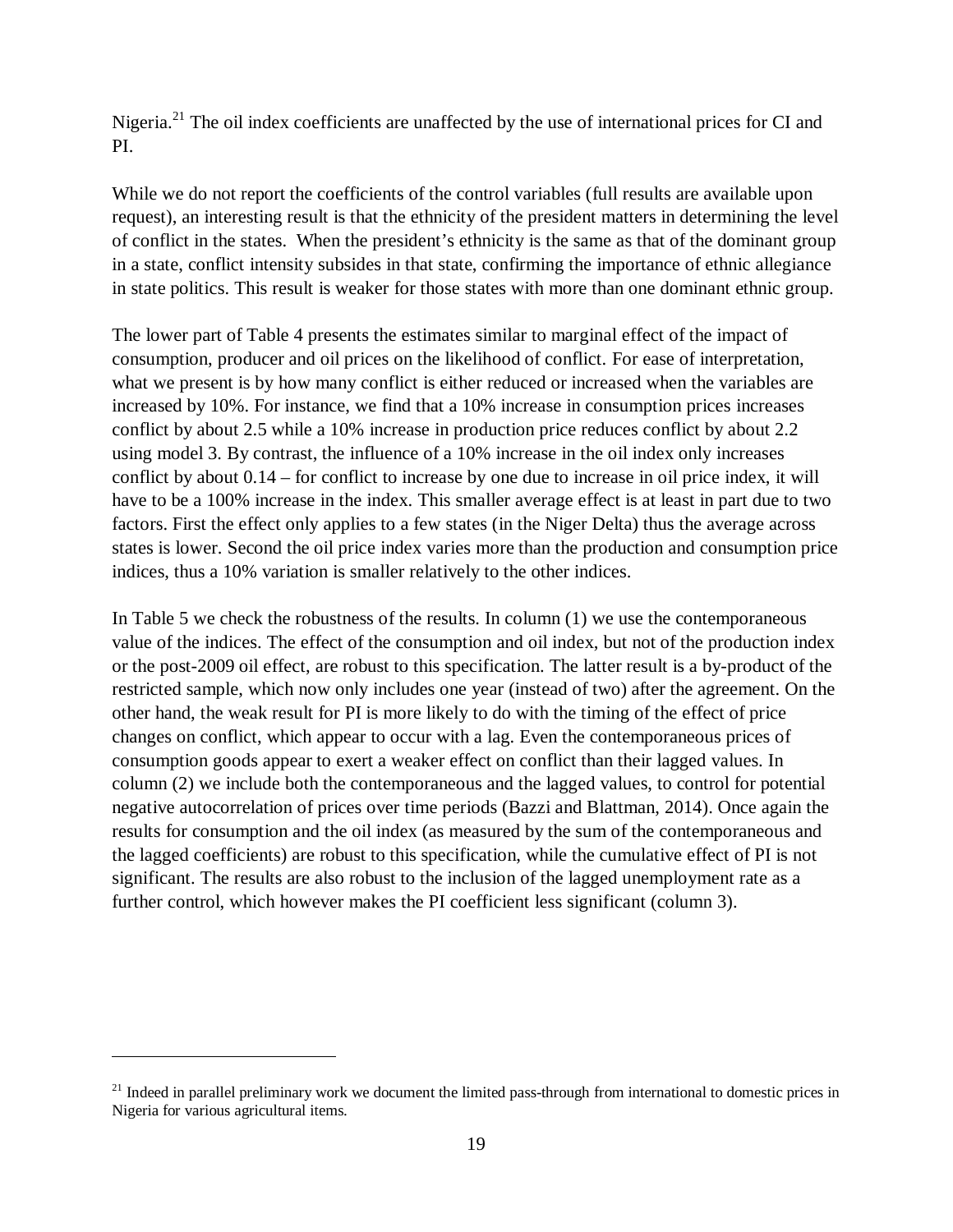Nigeria.<sup>21</sup> The oil index coefficients are unaffected by the use of international prices for CI and PI.

While we do not report the coefficients of the control variables (full results are available upon request), an interesting result is that the ethnicity of the president matters in determining the level of conflict in the states. When the president's ethnicity is the same as that of the dominant group in a state, conflict intensity subsides in that state, confirming the importance of ethnic allegiance in state politics. This result is weaker for those states with more than one dominant ethnic group.

The lower part of Table 4 presents the estimates similar to marginal effect of the impact of consumption, producer and oil prices on the likelihood of conflict. For ease of interpretation, what we present is by how many conflict is either reduced or increased when the variables are increased by 10%. For instance, we find that a 10% increase in consumption prices increases conflict by about 2.5 while a 10% increase in production price reduces conflict by about 2.2 using model 3. By contrast, the influence of a 10% increase in the oil index only increases conflict by about 0.14 – for conflict to increase by one due to increase in oil price index, it will have to be a 100% increase in the index. This smaller average effect is at least in part due to two factors. First the effect only applies to a few states (in the Niger Delta) thus the average across states is lower. Second the oil price index varies more than the production and consumption price indices, thus a 10% variation is smaller relatively to the other indices.

In Table 5 we check the robustness of the results. In column (1) we use the contemporaneous value of the indices. The effect of the consumption and oil index, but not of the production index or the post-2009 oil effect, are robust to this specification. The latter result is a by-product of the restricted sample, which now only includes one year (instead of two) after the agreement. On the other hand, the weak result for PI is more likely to do with the timing of the effect of price changes on conflict, which appear to occur with a lag. Even the contemporaneous prices of consumption goods appear to exert a weaker effect on conflict than their lagged values. In column (2) we include both the contemporaneous and the lagged values, to control for potential negative autocorrelation of prices over time periods (Bazzi and Blattman, 2014). Once again the results for consumption and the oil index (as measured by the sum of the contemporaneous and the lagged coefficients) are robust to this specification, while the cumulative effect of PI is not significant. The results are also robust to the inclusion of the lagged unemployment rate as a further control, which however makes the PI coefficient less significant (column 3).

 $\overline{a}$ 

 $21$  Indeed in parallel preliminary work we document the limited pass-through from international to domestic prices in Nigeria for various agricultural items.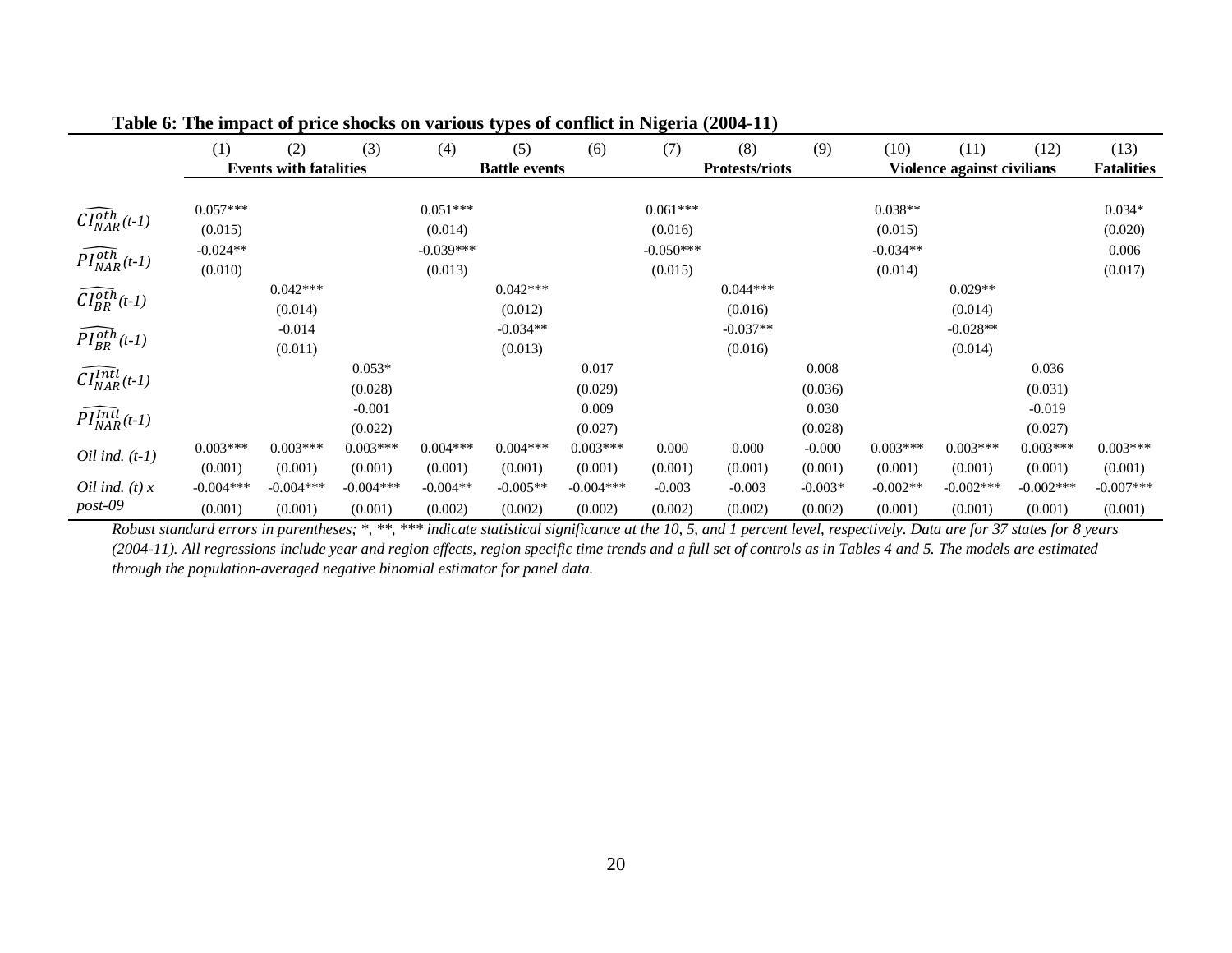|                                       | (1)         | (2)                           | (3)         | (4)         | $\mathbf{v}$ $\mathbf{r}$ $\mathbf{v}$ $\mathbf{r}$<br>(5) | (6)         | (7)         | $\frac{1}{2}$<br>(8)  | (9)       | (10)       | (11)                       | (12)        | (13)              |
|---------------------------------------|-------------|-------------------------------|-------------|-------------|------------------------------------------------------------|-------------|-------------|-----------------------|-----------|------------|----------------------------|-------------|-------------------|
|                                       |             | <b>Events with fatalities</b> |             |             | <b>Battle events</b>                                       |             |             | <b>Protests/riots</b> |           |            | Violence against civilians |             | <b>Fatalities</b> |
|                                       |             |                               |             |             |                                                            |             |             |                       |           |            |                            |             |                   |
| $\widehat{CI}_{NAR}^{o\bar{th}}(t-1)$ | $0.057***$  |                               |             | $0.051***$  |                                                            |             | $0.061***$  |                       |           | $0.038**$  |                            |             | $0.034*$          |
|                                       | (0.015)     |                               |             | (0.014)     |                                                            |             | (0.016)     |                       |           | (0.015)    |                            |             | (0.020)           |
| $\widehat{PI^{oth}_{NAR}}(t-1)$       | $-0.024**$  |                               |             | $-0.039***$ |                                                            |             | $-0.050***$ |                       |           | $-0.034**$ |                            |             | 0.006             |
|                                       | (0.010)     |                               |             | (0.013)     |                                                            |             | (0.015)     |                       |           | (0.014)    |                            |             | (0.017)           |
|                                       |             | $0.042***$                    |             |             | $0.042***$                                                 |             |             | $0.044***$            |           |            | $0.029**$                  |             |                   |
| $\widehat{CI_{BR}^{oth}}(t-1)$        |             | (0.014)                       |             |             | (0.012)                                                    |             |             | (0.016)               |           |            | (0.014)                    |             |                   |
| $\widehat{PI^{oth}_{BR}}(t-1)$        |             | $-0.014$                      |             |             | $-0.034**$                                                 |             |             | $-0.037**$            |           |            | $-0.028**$                 |             |                   |
|                                       |             | (0.011)                       |             |             | (0.013)                                                    |             |             | (0.016)               |           |            | (0.014)                    |             |                   |
| $\widehat{CI^{Int}_{NAR}}(t-1)$       |             |                               | $0.053*$    |             |                                                            | 0.017       |             |                       | 0.008     |            |                            | 0.036       |                   |
|                                       |             |                               | (0.028)     |             |                                                            | (0.029)     |             |                       | (0.036)   |            |                            | (0.031)     |                   |
|                                       |             |                               | $-0.001$    |             |                                                            | 0.009       |             |                       | 0.030     |            |                            | $-0.019$    |                   |
| $\widehat{PI_{NAR}^{Intl}}(t-1)$      |             |                               | (0.022)     |             |                                                            | (0.027)     |             |                       | (0.028)   |            |                            | (0.027)     |                   |
| Oil ind. $(t-1)$                      | $0.003***$  | $0.003***$                    | $0.003***$  | $0.004***$  | $0.004***$                                                 | $0.003***$  | 0.000       | 0.000                 | $-0.000$  | $0.003***$ | $0.003***$                 | $0.003***$  | $0.003***$        |
|                                       | (0.001)     | (0.001)                       | (0.001)     | (0.001)     | (0.001)                                                    | (0.001)     | (0.001)     | (0.001)               | (0.001)   | (0.001)    | (0.001)                    | (0.001)     | (0.001)           |
| Oil ind. $(t)$ x                      | $-0.004***$ | $-0.004***$                   | $-0.004***$ | $-0.004**$  | $-0.005**$                                                 | $-0.004***$ | $-0.003$    | $-0.003$              | $-0.003*$ | $-0.002**$ | $-0.002***$                | $-0.002***$ | $-0.007***$       |
| post-09                               | (0.001)     | (0.001)                       | (0.001)     | (0.002)     | (0.002)                                                    | (0.002)     | (0.002)     | (0.002)               | (0.002)   | (0.001)    | (0.001)                    | (0.001)     | (0.001)           |

**Table 6: The impact of price shocks on various types of conflict in Nigeria (2004-11)**

*Robust standard errors in parentheses; \*, \*\*, \*\*\* indicate statistical significance at the 10, 5, and 1 percent level, respectively. Data are for 37 states for 8 years (2004-11). All regressions include year and region effects, region specific time trends and a full set of controls as in Tables 4 and 5. The models are estimated through the population-averaged negative binomial estimator for panel data.*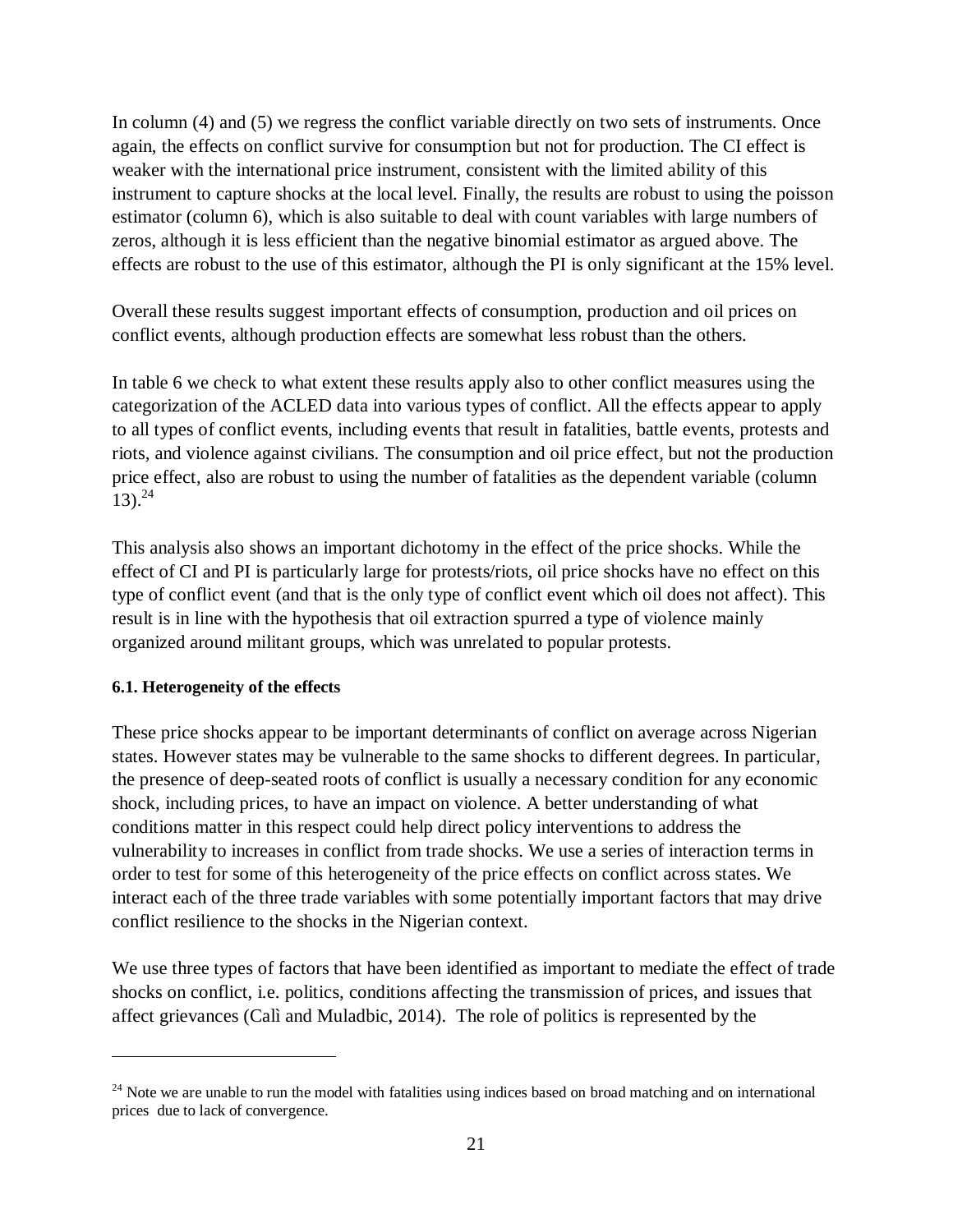In column (4) and (5) we regress the conflict variable directly on two sets of instruments. Once again, the effects on conflict survive for consumption but not for production. The CI effect is weaker with the international price instrument, consistent with the limited ability of this instrument to capture shocks at the local level. Finally, the results are robust to using the poisson estimator (column 6), which is also suitable to deal with count variables with large numbers of zeros, although it is less efficient than the negative binomial estimator as argued above. The effects are robust to the use of this estimator, although the PI is only significant at the 15% level.

Overall these results suggest important effects of consumption, production and oil prices on conflict events, although production effects are somewhat less robust than the others.

In table 6 we check to what extent these results apply also to other conflict measures using the categorization of the ACLED data into various types of conflict. All the effects appear to apply to all types of conflict events, including events that result in fatalities, battle events, protests and riots, and violence against civilians. The consumption and oil price effect, but not the production price effect, also are robust to using the number of fatalities as the dependent variable (column  $13)$ .<sup>24</sup>

This analysis also shows an important dichotomy in the effect of the price shocks. While the effect of CI and PI is particularly large for protests/riots, oil price shocks have no effect on this type of conflict event (and that is the only type of conflict event which oil does not affect). This result is in line with the hypothesis that oil extraction spurred a type of violence mainly organized around militant groups, which was unrelated to popular protests.

#### **6.1. Heterogeneity of the effects**

 $\overline{a}$ 

These price shocks appear to be important determinants of conflict on average across Nigerian states. However states may be vulnerable to the same shocks to different degrees. In particular, the presence of deep-seated roots of conflict is usually a necessary condition for any economic shock, including prices, to have an impact on violence. A better understanding of what conditions matter in this respect could help direct policy interventions to address the vulnerability to increases in conflict from trade shocks. We use a series of interaction terms in order to test for some of this heterogeneity of the price effects on conflict across states. We interact each of the three trade variables with some potentially important factors that may drive conflict resilience to the shocks in the Nigerian context.

We use three types of factors that have been identified as important to mediate the effect of trade shocks on conflict, i.e. politics, conditions affecting the transmission of prices, and issues that affect grievances (Calì and Muladbic, 2014). The role of politics is represented by the

 $24$  Note we are unable to run the model with fatalities using indices based on broad matching and on international prices due to lack of convergence.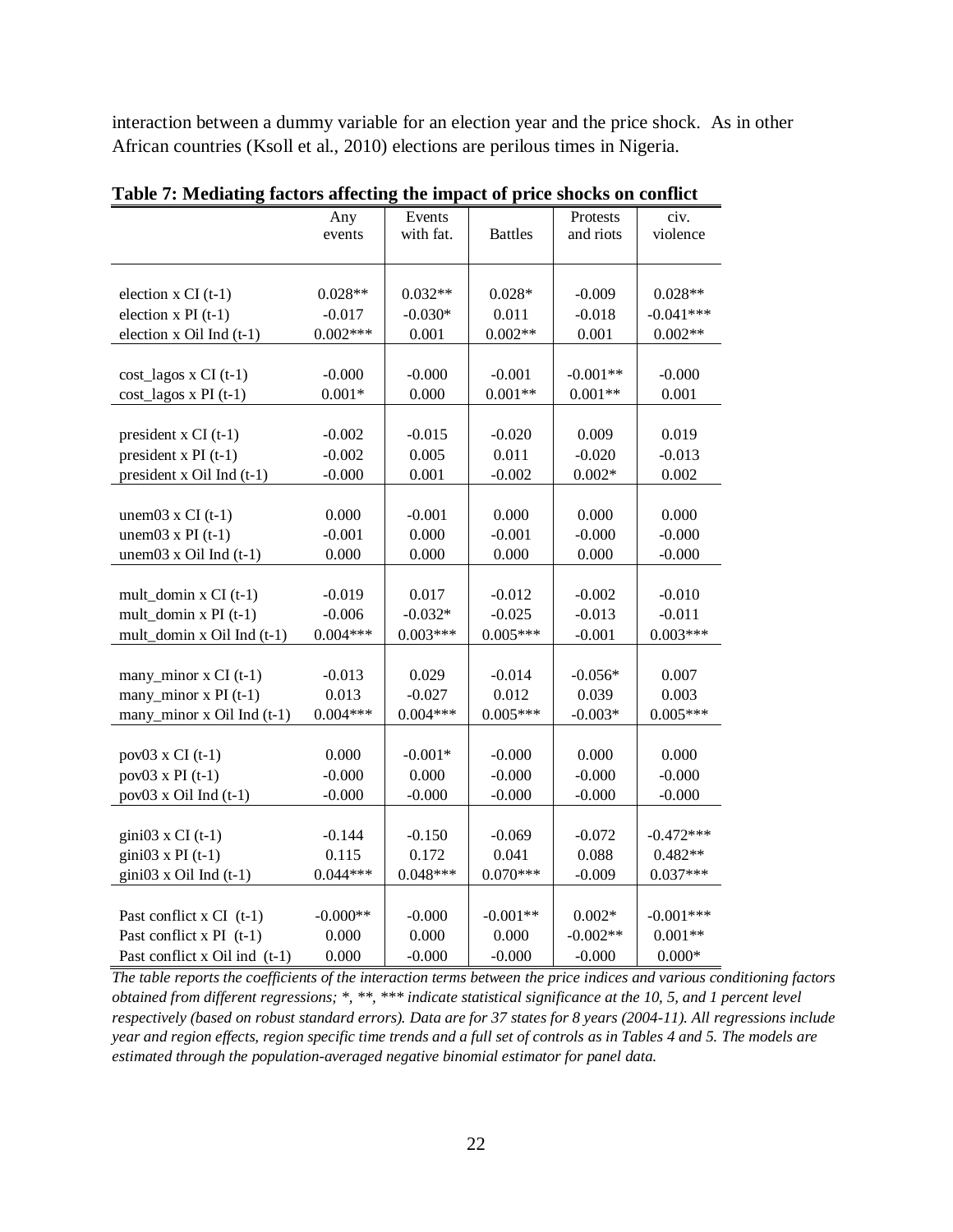interaction between a dummy variable for an election year and the price shock. As in other African countries (Ksoll et al., 2010) elections are perilous times in Nigeria.

|                                | Any        | Events     |                | Protests   | civ.        |
|--------------------------------|------------|------------|----------------|------------|-------------|
|                                | events     | with fat.  | <b>Battles</b> | and riots  | violence    |
|                                |            |            |                |            |             |
|                                |            |            |                |            |             |
| election $x CI(t-1)$           | $0.028**$  | $0.032**$  | $0.028*$       | $-0.009$   | $0.028**$   |
| election $x$ PI $(t-1)$        | $-0.017$   | $-0.030*$  | 0.011          | $-0.018$   | $-0.041***$ |
| election x Oil Ind (t-1)       | $0.002***$ | 0.001      | $0.002**$      | 0.001      | $0.002**$   |
|                                |            |            |                |            |             |
| cost_lagos x CI (t-1)          | $-0.000$   | $-0.000$   | $-0.001$       | $-0.001**$ | $-0.000$    |
| $cost_{lagos x}$ PI (t-1)      | $0.001*$   | 0.000      | $0.001**$      | $0.001**$  | 0.001       |
|                                |            |            |                |            |             |
| president $x$ CI (t-1)         | $-0.002$   | $-0.015$   | $-0.020$       | 0.009      | 0.019       |
| president x PI $(t-1)$         | $-0.002$   | 0.005      | 0.011          | $-0.020$   | $-0.013$    |
| president x Oil Ind (t-1)      | $-0.000$   | 0.001      | $-0.002$       | $0.002*$   | 0.002       |
|                                |            |            |                |            |             |
| unem $03 \times CI$ (t-1)      | 0.000      | $-0.001$   | 0.000          | 0.000      | 0.000       |
| unem $03 \times PI$ (t-1)      | $-0.001$   | 0.000      | $-0.001$       | $-0.000$   | $-0.000$    |
| unem $03 \times$ Oil Ind (t-1) | 0.000      | 0.000      | 0.000          | 0.000      | $-0.000$    |
|                                |            |            |                |            |             |
| mult_domin $x$ CI (t-1)        | $-0.019$   | 0.017      | $-0.012$       | $-0.002$   | $-0.010$    |
| mult_domin $x$ PI (t-1)        | $-0.006$   | $-0.032*$  | $-0.025$       | $-0.013$   | $-0.011$    |
| mult_domin x Oil Ind (t-1)     | $0.004***$ | $0.003***$ | $0.005***$     | $-0.001$   | $0.003***$  |
|                                |            |            |                |            |             |
| many_minor x CI (t-1)          | $-0.013$   | 0.029      | $-0.014$       | $-0.056*$  | 0.007       |
| many_minor $x$ PI (t-1)        | 0.013      | $-0.027$   | 0.012          | 0.039      | 0.003       |
| many_minor x Oil Ind (t-1)     | $0.004***$ | $0.004***$ | $0.005***$     | $-0.003*$  | $0.005***$  |
|                                |            |            |                |            |             |
| $pov03$ x CI (t-1)             | 0.000      | $-0.001*$  | $-0.000$       | 0.000      | 0.000       |
| $pov03 \times PI$ (t-1)        | $-0.000$   | 0.000      | $-0.000$       | $-0.000$   | $-0.000$    |
| $pov03$ x Oil Ind $(t-1)$      | $-0.000$   | $-0.000$   | $-0.000$       | $-0.000$   | $-0.000$    |
|                                |            |            |                |            |             |
| gini $03 \times CI$ (t-1)      | $-0.144$   | $-0.150$   | $-0.069$       | $-0.072$   | $-0.472***$ |
| gini03 x PI $(t-1)$            | 0.115      | 0.172      | 0.041          | 0.088      | $0.482**$   |
| $gini03$ x Oil Ind (t-1)       | $0.044***$ | $0.048***$ | $0.070***$     | $-0.009$   | $0.037***$  |
|                                |            |            |                |            |             |
| Past conflict $x$ CI (t-1)     | $-0.000**$ | $-0.000$   | $-0.001**$     | $0.002*$   | $-0.001***$ |
| Past conflict x $PI(t-1)$      | 0.000      | 0.000      | 0.000          | $-0.002**$ | $0.001**$   |
| Past conflict x Oil ind (t-1)  | 0.000      | $-0.000$   | $-0.000$       | $-0.000$   | $0.000*$    |

**Table 7: Mediating factors affecting the impact of price shocks on conflict** 

*The table reports the coefficients of the interaction terms between the price indices and various conditioning factors obtained from different regressions; \*, \*\*, \*\*\* indicate statistical significance at the 10, 5, and 1 percent level respectively (based on robust standard errors). Data are for 37 states for 8 years (2004-11). All regressions include year and region effects, region specific time trends and a full set of controls as in Tables 4 and 5. The models are estimated through the population-averaged negative binomial estimator for panel data.*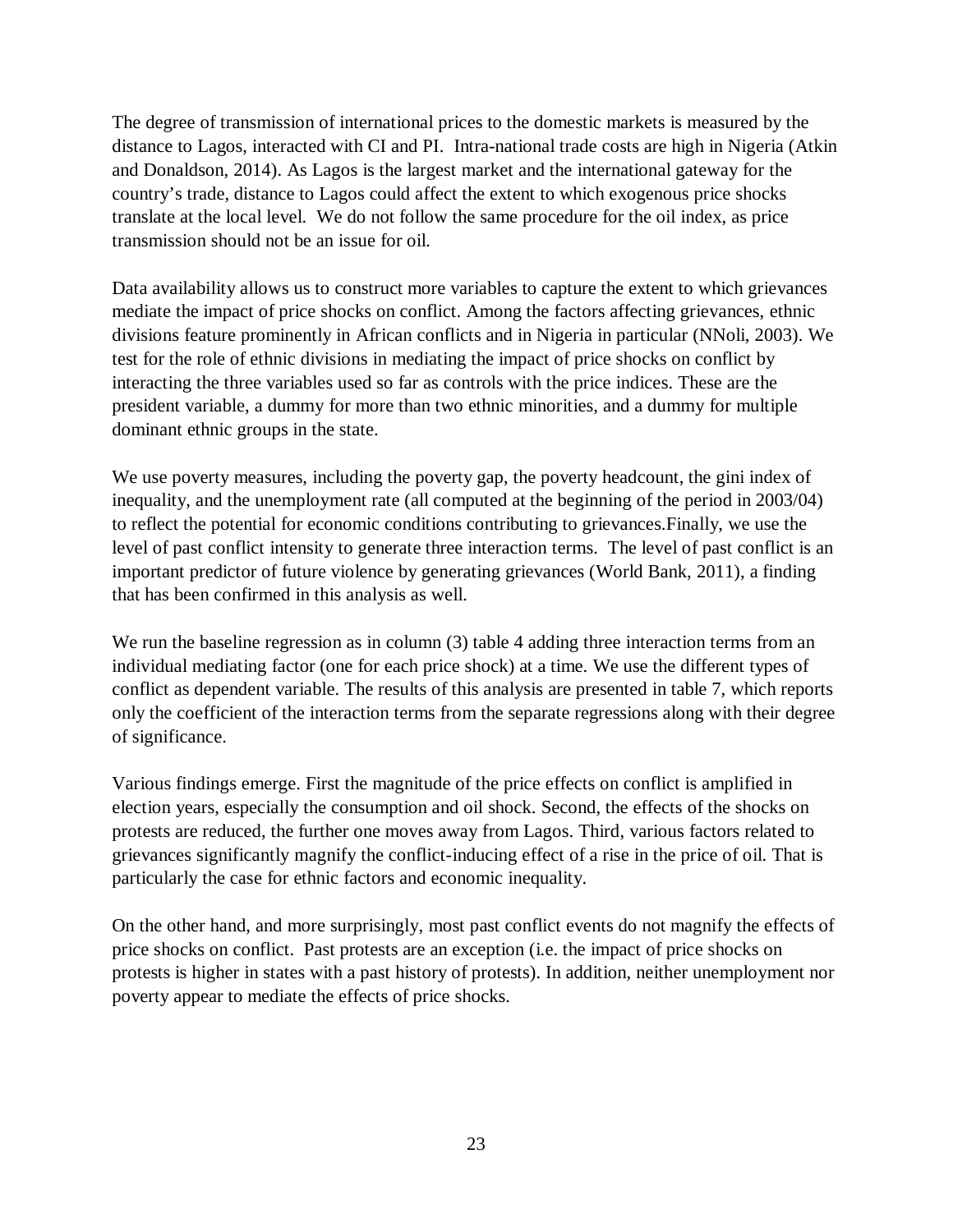The degree of transmission of international prices to the domestic markets is measured by the distance to Lagos, interacted with CI and PI. Intra-national trade costs are high in Nigeria (Atkin and Donaldson, 2014). As Lagos is the largest market and the international gateway for the country's trade, distance to Lagos could affect the extent to which exogenous price shocks translate at the local level. We do not follow the same procedure for the oil index, as price transmission should not be an issue for oil.

Data availability allows us to construct more variables to capture the extent to which grievances mediate the impact of price shocks on conflict. Among the factors affecting grievances, ethnic divisions feature prominently in African conflicts and in Nigeria in particular (NNoli, 2003). We test for the role of ethnic divisions in mediating the impact of price shocks on conflict by interacting the three variables used so far as controls with the price indices. These are the president variable, a dummy for more than two ethnic minorities, and a dummy for multiple dominant ethnic groups in the state.

We use poverty measures, including the poverty gap, the poverty headcount, the gini index of inequality, and the unemployment rate (all computed at the beginning of the period in 2003/04) to reflect the potential for economic conditions contributing to grievances.Finally, we use the level of past conflict intensity to generate three interaction terms. The level of past conflict is an important predictor of future violence by generating grievances (World Bank, 2011), a finding that has been confirmed in this analysis as well.

We run the baseline regression as in column (3) table 4 adding three interaction terms from an individual mediating factor (one for each price shock) at a time. We use the different types of conflict as dependent variable. The results of this analysis are presented in table 7, which reports only the coefficient of the interaction terms from the separate regressions along with their degree of significance.

Various findings emerge. First the magnitude of the price effects on conflict is amplified in election years, especially the consumption and oil shock. Second, the effects of the shocks on protests are reduced, the further one moves away from Lagos. Third, various factors related to grievances significantly magnify the conflict-inducing effect of a rise in the price of oil. That is particularly the case for ethnic factors and economic inequality.

On the other hand, and more surprisingly, most past conflict events do not magnify the effects of price shocks on conflict. Past protests are an exception (i.e. the impact of price shocks on protests is higher in states with a past history of protests). In addition, neither unemployment nor poverty appear to mediate the effects of price shocks.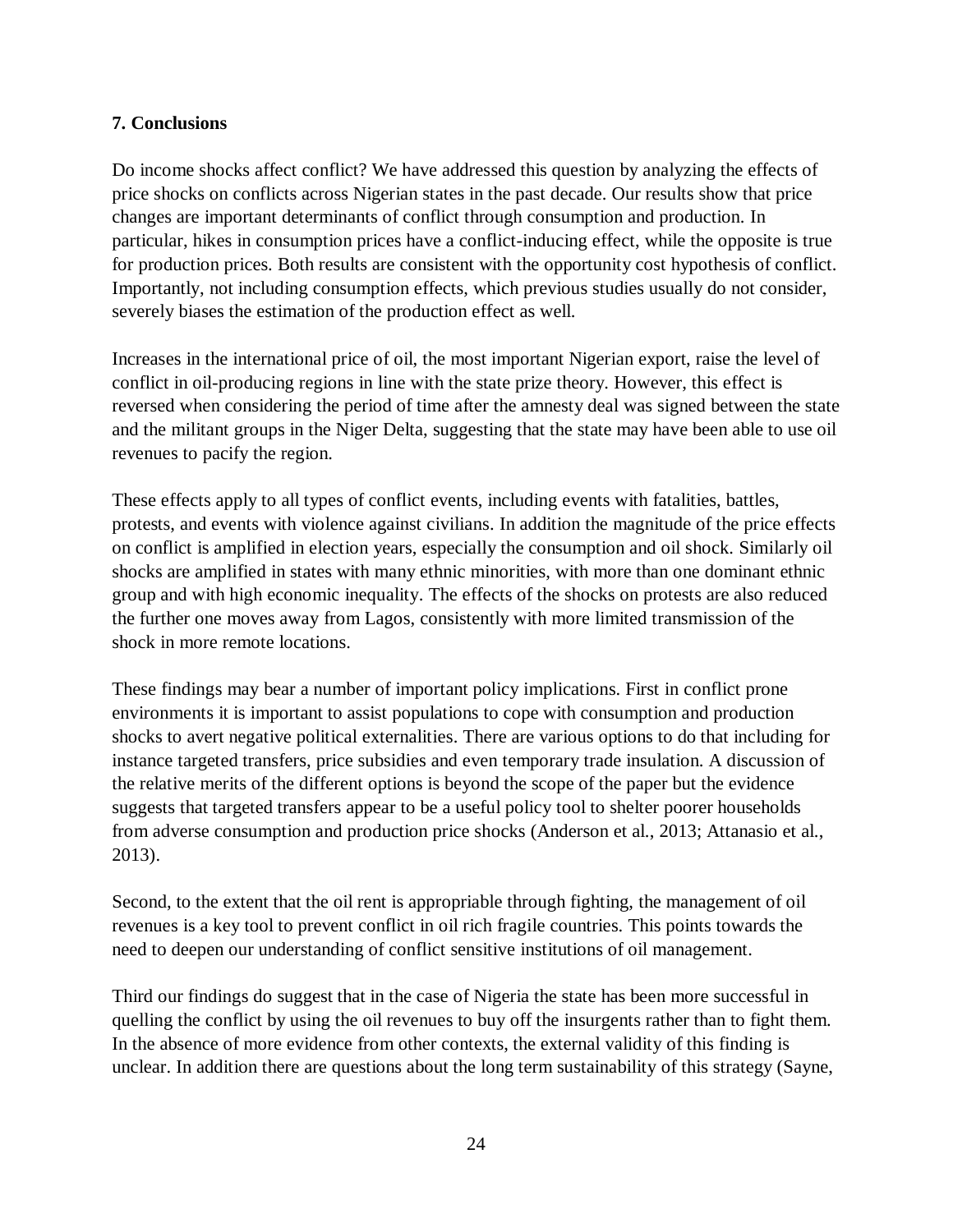# **7. Conclusions**

Do income shocks affect conflict? We have addressed this question by analyzing the effects of price shocks on conflicts across Nigerian states in the past decade. Our results show that price changes are important determinants of conflict through consumption and production. In particular, hikes in consumption prices have a conflict-inducing effect, while the opposite is true for production prices. Both results are consistent with the opportunity cost hypothesis of conflict. Importantly, not including consumption effects, which previous studies usually do not consider, severely biases the estimation of the production effect as well.

Increases in the international price of oil, the most important Nigerian export, raise the level of conflict in oil-producing regions in line with the state prize theory. However, this effect is reversed when considering the period of time after the amnesty deal was signed between the state and the militant groups in the Niger Delta, suggesting that the state may have been able to use oil revenues to pacify the region.

These effects apply to all types of conflict events, including events with fatalities, battles, protests, and events with violence against civilians. In addition the magnitude of the price effects on conflict is amplified in election years, especially the consumption and oil shock. Similarly oil shocks are amplified in states with many ethnic minorities, with more than one dominant ethnic group and with high economic inequality. The effects of the shocks on protests are also reduced the further one moves away from Lagos, consistently with more limited transmission of the shock in more remote locations.

These findings may bear a number of important policy implications. First in conflict prone environments it is important to assist populations to cope with consumption and production shocks to avert negative political externalities. There are various options to do that including for instance targeted transfers, price subsidies and even temporary trade insulation. A discussion of the relative merits of the different options is beyond the scope of the paper but the evidence suggests that targeted transfers appear to be a useful policy tool to shelter poorer households from adverse consumption and production price shocks (Anderson et al., 2013; Attanasio et al., 2013).

Second, to the extent that the oil rent is appropriable through fighting, the management of oil revenues is a key tool to prevent conflict in oil rich fragile countries. This points towards the need to deepen our understanding of conflict sensitive institutions of oil management.

Third our findings do suggest that in the case of Nigeria the state has been more successful in quelling the conflict by using the oil revenues to buy off the insurgents rather than to fight them. In the absence of more evidence from other contexts, the external validity of this finding is unclear. In addition there are questions about the long term sustainability of this strategy (Sayne,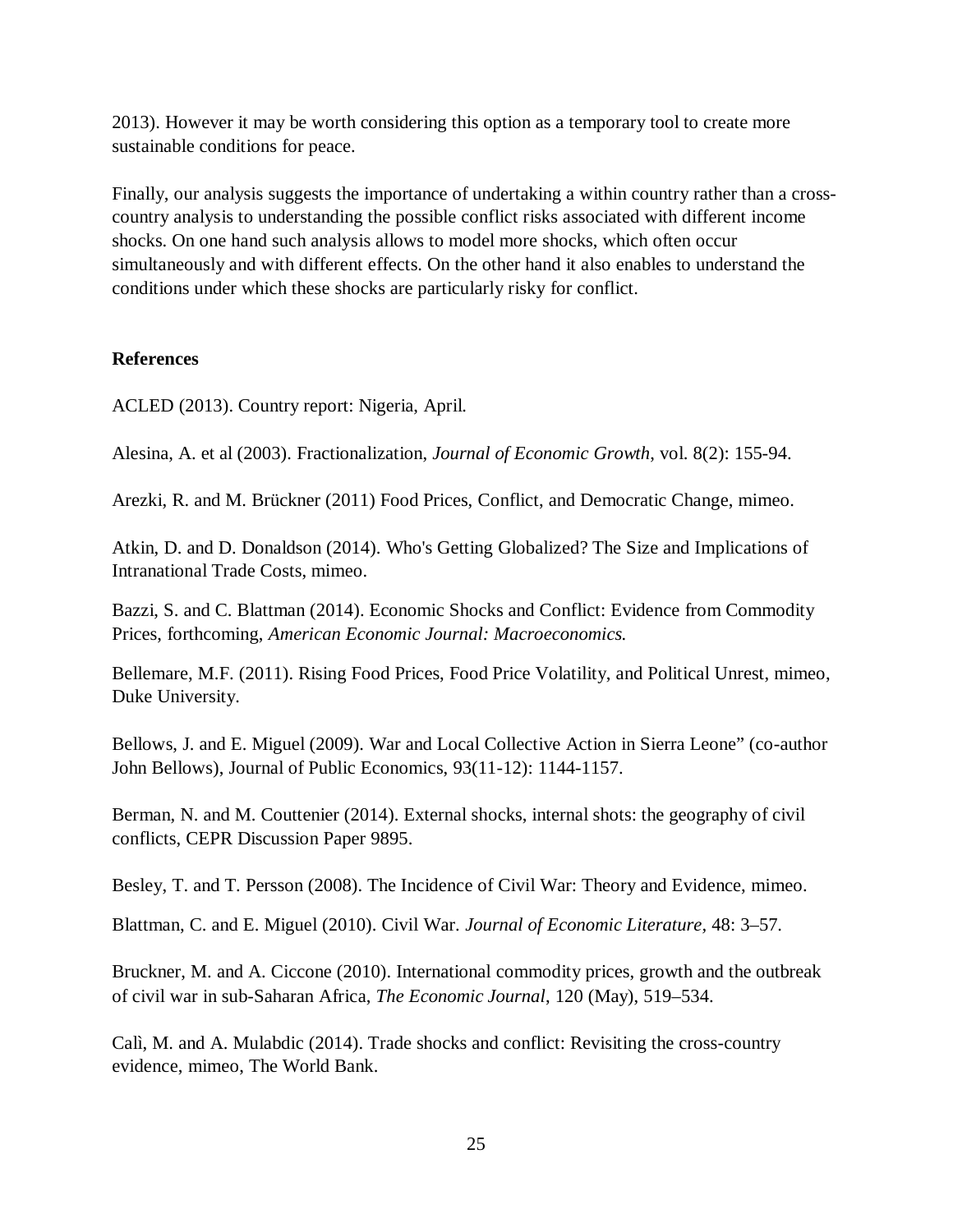2013). However it may be worth considering this option as a temporary tool to create more sustainable conditions for peace.

Finally, our analysis suggests the importance of undertaking a within country rather than a crosscountry analysis to understanding the possible conflict risks associated with different income shocks. On one hand such analysis allows to model more shocks, which often occur simultaneously and with different effects. On the other hand it also enables to understand the conditions under which these shocks are particularly risky for conflict.

# **References**

ACLED (2013). Country report: Nigeria, April.

Alesina, A. et al (2003). Fractionalization, *Journal of Economic Growth*, vol. 8(2): 155-94.

Arezki, R. and M. Brückner (2011) Food Prices, Conflict, and Democratic Change, mimeo.

Atkin, D. and D. Donaldson (2014). Who's Getting Globalized? The Size and Implications of Intranational Trade Costs, mimeo.

Bazzi, S. and C. Blattman (2014). Economic Shocks and Conflict: Evidence from Commodity Prices, forthcoming, *American Economic Journal: Macroeconomics.*

Bellemare, M.F. (2011). Rising Food Prices, Food Price Volatility, and Political Unrest, mimeo, Duke University.

Bellows, J. and E. Miguel (2009). War and Local Collective Action in Sierra Leone" (co-author John Bellows), Journal of Public Economics, 93(11-12): 1144-1157.

Berman, N. and M. Couttenier (2014). External shocks, internal shots: the geography of civil conflicts, CEPR Discussion Paper 9895.

Besley, T. and T. Persson (2008). The Incidence of Civil War: Theory and Evidence, mimeo.

Blattman, C. and E. Miguel (2010). Civil War. *Journal of Economic Literature,* 48: 3–57.

Bruckner, M. and A. Ciccone (2010). International commodity prices, growth and the outbreak of civil war in sub-Saharan Africa, *The Economic Journal*, 120 (May), 519–534.

Calì, M. and A. Mulabdic (2014). Trade shocks and conflict: Revisiting the cross-country evidence, mimeo, The World Bank.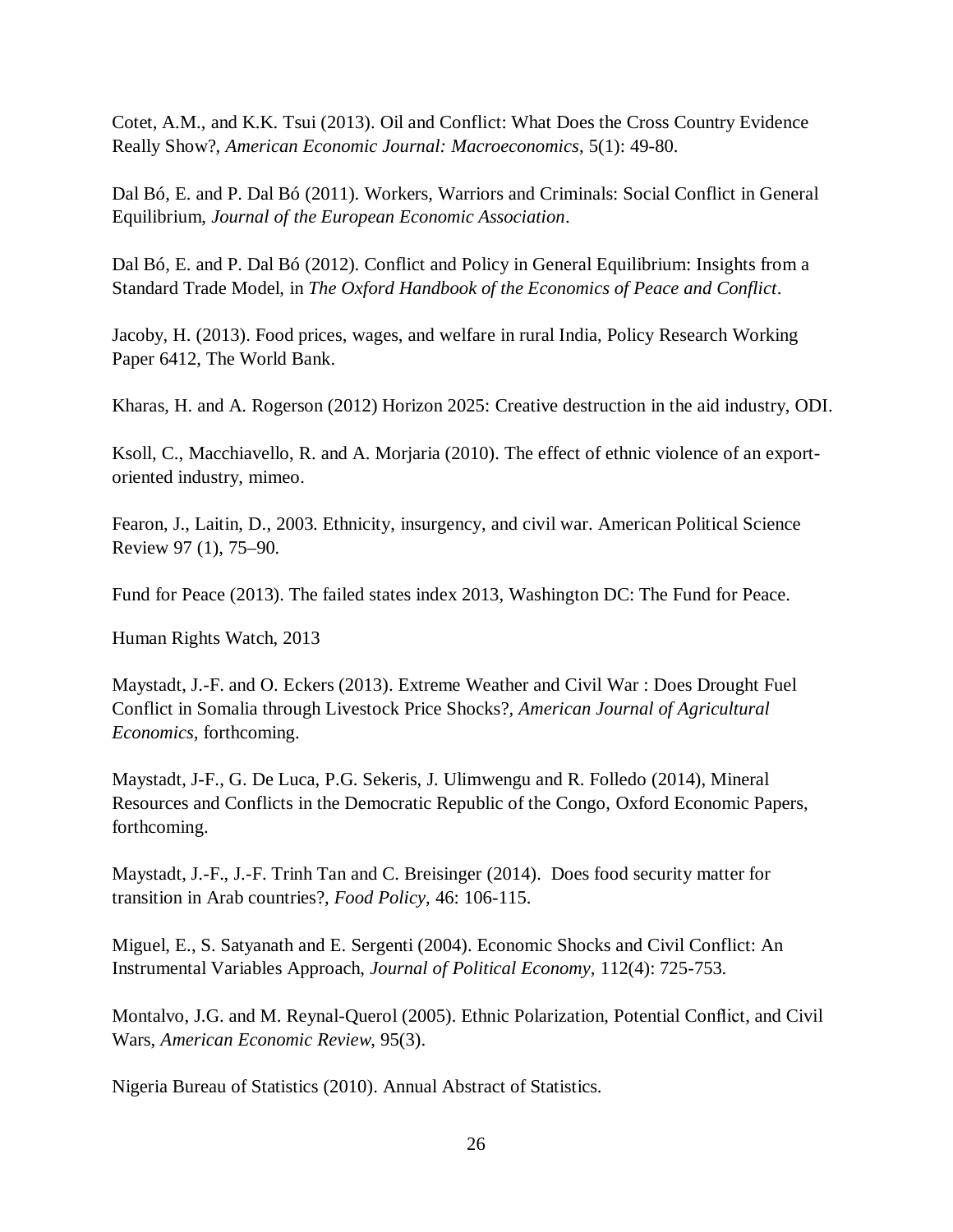Cotet, A.M., and K.K. Tsui (2013). Oil and Conflict: What Does the Cross Country Evidence Really Show?, *American Economic Journal: Macroeconomics*, 5(1): 49-80.

Dal Bó, E. and P. Dal Bó (2011). Workers, Warriors and Criminals: Social Conflict in General Equilibrium, *Journal of the European Economic Association*.

Dal Bó, E. and P. Dal Bó (2012). Conflict and Policy in General Equilibrium: Insights from a Standard Trade Model, in *The Oxford Handbook of the Economics of Peace and Conflict*.

Jacoby, H. (2013). Food prices, wages, and welfare in rural India, Policy Research Working Paper 6412, The World Bank.

Kharas, H. and A. Rogerson (2012) Horizon 2025: Creative destruction in the aid industry, ODI.

Ksoll, C., Macchiavello, R. and A. Morjaria (2010). The effect of ethnic violence of an exportoriented industry, mimeo.

Fearon, J., Laitin, D., 2003. Ethnicity, insurgency, and civil war. American Political Science Review 97 (1), 75–90.

Fund for Peace (2013). The failed states index 2013, Washington DC: The Fund for Peace.

Human Rights Watch, 2013

Maystadt, J.-F. and O. Eckers (2013). Extreme Weather and Civil War : Does Drought Fuel Conflict in Somalia through Livestock Price Shocks?*, American Journal of Agricultural Economics,* forthcoming.

Maystadt, J-F., G. De Luca, P.G. Sekeris, J. Ulimwengu and R. Folledo (2014), Mineral Resources and Conflicts in the Democratic Republic of the Congo, Oxford Economic Papers, forthcoming.

Maystadt, J.-F., J.-F. Trinh Tan and C. Breisinger (2014). Does food security matter for transition in Arab countries?, *Food Policy,* 46: 106-115.

Miguel, E., S. Satyanath and E. Sergenti (2004). Economic Shocks and Civil Conflict: An Instrumental Variables Approach, *Journal of Political Economy,* 112(4): 725-753.

Montalvo, J.G. and M. Reynal-Querol (2005). Ethnic Polarization, Potential Conflict, and Civil Wars, *American Economic Review*, 95(3).

Nigeria Bureau of Statistics (2010). Annual Abstract of Statistics.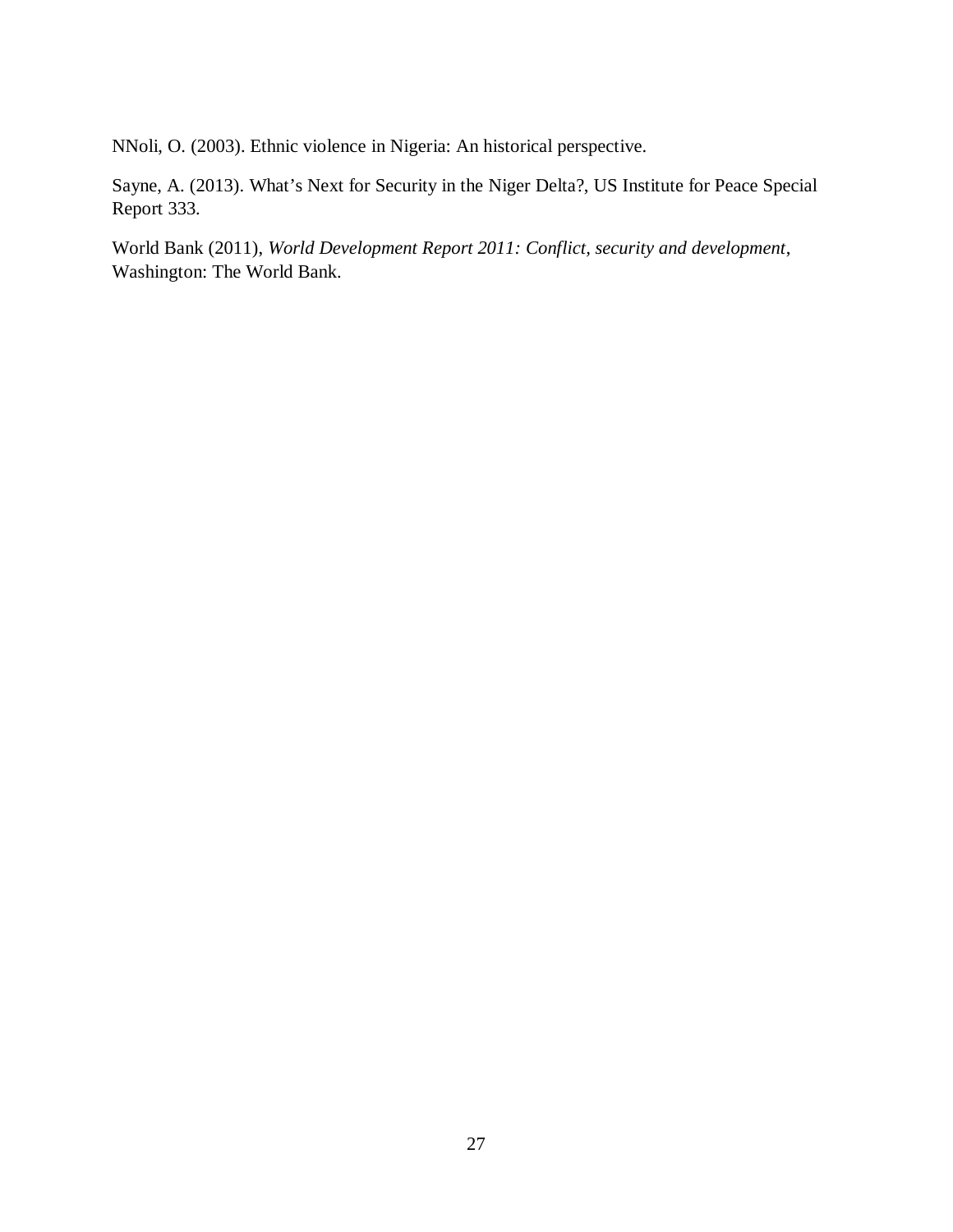NNoli, O. (2003). Ethnic violence in Nigeria: An historical perspective.

Sayne, A. (2013). What's Next for Security in the Niger Delta?, US Institute for Peace Special Report 333.

World Bank (2011), *World Development Report 2011: Conflict, security and development*, Washington: The World Bank.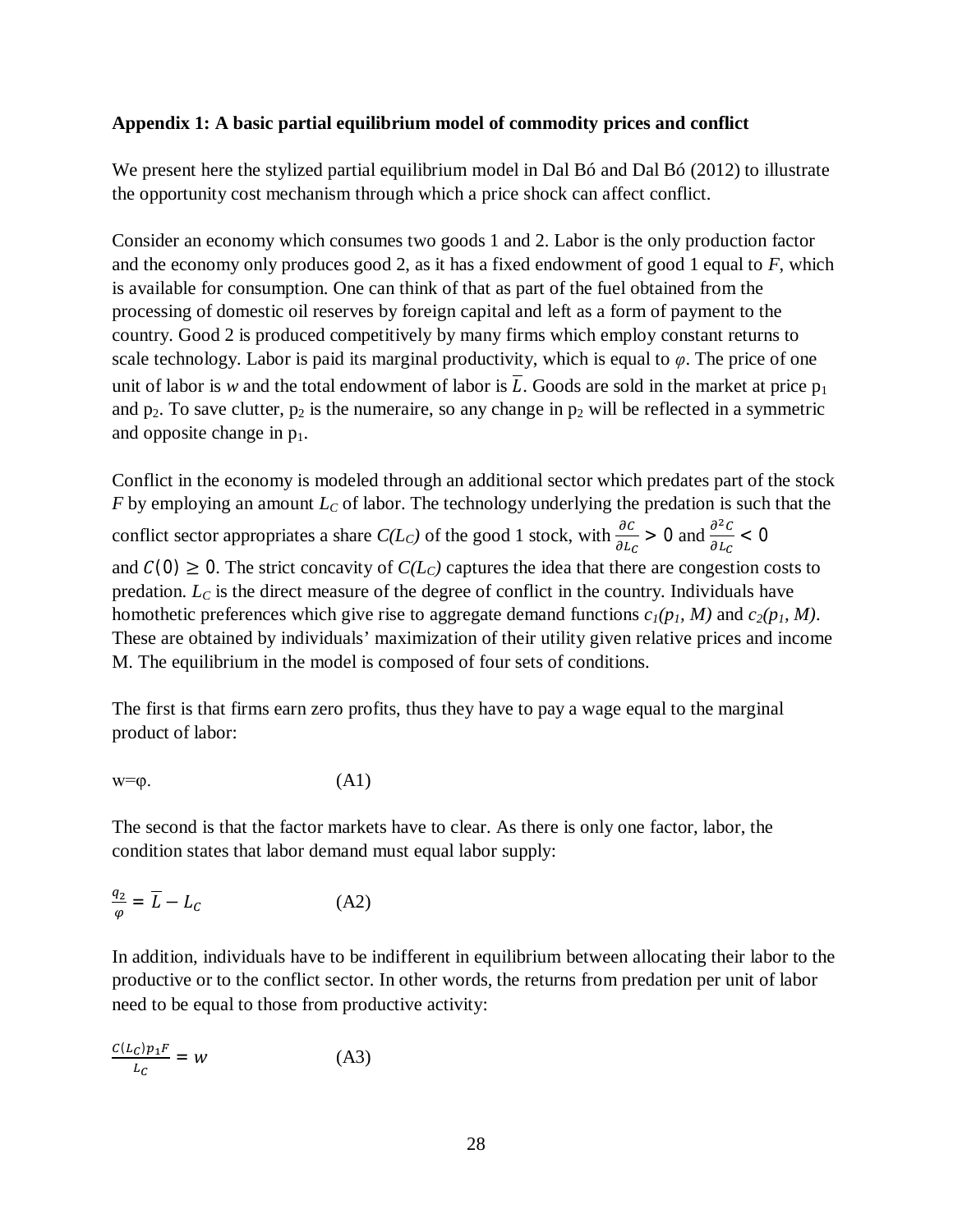#### **Appendix 1: A basic partial equilibrium model of commodity prices and conflict**

We present here the stylized partial equilibrium model in Dal Bó and Dal Bó (2012) to illustrate the opportunity cost mechanism through which a price shock can affect conflict.

Consider an economy which consumes two goods 1 and 2. Labor is the only production factor and the economy only produces good 2, as it has a fixed endowment of good 1 equal to *F*, which is available for consumption. One can think of that as part of the fuel obtained from the processing of domestic oil reserves by foreign capital and left as a form of payment to the country. Good 2 is produced competitively by many firms which employ constant returns to scale technology. Labor is paid its marginal productivity, which is equal to  $\varphi$ . The price of one unit of labor is *w* and the total endowment of labor is  $\overline{L}$ . Goods are sold in the market at price  $p_1$ and  $p_2$ . To save clutter,  $p_2$  is the numeraire, so any change in  $p_2$  will be reflected in a symmetric and opposite change in  $p_1$ .

Conflict in the economy is modeled through an additional sector which predates part of the stock *F* by employing an amount *L<sup>C</sup>* of labor. The technology underlying the predation is such that the conflict sector appropriates a share  $C(L_C)$  of the good 1 stock, with  $\frac{\partial c}{\partial L_C} > 0$  and  $\frac{\partial^2 c}{\partial L_C}$  $\frac{\partial C}{\partial L_C} < 0$ and  $C(0) \ge 0$ . The strict concavity of  $C(L_c)$  captures the idea that there are congestion costs to predation. *L<sup>C</sup>* is the direct measure of the degree of conflict in the country. Individuals have homothetic preferences which give rise to aggregate demand functions  $c_1(p_1, M)$  and  $c_2(p_1, M)$ . These are obtained by individuals' maximization of their utility given relative prices and income M. The equilibrium in the model is composed of four sets of conditions.

The first is that firms earn zero profits, thus they have to pay a wage equal to the marginal product of labor:

$$
w=\varphi.\tag{A1}
$$

The second is that the factor markets have to clear. As there is only one factor, labor, the condition states that labor demand must equal labor supply:

$$
\frac{q_2}{\varphi} = \overline{L} - L_C \tag{A2}
$$

In addition, individuals have to be indifferent in equilibrium between allocating their labor to the productive or to the conflict sector. In other words, the returns from predation per unit of labor need to be equal to those from productive activity:

$$
\frac{C(L_C)p_1F}{L_C} = W \tag{A3}
$$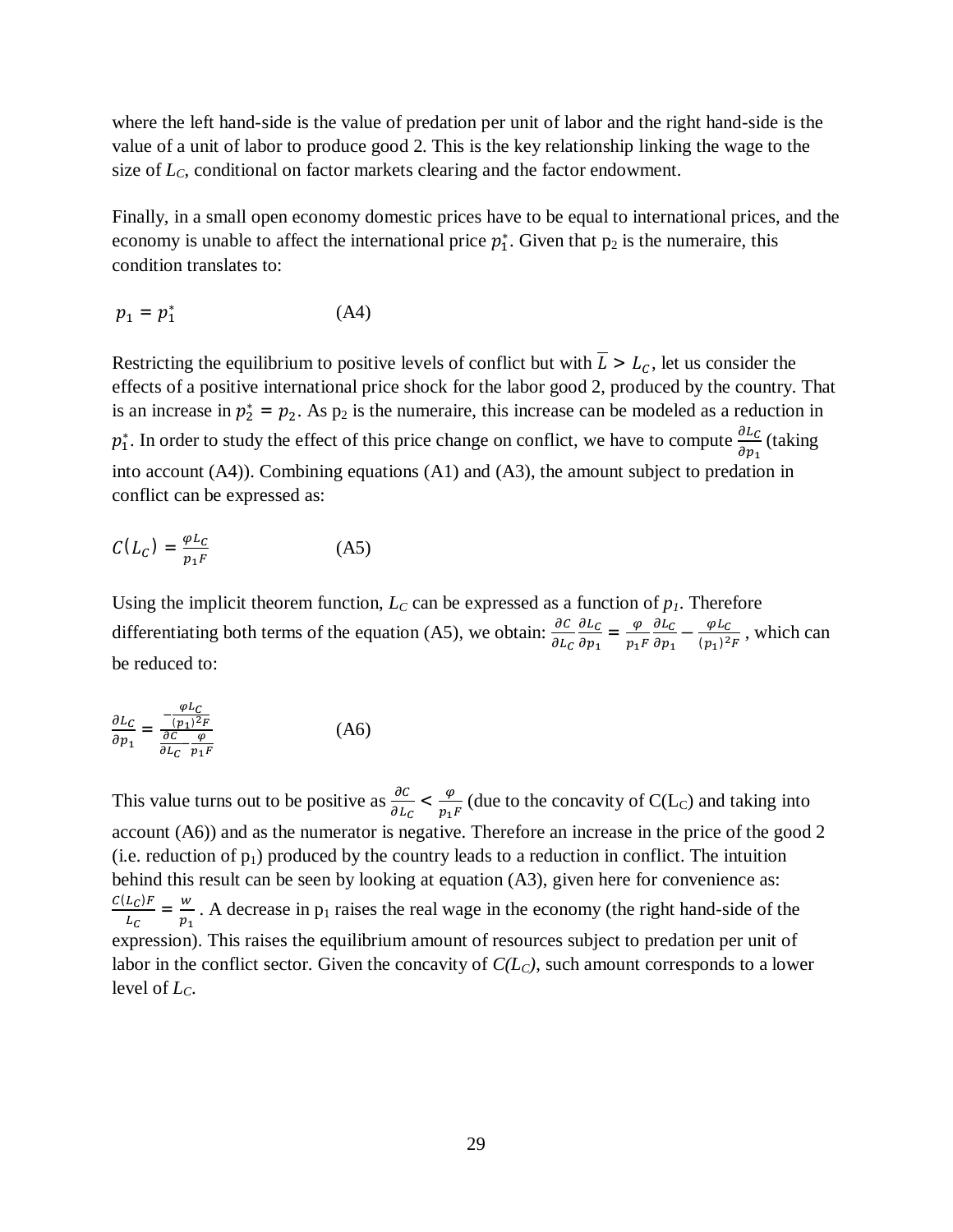where the left hand-side is the value of predation per unit of labor and the right hand-side is the value of a unit of labor to produce good 2. This is the key relationship linking the wage to the size of *LC*, conditional on factor markets clearing and the factor endowment.

Finally, in a small open economy domestic prices have to be equal to international prices, and the economy is unable to affect the international price  $p_1^*$ . Given that  $p_2$  is the numeraire, this condition translates to:

$$
p_1 = p_1^* \tag{A4}
$$

Restricting the equilibrium to positive levels of conflict but with  $\overline{L} > L_c$ , let us consider the effects of a positive international price shock for the labor good 2, produced by the country. That is an increase in  $p_2^* = p_2$ . As  $p_2$  is the numeraire, this increase can be modeled as a reduction in  $p_1^*$ . In order to study the effect of this price change on conflict, we have to compute  $\frac{\partial L_C}{\partial p_1}$  (taking into account (A4)). Combining equations (A1) and (A3), the amount subject to predation in conflict can be expressed as:

$$
C(L_C) = \frac{\varphi L_C}{p_1 F} \tag{A5}
$$

Using the implicit theorem function,  $L<sub>C</sub>$  can be expressed as a function of  $p<sub>I</sub>$ . Therefore differentiating both terms of the equation (A5), we obtain:  $\frac{\partial C}{\partial L_C}$  $\partial L_C$  $\frac{\partial L_C}{\partial p_1} = \frac{\varphi}{p_1}$  $p_1F$  $\partial L_C$  $\frac{\partial L_C}{\partial p_1} - \frac{\varphi L_C}{(p_1)^2}$  $\frac{\varphi_{LC}}{(p_1)^2 F}$ , which can be reduced to:

$$
\frac{\partial L_C}{\partial p_1} = \frac{-\frac{\varphi L_C}{(p_1)^2 F}}{\frac{\partial C}{\partial L_C} - \frac{\varphi}{p_1 F}}
$$
(A6)

This value turns out to be positive as  $\frac{\partial C}{\partial L_C} < \frac{\varphi}{p_1}$  $\frac{\varphi}{p_1 F}$  (due to the concavity of C(L<sub>C</sub>) and taking into account (A6)) and as the numerator is negative. Therefore an increase in the price of the good 2 (i.e. reduction of  $p_1$ ) produced by the country leads to a reduction in conflict. The intuition behind this result can be seen by looking at equation (A3), given here for convenience as:  $C(L_C)F$  $\frac{L_C}{L_C} = \frac{w}{p_1}$  $\frac{w}{p_1}$ . A decrease in p<sub>1</sub> raises the real wage in the economy (the right hand-side of the expression). This raises the equilibrium amount of resources subject to predation per unit of labor in the conflict sector. Given the concavity of *C(LC)*, such amount corresponds to a lower level of *LC*.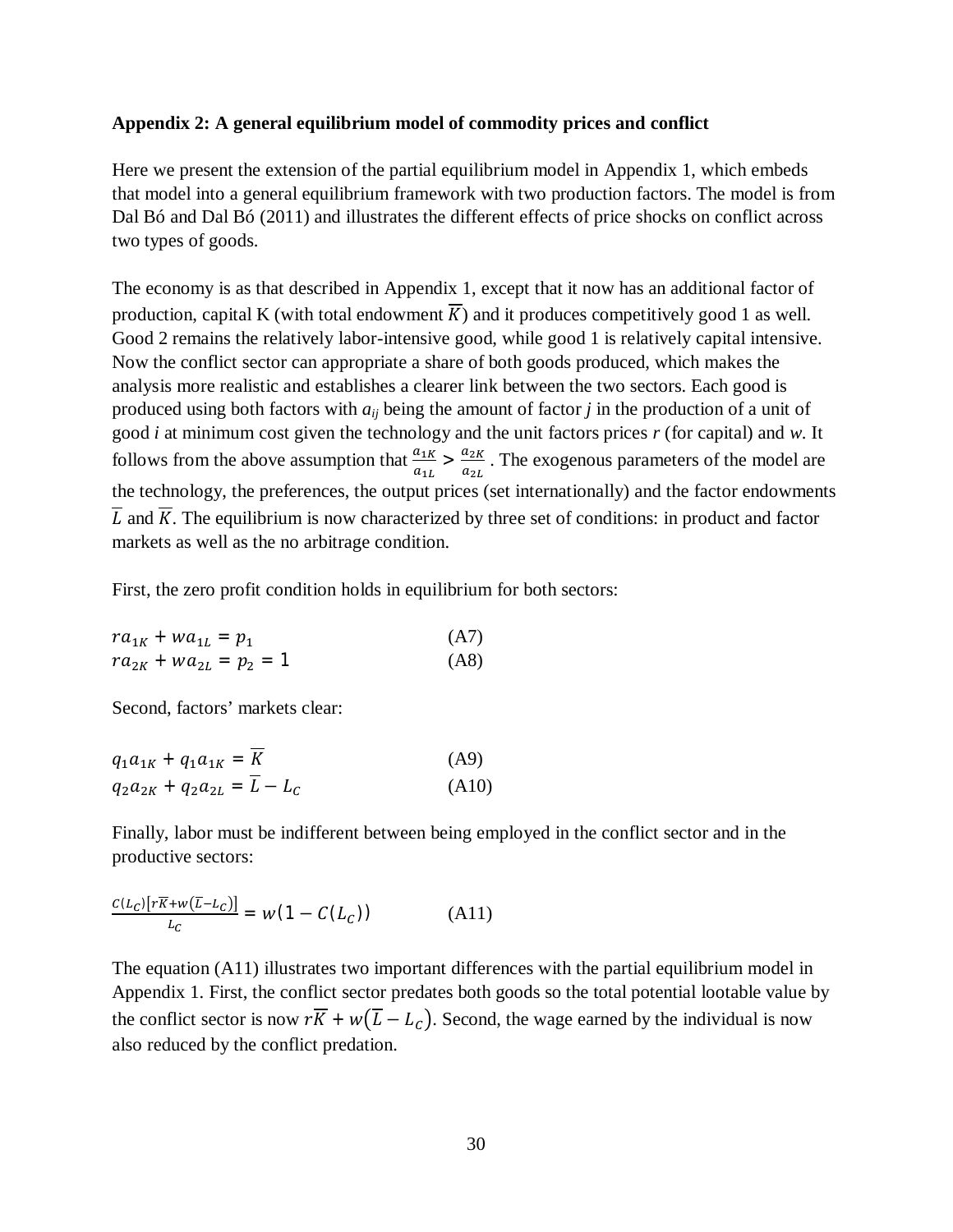#### **Appendix 2: A general equilibrium model of commodity prices and conflict**

Here we present the extension of the partial equilibrium model in Appendix 1, which embeds that model into a general equilibrium framework with two production factors. The model is from Dal Bó and Dal Bó (2011) and illustrates the different effects of price shocks on conflict across two types of goods.

The economy is as that described in Appendix 1, except that it now has an additional factor of production, capital K (with total endowment  $\overline{K}$ ) and it produces competitively good 1 as well. Good 2 remains the relatively labor-intensive good, while good 1 is relatively capital intensive. Now the conflict sector can appropriate a share of both goods produced, which makes the analysis more realistic and establishes a clearer link between the two sectors. Each good is produced using both factors with *aij* being the amount of factor *j* in the production of a unit of good *i* at minimum cost given the technology and the unit factors prices *r* (for capital) and *w*. It follows from the above assumption that  $\frac{a_{1K}}{a_{1L}} > \frac{a_{2K}}{a_{2L}}$  $\frac{u_{2k}}{a_{2k}}$ . The exogenous parameters of the model are the technology, the preferences, the output prices (set internationally) and the factor endowments  $\overline{L}$  and  $\overline{K}$ . The equilibrium is now characterized by three set of conditions: in product and factor markets as well as the no arbitrage condition.

First, the zero profit condition holds in equilibrium for both sectors:

$$
ra_{1K} + wa_{1L} = p_1
$$
 (A7)  
\n
$$
ra_{2K} + wa_{2L} = p_2 = 1
$$
 (A8)

Second, factors' markets clear:

$$
q_1 a_{1K} + q_1 a_{1K} = \overline{K}
$$
 (A9)  
\n
$$
q_2 a_{2K} + q_2 a_{2L} = \overline{L} - L_c
$$
 (A10)

Finally, labor must be indifferent between being employed in the conflict sector and in the productive sectors:

$$
\frac{c(\mathcal{L}_C)[r\overline{K}+w(\overline{\mathcal{L}}-\mathcal{L}_C)]}{\mathcal{L}_C} = w(1 - C(\mathcal{L}_C))
$$
 (A11)

The equation (A11) illustrates two important differences with the partial equilibrium model in Appendix 1. First, the conflict sector predates both goods so the total potential lootable value by the conflict sector is now  $r\overline{K} + w(\overline{L} - L_c)$ . Second, the wage earned by the individual is now also reduced by the conflict predation.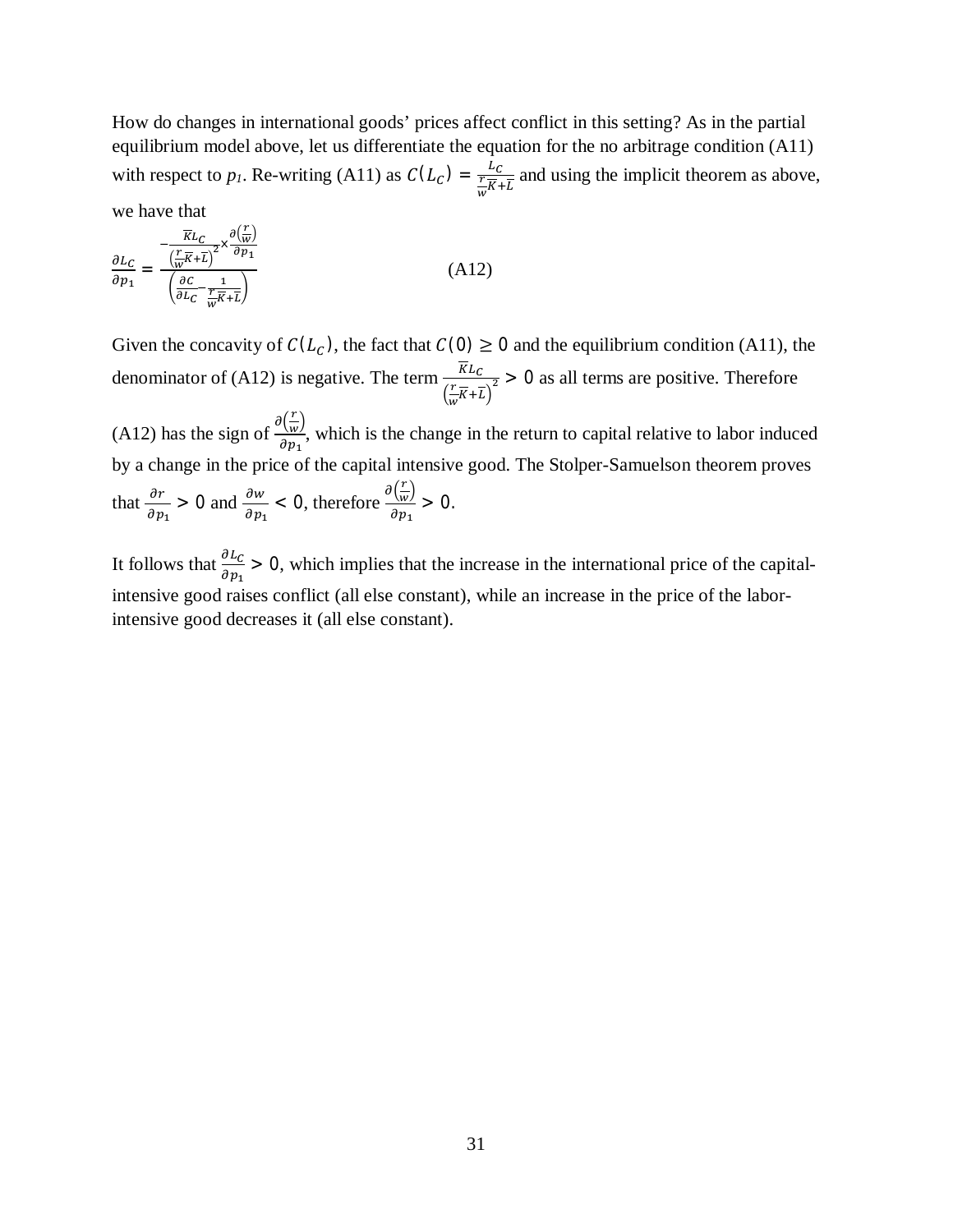How do changes in international goods' prices affect conflict in this setting? As in the partial equilibrium model above, let us differentiate the equation for the no arbitrage condition (A11) with respect to  $p_l$ . Re-writing (A11) as  $C(L_c) = \frac{L_c}{\sqrt{K}}$  $rac{FC}{\sqrt{\frac{F}{W}} + \overline{L}}$  and using the implicit theorem as above,

we have that

$$
\frac{\partial L_C}{\partial p_1} = \frac{-\frac{\overline{K}L_C}{(\frac{r}{W}\overline{K} + \overline{L})^2} \times \frac{\partial (\frac{r}{W})}{\partial p_1}}{\left(\frac{\partial C}{\partial L_C} - \frac{1}{\frac{r}{W}\overline{K} + \overline{L}}\right)}
$$
(A12)

Given the concavity of  $C(L_C)$ , the fact that  $C(0) \ge 0$  and the equilibrium condition (A11), the denominator of (A12) is negative. The term  $\frac{\overline{K}L_c}{\sqrt{K}L_c}$  $\left(\frac{r}{\cdot}\right)$  $\frac{r}{\sqrt[n]{\mu}} \frac{1}{\sqrt[n]{\mu}}$  > 0 as all terms are positive. Therefore

(A12) has the sign of  $\frac{\partial (\frac{r}{\omega})}{\partial x}$  $\frac{1}{w}$  $\frac{\Delta w}{\partial p_1}$ , which is the change in the return to capital relative to labor induced by a change in the price of the capital intensive good. The Stolper-Samuelson theorem proves that  $\frac{\partial r}{\partial p_1} > 0$  and  $\frac{\partial w}{\partial p_1} < 0$ , therefore  $\frac{\partial (\frac{r}{w})}{\partial p_1}$  $\frac{1}{w}$  $\frac{\langle w \rangle}{\partial p_1} > 0.$ 

It follows that  $\frac{\partial L_C}{\partial p_1} > 0$ , which implies that the increase in the international price of the capitalintensive good raises conflict (all else constant), while an increase in the price of the laborintensive good decreases it (all else constant).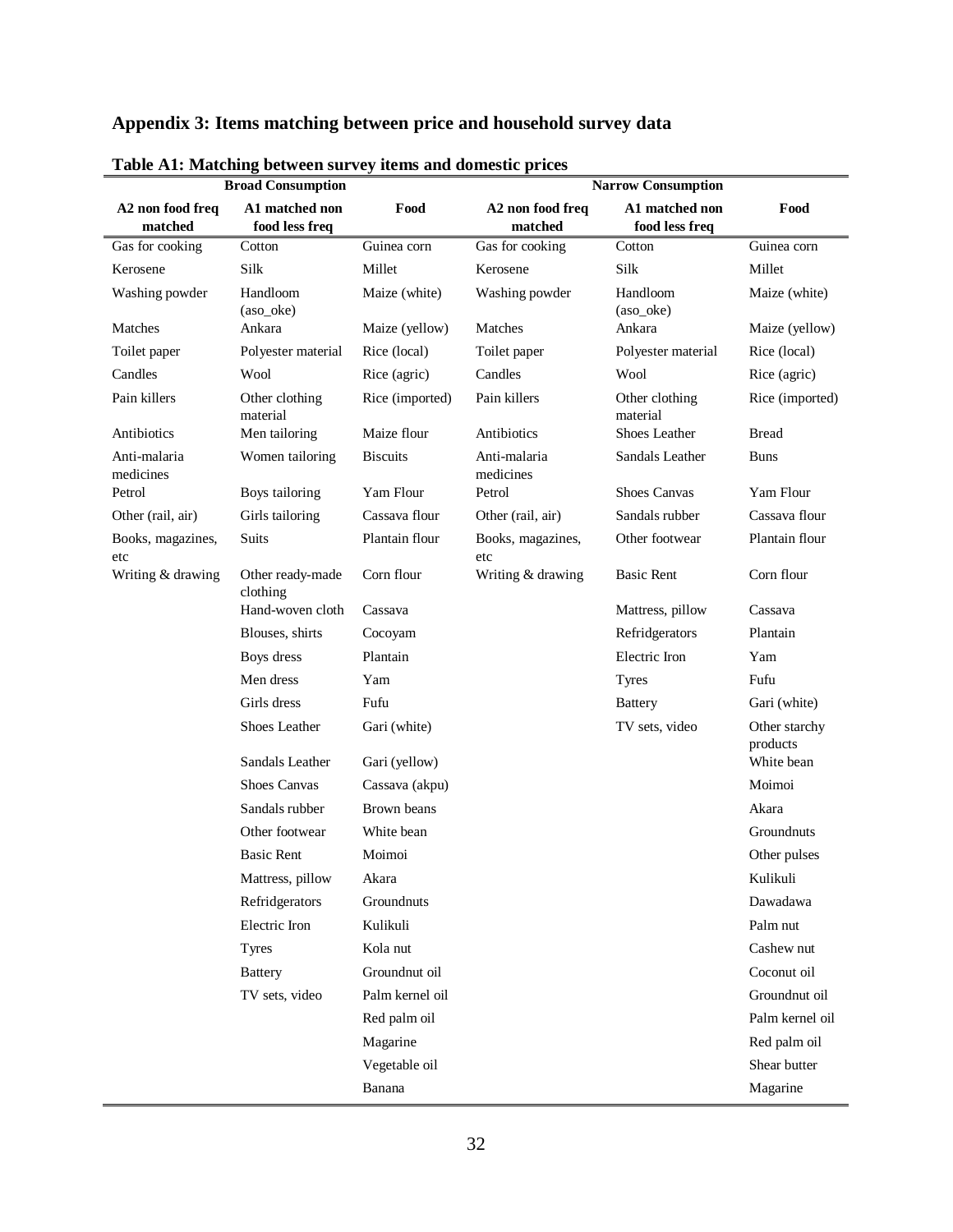|  | Appendix 3: Items matching between price and household survey data |  |  |  |
|--|--------------------------------------------------------------------|--|--|--|
|--|--------------------------------------------------------------------|--|--|--|

|                             | <b>Broad Consumption</b>         |                 | Narrow Consumption          |                                  |                           |  |  |
|-----------------------------|----------------------------------|-----------------|-----------------------------|----------------------------------|---------------------------|--|--|
| A2 non food freq<br>matched | A1 matched non<br>food less freq | Food            | A2 non food freq<br>matched | A1 matched non<br>food less freq | Food                      |  |  |
| Gas for cooking             | Cotton                           | Guinea corn     | Gas for cooking             | Cotton                           | Guinea corn               |  |  |
| Kerosene                    | Silk                             | Millet          | Kerosene                    | Silk                             | Millet                    |  |  |
| Washing powder              | Handloom<br>(aso_oke)            | Maize (white)   | Washing powder              | Handloom<br>(aso_oke)            | Maize (white)             |  |  |
| Matches                     | Ankara                           | Maize (yellow)  | Matches                     | Ankara                           | Maize (yellow)            |  |  |
| Toilet paper                | Polyester material               | Rice (local)    | Toilet paper                | Polyester material               | Rice (local)              |  |  |
| Candles                     | Wool                             | Rice (agric)    | Candles                     | Wool                             | Rice (agric)              |  |  |
| Pain killers                | Other clothing<br>material       | Rice (imported) | Pain killers                | Other clothing<br>material       | Rice (imported)           |  |  |
| Antibiotics                 | Men tailoring                    | Maize flour     | Antibiotics                 | Shoes Leather                    | <b>Bread</b>              |  |  |
| Anti-malaria<br>medicines   | Women tailoring                  | <b>Biscuits</b> | Anti-malaria<br>medicines   | Sandals Leather                  | <b>Buns</b>               |  |  |
| Petrol                      | Boys tailoring                   | Yam Flour       | Petrol                      | <b>Shoes Canvas</b>              | Yam Flour                 |  |  |
| Other (rail, air)           | Girls tailoring                  | Cassava flour   | Other (rail, air)           | Sandals rubber                   | Cassava flour             |  |  |
| Books, magazines,<br>etc    | <b>Suits</b>                     | Plantain flour  | Books, magazines,<br>etc    | Other footwear                   | Plantain flour            |  |  |
| Writing & drawing           | Other ready-made<br>clothing     | Corn flour      | Writing & drawing           | <b>Basic Rent</b>                | Corn flour                |  |  |
|                             | Hand-woven cloth                 | Cassava         |                             | Mattress, pillow                 | Cassava                   |  |  |
|                             | Blouses, shirts                  | Cocoyam         |                             | Refridgerators                   | Plantain                  |  |  |
|                             | Boys dress                       | Plantain        |                             | Electric Iron                    | Yam                       |  |  |
|                             | Men dress                        | Yam             |                             | <b>Tyres</b>                     | Fufu                      |  |  |
|                             | Girls dress                      | Fufu            |                             | <b>Battery</b>                   | Gari (white)              |  |  |
|                             | Shoes Leather                    | Gari (white)    |                             | TV sets, video                   | Other starchy<br>products |  |  |
|                             | Sandals Leather                  | Gari (yellow)   |                             |                                  | White bean                |  |  |
|                             | Shoes Canvas                     | Cassava (akpu)  |                             |                                  | Moimoi                    |  |  |
|                             | Sandals rubber                   | Brown beans     |                             |                                  | Akara                     |  |  |
|                             | Other footwear                   | White bean      |                             |                                  | Groundnuts                |  |  |
|                             | <b>Basic Rent</b>                | Moimoi          |                             |                                  | Other pulses              |  |  |
|                             | Mattress, pillow                 | Akara           |                             |                                  | Kulikuli                  |  |  |
|                             | Refridgerators                   | Groundnuts      |                             |                                  | Dawadawa                  |  |  |
|                             | Electric Iron                    | Kulikuli        |                             |                                  | Palm nut                  |  |  |
|                             | <b>Tyres</b>                     | Kola nut        |                             |                                  | Cashew nut                |  |  |
|                             | <b>Battery</b>                   | Groundnut oil   |                             |                                  | Coconut oil               |  |  |
|                             | TV sets, video                   | Palm kernel oil |                             |                                  | Groundnut oil             |  |  |
|                             |                                  | Red palm oil    |                             |                                  | Palm kernel oil           |  |  |
|                             |                                  | Magarine        |                             |                                  | Red palm oil              |  |  |
|                             |                                  | Vegetable oil   |                             |                                  | Shear butter              |  |  |
|                             |                                  | Banana          |                             |                                  | Magarine                  |  |  |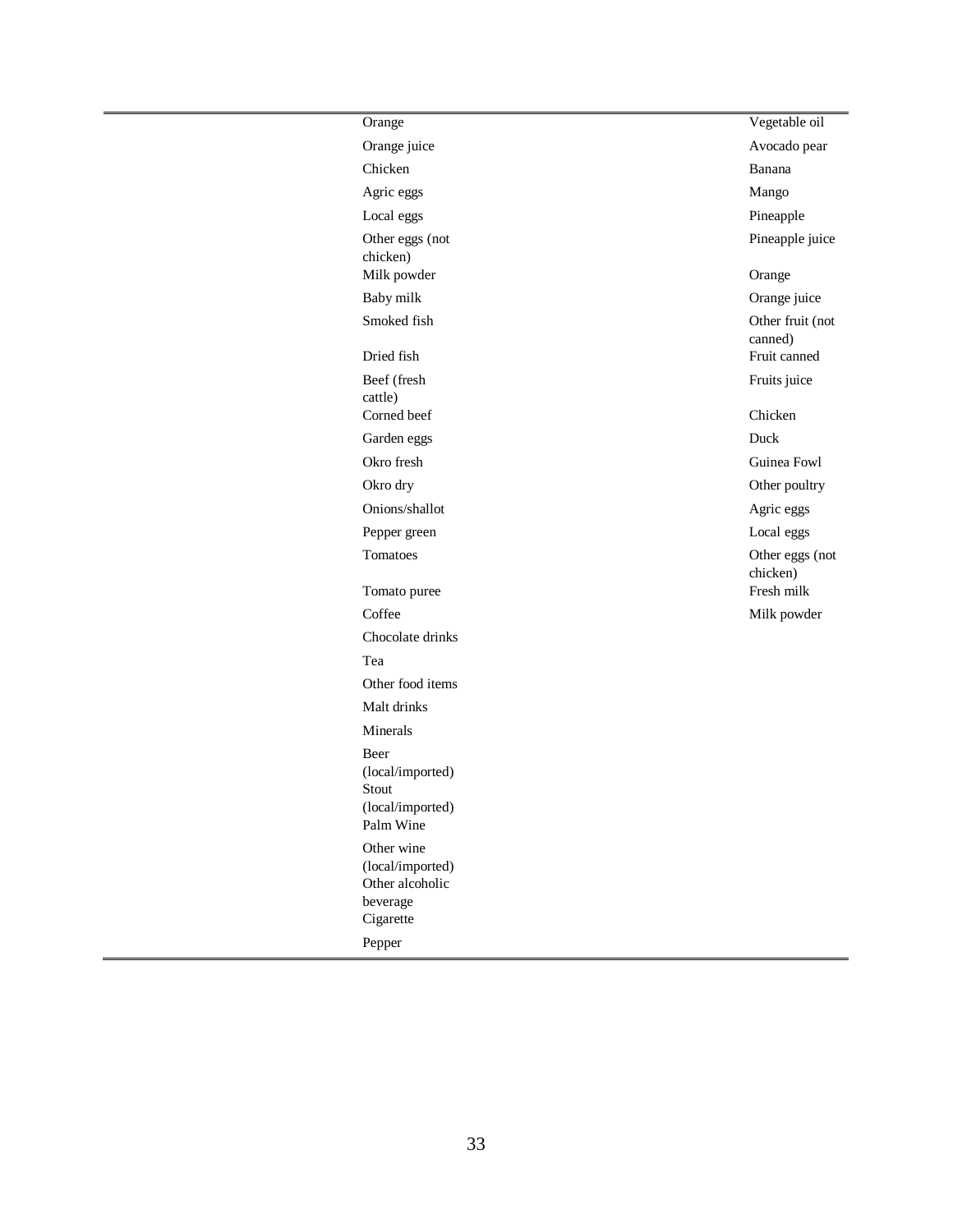| Orange                                                                               | Vegetable oil               |
|--------------------------------------------------------------------------------------|-----------------------------|
| Orange juice                                                                         | Avocado pear                |
| Chicken                                                                              | Banana                      |
| Agric eggs                                                                           | Mango                       |
| Local eggs                                                                           | Pineapple                   |
| Other eggs (not<br>chicken)                                                          | Pineapple juice             |
| Milk powder                                                                          | Orange                      |
| Baby milk                                                                            | Orange juice                |
| Smoked fish                                                                          | Other fruit (not<br>canned) |
| Dried fish                                                                           | Fruit canned                |
| Beef (fresh<br>cattle)                                                               | Fruits juice                |
| Corned beef                                                                          | Chicken                     |
| Garden eggs                                                                          | Duck                        |
| Okro fresh                                                                           | Guinea Fowl                 |
| Okro dry                                                                             | Other poultry               |
| Onions/shallot                                                                       | Agric eggs                  |
| Pepper green                                                                         | Local eggs                  |
| Tomatoes                                                                             | Other eggs (not<br>chicken) |
| Tomato puree                                                                         | Fresh milk                  |
| Coffee                                                                               | Milk powder                 |
| Chocolate drinks                                                                     |                             |
| Tea                                                                                  |                             |
| Other food items                                                                     |                             |
| Malt drinks                                                                          |                             |
| Minerals                                                                             |                             |
| Beer<br>(local/imported)<br>Stout<br>(local/imported)<br>Palm Wine                   |                             |
| Other wine<br>(local/imported)<br>Other alcoholic<br>beverage<br>Cigarette<br>Pepper |                             |
|                                                                                      |                             |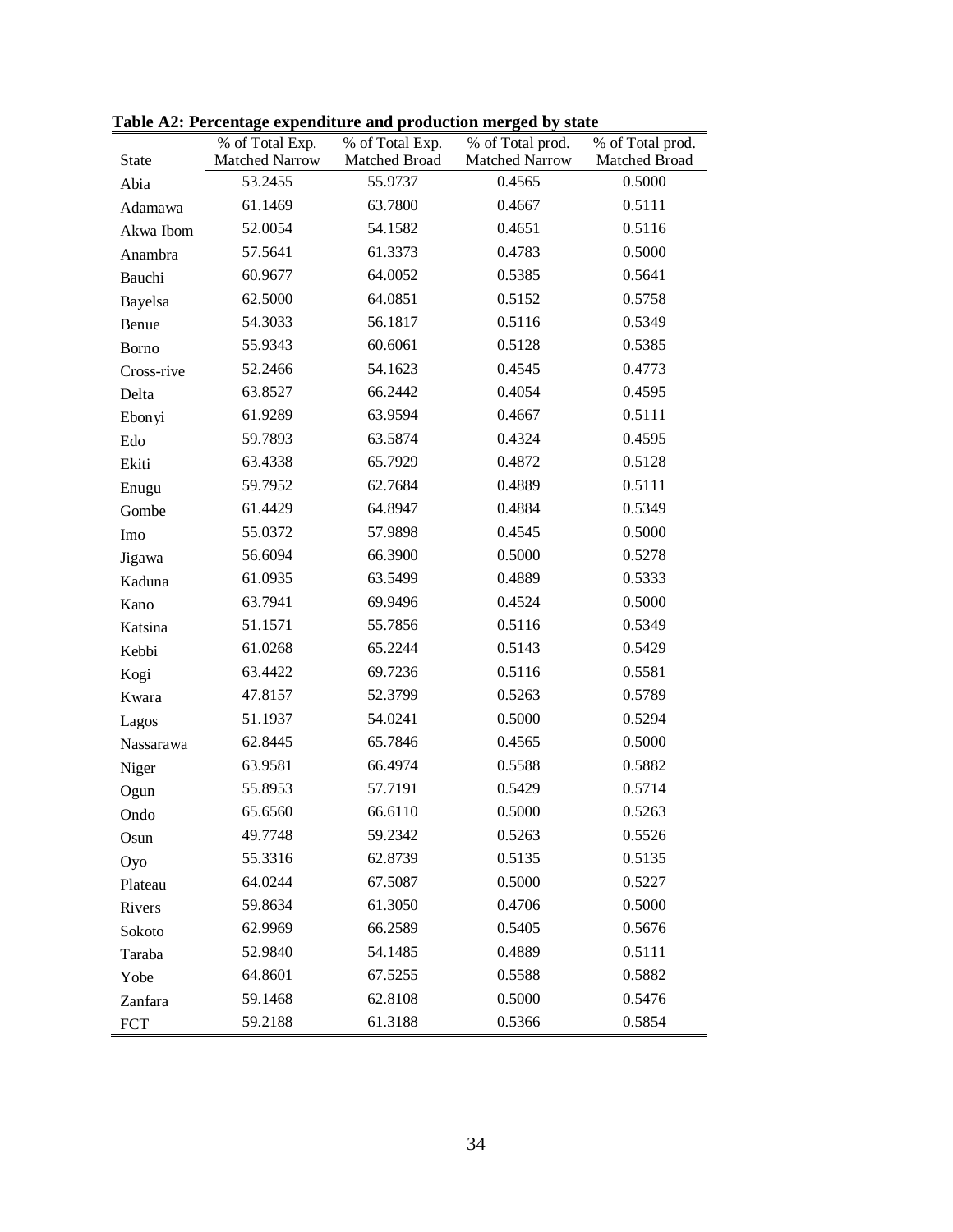|              | % of Total Exp. | % of Total Exp. | % of Total prod. | % of Total prod. |
|--------------|-----------------|-----------------|------------------|------------------|
| <b>State</b> | Matched Narrow  | Matched Broad   | Matched Narrow   | Matched Broad    |
| Abia         | 53.2455         | 55.9737         | 0.4565           | 0.5000           |
| Adamawa      | 61.1469         | 63.7800         | 0.4667           | 0.5111           |
| Akwa Ibom    | 52.0054         | 54.1582         | 0.4651           | 0.5116           |
| Anambra      | 57.5641         | 61.3373         | 0.4783           | 0.5000           |
| Bauchi       | 60.9677         | 64.0052         | 0.5385           | 0.5641           |
| Bayelsa      | 62.5000         | 64.0851         | 0.5152           | 0.5758           |
| Benue        | 54.3033         | 56.1817         | 0.5116           | 0.5349           |
| <b>Borno</b> | 55.9343         | 60.6061         | 0.5128           | 0.5385           |
| Cross-rive   | 52.2466         | 54.1623         | 0.4545           | 0.4773           |
| Delta        | 63.8527         | 66.2442         | 0.4054           | 0.4595           |
| Ebonyi       | 61.9289         | 63.9594         | 0.4667           | 0.5111           |
| Edo          | 59.7893         | 63.5874         | 0.4324           | 0.4595           |
| Ekiti        | 63.4338         | 65.7929         | 0.4872           | 0.5128           |
| Enugu        | 59.7952         | 62.7684         | 0.4889           | 0.5111           |
| Gombe        | 61.4429         | 64.8947         | 0.4884           | 0.5349           |
| Imo          | 55.0372         | 57.9898         | 0.4545           | 0.5000           |
| Jigawa       | 56.6094         | 66.3900         | 0.5000           | 0.5278           |
| Kaduna       | 61.0935         | 63.5499         | 0.4889           | 0.5333           |
| Kano         | 63.7941         | 69.9496         | 0.4524           | 0.5000           |
| Katsina      | 51.1571         | 55.7856         | 0.5116           | 0.5349           |
| Kebbi        | 61.0268         | 65.2244         | 0.5143           | 0.5429           |
| Kogi         | 63.4422         | 69.7236         | 0.5116           | 0.5581           |
| Kwara        | 47.8157         | 52.3799         | 0.5263           | 0.5789           |
| Lagos        | 51.1937         | 54.0241         | 0.5000           | 0.5294           |
| Nassarawa    | 62.8445         | 65.7846         | 0.4565           | 0.5000           |
| Niger        | 63.9581         | 66.4974         | 0.5588           | 0.5882           |
| Ogun         | 55.8953         | 57.7191         | 0.5429           | 0.5714           |
| Ondo         | 65.6560         | 66.6110         | 0.5000           | 0.5263           |
| Osun         | 49.7748         | 59.2342         | 0.5263           | 0.5526           |
| Oyo          | 55.3316         | 62.8739         | 0.5135           | 0.5135           |
| Plateau      | 64.0244         | 67.5087         | 0.5000           | 0.5227           |
| Rivers       | 59.8634         | 61.3050         | 0.4706           | 0.5000           |
| Sokoto       | 62.9969         | 66.2589         | 0.5405           | 0.5676           |
| Taraba       | 52.9840         | 54.1485         | 0.4889           | 0.5111           |
| Yobe         | 64.8601         | 67.5255         | 0.5588           | 0.5882           |
| Zanfara      | 59.1468         | 62.8108         | 0.5000           | 0.5476           |
| <b>FCT</b>   | 59.2188         | 61.3188         | 0.5366           | 0.5854           |

**Table A2: Percentage expenditure and production merged by state**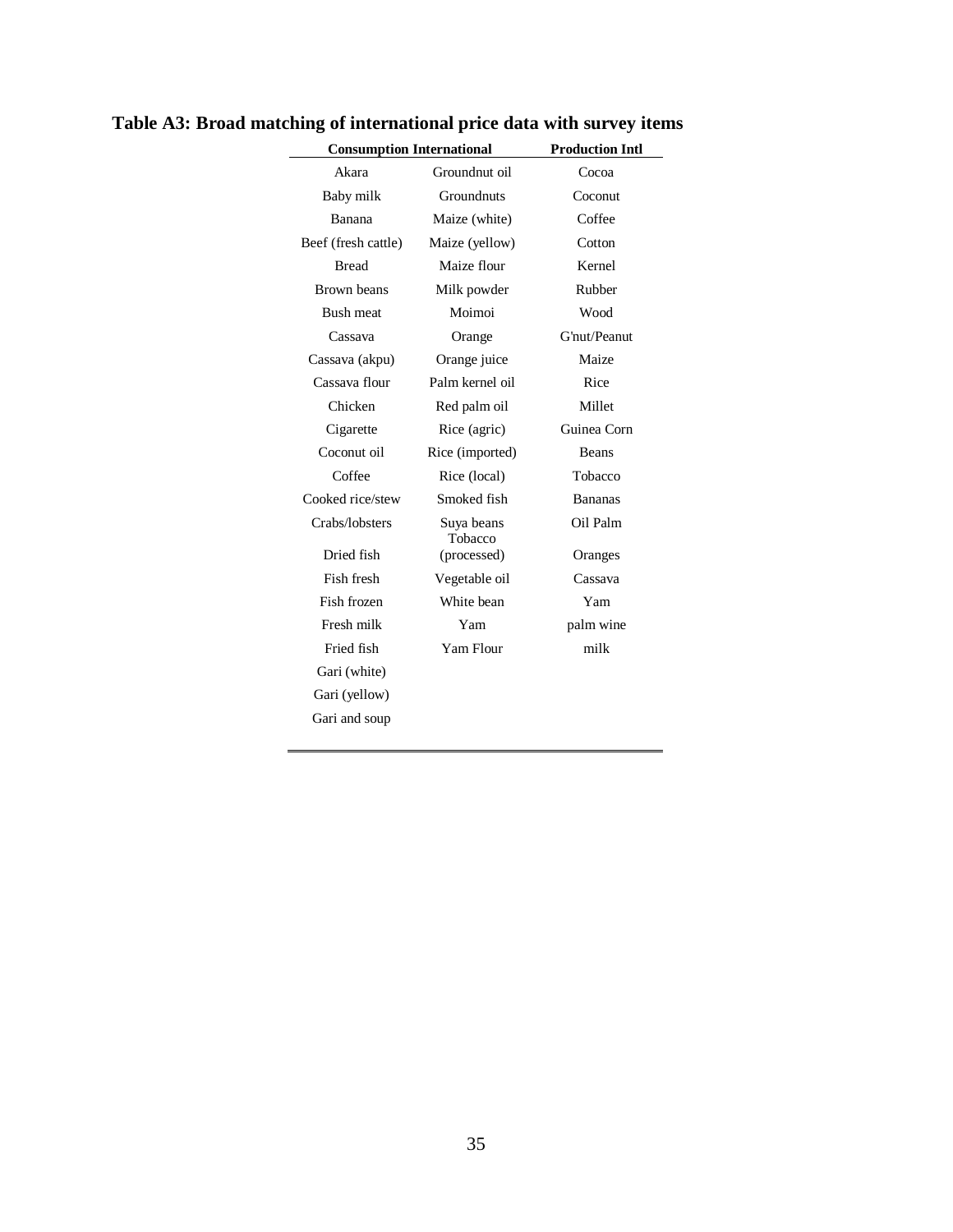| <b>Consumption International</b> |                |  |  |
|----------------------------------|----------------|--|--|
| Groundnut oil                    | Cocoa          |  |  |
| Groundnuts                       | Coconut        |  |  |
| Maize (white)                    | Coffee         |  |  |
| Maize (yellow)                   | Cotton         |  |  |
| Maize flour                      | Kernel         |  |  |
| Milk powder                      | Rubber         |  |  |
| Moimoi                           | Wood           |  |  |
| Orange                           | G'nut/Peanut   |  |  |
| Orange juice                     | Maize          |  |  |
| Palm kernel oil                  | Rice           |  |  |
| Red palm oil                     | Millet         |  |  |
| Rice (agric)                     | Guinea Corn    |  |  |
| Rice (imported)                  | <b>Beans</b>   |  |  |
| Rice (local)                     | Tobacco        |  |  |
| Smoked fish                      | <b>Bananas</b> |  |  |
| Suya beans<br>Tobacco            | Oil Palm       |  |  |
| (processed)                      | Oranges        |  |  |
| Vegetable oil                    | Cassava        |  |  |
| White bean                       | Yam            |  |  |
| Yam                              | palm wine      |  |  |
| Yam Flour                        | milk           |  |  |
|                                  |                |  |  |
|                                  |                |  |  |
|                                  |                |  |  |
|                                  |                |  |  |

**Table A3: Broad matching of international price data with survey items**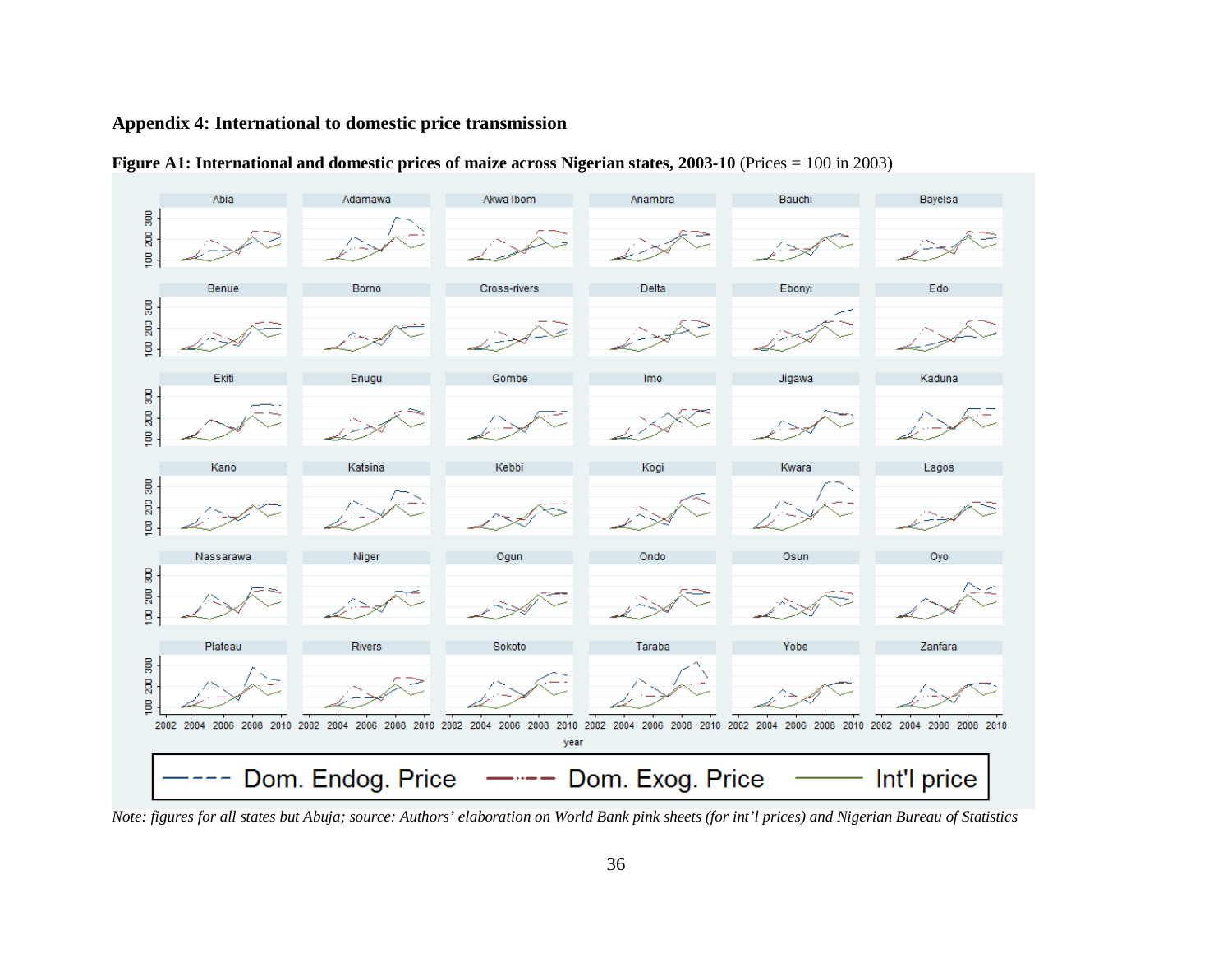### **Appendix 4: International to domestic price transmission**





*Note: figures for all states but Abuja; source: Authors' elaboration on World Bank pink sheets (for int'l prices) and Nigerian Bureau of Statistics*